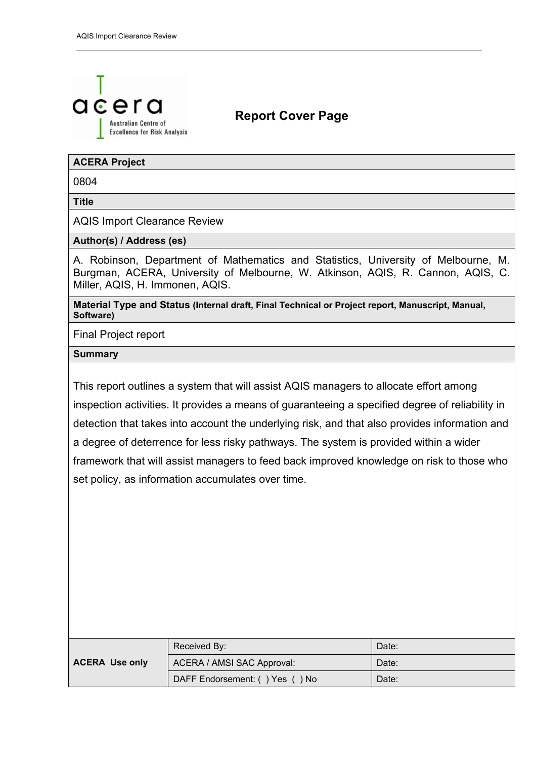

# **Report Cover Page**

### **ACERA Project**

0804

**Title** 

AQIS Import Clearance Review

### **Author(s) / Address (es)**

A. Robinson, Department of Mathematics and Statistics, University of Melbourne, M. Burgman, ACERA, University of Melbourne, W. Atkinson, AQIS, R. Cannon, AQIS, C. Miller, AQIS, H. Immonen, AQIS.

**Material Type and Status (Internal draft, Final Technical or Project report, Manuscript, Manual, Software)**

Final Project report

### **Summary**

This report outlines a system that will assist AQIS managers to allocate effort among inspection activities. It provides a means of guaranteeing a specified degree of reliability in detection that takes into account the underlying risk, and that also provides information and a degree of deterrence for less risky pathways. The system is provided within a wider framework that will assist managers to feed back improved knowledge on risk to those who set policy, as information accumulates over time.

|                       | Received By:                   | Date: |
|-----------------------|--------------------------------|-------|
| <b>ACERA Use only</b> | ACERA / AMSI SAC Approval:     | Date: |
|                       | DAFF Endorsement: () Yes () No | Date: |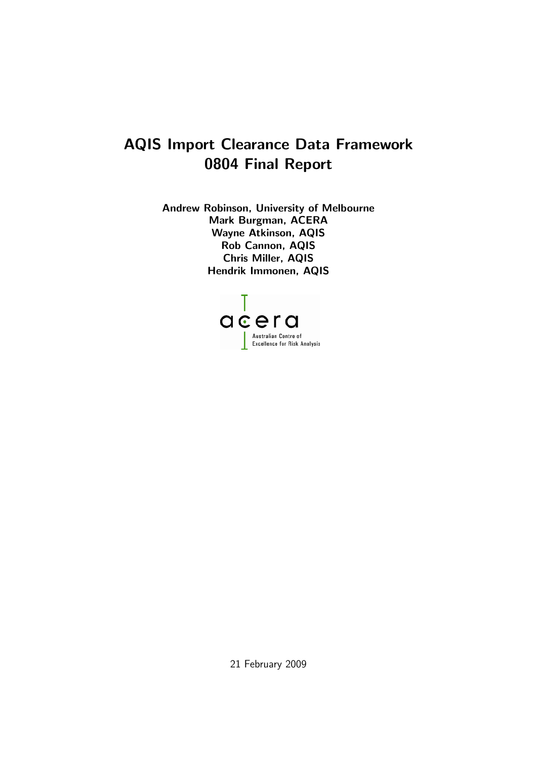# AQIS Import Clearance Data Framework 0804 Final Report

Andrew Robinson, University of Melbourne Mark Burgman, ACERA Wayne Atkinson, AQIS Rob Cannon, AQIS Chris Miller, AQIS Hendrik Immonen, AQIS



21 February 2009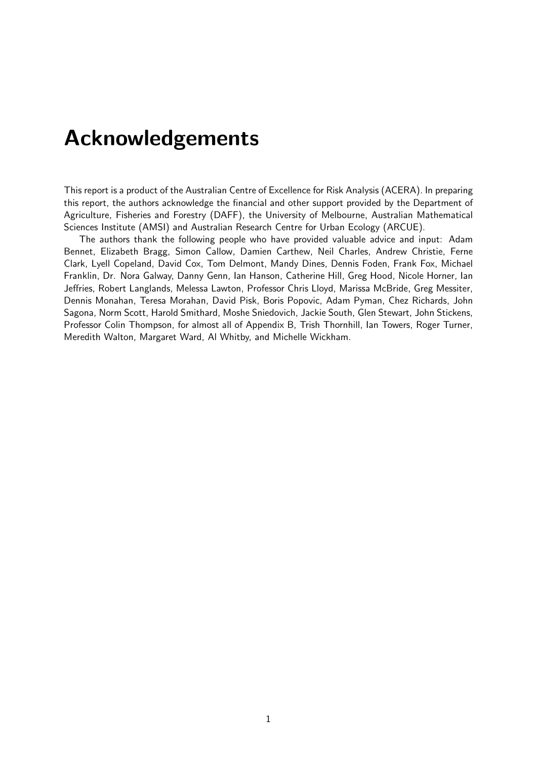# Acknowledgements

This report is a product of the Australian Centre of Excellence for Risk Analysis (ACERA). In preparing this report, the authors acknowledge the financial and other support provided by the Department of Agriculture, Fisheries and Forestry (DAFF), the University of Melbourne, Australian Mathematical Sciences Institute (AMSI) and Australian Research Centre for Urban Ecology (ARCUE).

The authors thank the following people who have provided valuable advice and input: Adam Bennet, Elizabeth Bragg, Simon Callow, Damien Carthew, Neil Charles, Andrew Christie, Ferne Clark, Lyell Copeland, David Cox, Tom Delmont, Mandy Dines, Dennis Foden, Frank Fox, Michael Franklin, Dr. Nora Galway, Danny Genn, Ian Hanson, Catherine Hill, Greg Hood, Nicole Horner, Ian Jeffries, Robert Langlands, Melessa Lawton, Professor Chris Lloyd, Marissa McBride, Greg Messiter, Dennis Monahan, Teresa Morahan, David Pisk, Boris Popovic, Adam Pyman, Chez Richards, John Sagona, Norm Scott, Harold Smithard, Moshe Sniedovich, Jackie South, Glen Stewart, John Stickens, Professor Colin Thompson, for almost all of Appendix B, Trish Thornhill, Ian Towers, Roger Turner, Meredith Walton, Margaret Ward, Al Whitby, and Michelle Wickham.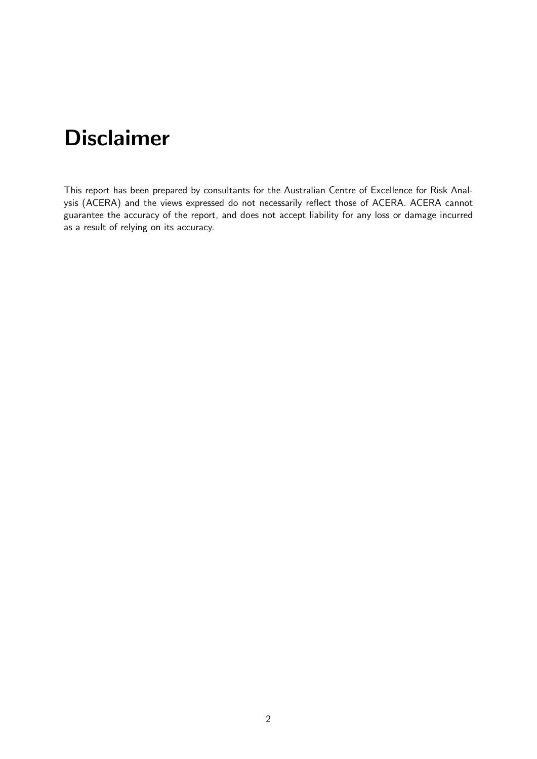# Disclaimer

This report has been prepared by consultants for the Australian Centre of Excellence for Risk Analysis (ACERA) and the views expressed do not necessarily reflect those of ACERA. ACERA cannot guarantee the accuracy of the report, and does not accept liability for any loss or damage incurred as a result of relying on its accuracy.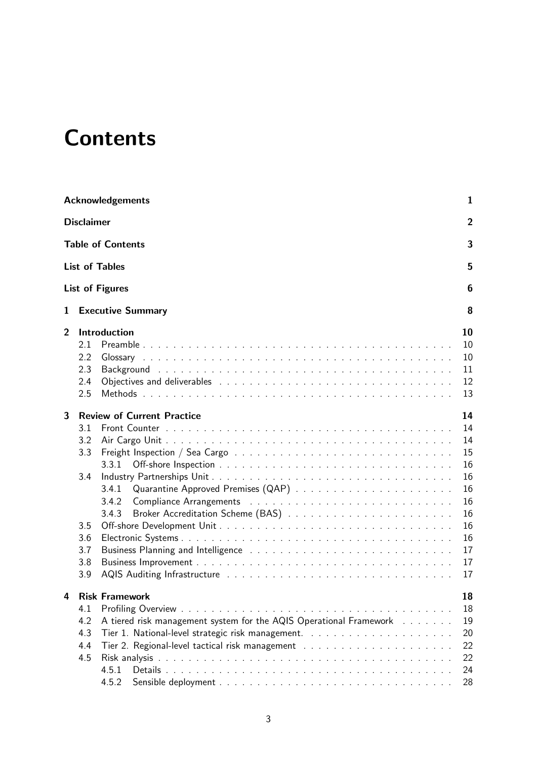# **Contents**

|   | <b>Acknowledgements</b>                                                                                                                          | 1                                                                                |
|---|--------------------------------------------------------------------------------------------------------------------------------------------------|----------------------------------------------------------------------------------|
|   | <b>Disclaimer</b>                                                                                                                                | $\overline{2}$                                                                   |
|   | <b>Table of Contents</b>                                                                                                                         | 3                                                                                |
|   | <b>List of Tables</b>                                                                                                                            | 5                                                                                |
|   | <b>List of Figures</b>                                                                                                                           | 6                                                                                |
| 1 | <b>Executive Summary</b>                                                                                                                         | 8                                                                                |
| 2 | Introduction<br>2.1<br>2.2<br>2.3<br>2.4<br>2.5                                                                                                  | 10<br>10<br>10<br>11<br>12<br>13                                                 |
| 3 | <b>Review of Current Practice</b><br>3.1<br>3.2<br>3.3<br>3.3.1<br>3.4<br>3.4.1<br>3.4.2<br>3.4.3<br>3.5<br>3.6<br>3.7<br>3.8<br>3.9             | 14<br>14<br>14<br>15<br>16<br>16<br>16<br>16<br>16<br>16<br>16<br>17<br>17<br>17 |
| 4 | <b>Risk Framework</b><br>4.1<br>4.2<br>A tiered risk management system for the AQIS Operational Framework<br>4.3<br>4.4<br>4.5<br>4.5.1<br>4.5.2 | 18<br>18<br>19<br>20<br>22<br>22<br>24<br>28                                     |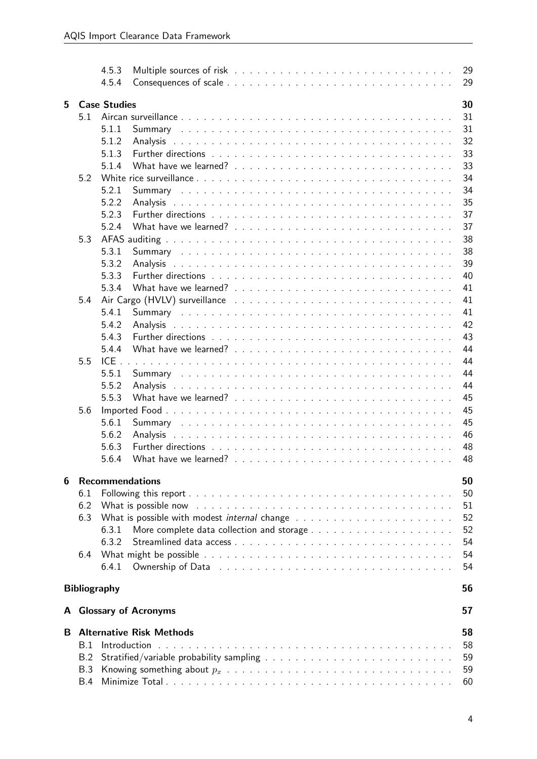|   |                     | 4.5.3<br>4.5.4      |                                 |  |  |  |  |  |  |  |  |  | 29<br>29 |
|---|---------------------|---------------------|---------------------------------|--|--|--|--|--|--|--|--|--|----------|
| 5 |                     | <b>Case Studies</b> |                                 |  |  |  |  |  |  |  |  |  | 30       |
|   | 5.1                 |                     |                                 |  |  |  |  |  |  |  |  |  | 31       |
|   |                     | 5.1.1               |                                 |  |  |  |  |  |  |  |  |  | 31       |
|   |                     |                     |                                 |  |  |  |  |  |  |  |  |  | 32       |
|   |                     | 5.1.2               |                                 |  |  |  |  |  |  |  |  |  |          |
|   |                     | 5.1.3               |                                 |  |  |  |  |  |  |  |  |  | 33       |
|   |                     | 5.1.4               |                                 |  |  |  |  |  |  |  |  |  | 33       |
|   | 5.2                 |                     |                                 |  |  |  |  |  |  |  |  |  | 34       |
|   |                     | 5.2.1               |                                 |  |  |  |  |  |  |  |  |  | 34       |
|   |                     | 5.2.2               | Analysis                        |  |  |  |  |  |  |  |  |  | 35       |
|   |                     | 5.2.3               |                                 |  |  |  |  |  |  |  |  |  | 37       |
|   |                     | 5.2.4               |                                 |  |  |  |  |  |  |  |  |  | 37       |
|   | 5.3                 |                     |                                 |  |  |  |  |  |  |  |  |  | 38       |
|   |                     | 5.3.1               |                                 |  |  |  |  |  |  |  |  |  | 38       |
|   |                     | 5.3.2               |                                 |  |  |  |  |  |  |  |  |  | 39       |
|   |                     | 5.3.3               |                                 |  |  |  |  |  |  |  |  |  | 40       |
|   |                     | 5.3.4               |                                 |  |  |  |  |  |  |  |  |  | 41       |
|   | 5.4                 |                     |                                 |  |  |  |  |  |  |  |  |  | 41       |
|   |                     | 5.4.1               |                                 |  |  |  |  |  |  |  |  |  | 41       |
|   |                     | 5.4.2               | Analysis                        |  |  |  |  |  |  |  |  |  | 42       |
|   |                     | 5.4.3               |                                 |  |  |  |  |  |  |  |  |  | 43       |
|   |                     | 5.4.4               |                                 |  |  |  |  |  |  |  |  |  | 44       |
|   | 5.5                 | $ICE$ .             |                                 |  |  |  |  |  |  |  |  |  | 44       |
|   |                     |                     |                                 |  |  |  |  |  |  |  |  |  | 44       |
|   |                     | 5.5.1               |                                 |  |  |  |  |  |  |  |  |  |          |
|   |                     | 5.5.2               | Analysis                        |  |  |  |  |  |  |  |  |  | 44       |
|   |                     | 5.5.3               |                                 |  |  |  |  |  |  |  |  |  | 45       |
|   | 5.6                 |                     |                                 |  |  |  |  |  |  |  |  |  | 45       |
|   |                     | 5.6.1               |                                 |  |  |  |  |  |  |  |  |  | 45       |
|   |                     | 5.6.2               | Analysis                        |  |  |  |  |  |  |  |  |  | 46       |
|   |                     | 5.6.3               |                                 |  |  |  |  |  |  |  |  |  | 48       |
|   |                     | 5.6.4               |                                 |  |  |  |  |  |  |  |  |  | 48       |
| 6 |                     |                     | <b>Recommendations</b>          |  |  |  |  |  |  |  |  |  | 50       |
|   | 6.1                 |                     |                                 |  |  |  |  |  |  |  |  |  | 50       |
|   |                     |                     |                                 |  |  |  |  |  |  |  |  |  |          |
|   | 6.2                 |                     |                                 |  |  |  |  |  |  |  |  |  | 51       |
|   | 6.3                 |                     |                                 |  |  |  |  |  |  |  |  |  | 52       |
|   |                     | 6.3.1               |                                 |  |  |  |  |  |  |  |  |  | 52       |
|   |                     | 6.3.2               |                                 |  |  |  |  |  |  |  |  |  | 54       |
|   | 6.4                 |                     |                                 |  |  |  |  |  |  |  |  |  | 54       |
|   |                     | 6.4.1               |                                 |  |  |  |  |  |  |  |  |  | 54       |
|   | <b>Bibliography</b> |                     |                                 |  |  |  |  |  |  |  |  |  | 56       |
|   |                     |                     | A Glossary of Acronyms          |  |  |  |  |  |  |  |  |  | 57       |
|   |                     |                     |                                 |  |  |  |  |  |  |  |  |  |          |
| B |                     |                     | <b>Alternative Risk Methods</b> |  |  |  |  |  |  |  |  |  | 58       |
|   | B.1                 |                     |                                 |  |  |  |  |  |  |  |  |  | 58       |
|   | B.2                 |                     |                                 |  |  |  |  |  |  |  |  |  | 59       |
|   | <b>B.3</b>          |                     |                                 |  |  |  |  |  |  |  |  |  | 59       |
|   | B.4                 |                     |                                 |  |  |  |  |  |  |  |  |  | 60       |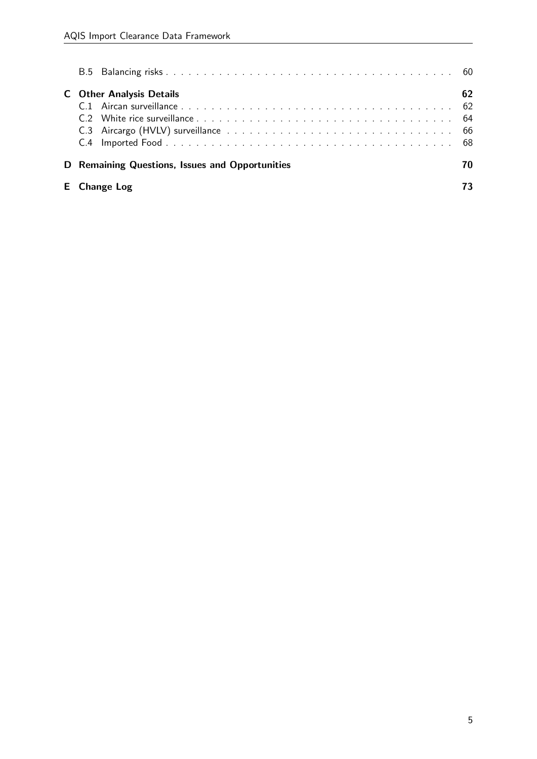| <b>C</b> Other Analysis Details                 | 62 |
|-------------------------------------------------|----|
| D Remaining Questions, Issues and Opportunities | 70 |
| <b>E</b> Change Log                             |    |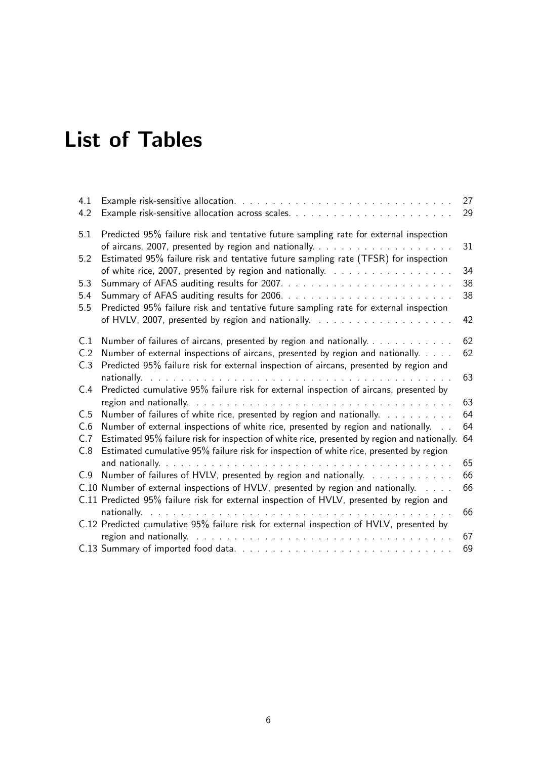# List of Tables

| 4.1        |                                                                                                                                                                                         | 27 |
|------------|-----------------------------------------------------------------------------------------------------------------------------------------------------------------------------------------|----|
| 4.2        |                                                                                                                                                                                         | 29 |
| 5.1        | Predicted 95% failure risk and tentative future sampling rate for external inspection                                                                                                   | 31 |
| 5.2        | Estimated 95% failure risk and tentative future sampling rate (TFSR) for inspection                                                                                                     | 34 |
| 5.3        |                                                                                                                                                                                         | 38 |
| 5.4<br>5.5 | Predicted 95% failure risk and tentative future sampling rate for external inspection                                                                                                   | 38 |
|            |                                                                                                                                                                                         | 42 |
| C.1        | Number of failures of aircans, presented by region and nationally.                                                                                                                      | 62 |
| C.2<br>C.3 | Number of external inspections of aircans, presented by region and nationally.<br>Predicted 95% failure risk for external inspection of aircans, presented by region and                | 62 |
| C.4        | Predicted cumulative 95% failure risk for external inspection of aircans, presented by                                                                                                  | 63 |
|            |                                                                                                                                                                                         | 63 |
| C.5        | Number of failures of white rice, presented by region and nationally.                                                                                                                   | 64 |
| C.6        | Number of external inspections of white rice, presented by region and nationally.                                                                                                       | 64 |
| C.7<br>C.8 | Estimated 95% failure risk for inspection of white rice, presented by region and nationally.<br>Estimated cumulative 95% failure risk for inspection of white rice, presented by region | 64 |
|            |                                                                                                                                                                                         | 65 |
| C.9        | Number of failures of HVLV, presented by region and nationally.                                                                                                                         | 66 |
|            | C.10 Number of external inspections of HVLV, presented by region and nationally.                                                                                                        | 66 |
|            | C.11 Predicted 95% failure risk for external inspection of HVLV, presented by region and                                                                                                |    |
|            | C.12 Predicted cumulative 95% failure risk for external inspection of HVLV, presented by                                                                                                | 66 |
|            |                                                                                                                                                                                         | 67 |
|            |                                                                                                                                                                                         | 69 |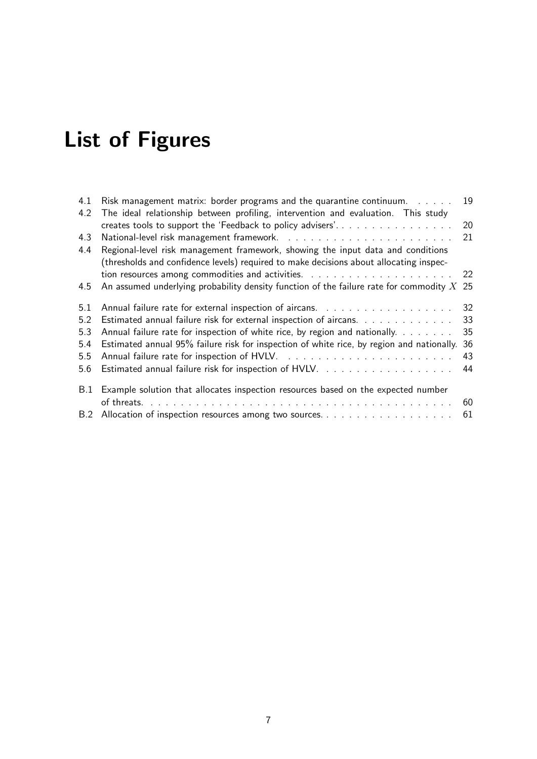# List of Figures

| 4.1 | Risk management matrix: border programs and the quarantine continuum. $\ldots$               | 19 |
|-----|----------------------------------------------------------------------------------------------|----|
| 4.2 | The ideal relationship between profiling, intervention and evaluation. This study            |    |
|     | creates tools to support the 'Feedback to policy advisers'                                   | 20 |
| 4.3 |                                                                                              | 21 |
| 4.4 | Regional-level risk management framework, showing the input data and conditions              |    |
|     | (thresholds and confidence levels) required to make decisions about allocating inspec-       |    |
|     |                                                                                              |    |
| 4.5 | An assumed underlying probability density function of the failure rate for commodity $X$ 25  |    |
| 5.1 |                                                                                              | 32 |
| 5.2 | Estimated annual failure risk for external inspection of aircans.                            | 33 |
| 5.3 | Annual failure rate for inspection of white rice, by region and nationally.                  | 35 |
| 5.4 | Estimated annual 95% failure risk for inspection of white rice, by region and nationally. 36 |    |
| 5.5 |                                                                                              | 43 |
| 5.6 |                                                                                              | 44 |
| B.1 | Example solution that allocates inspection resources based on the expected number            |    |
|     |                                                                                              | 60 |
|     | B.2 Allocation of inspection resources among two sources                                     | 61 |
|     |                                                                                              |    |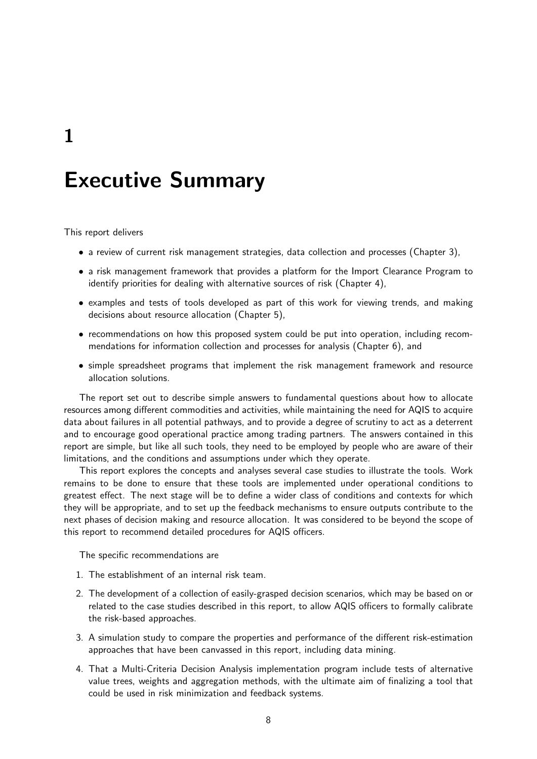1

# Executive Summary

This report delivers

- a review of current risk management strategies, data collection and processes (Chapter 3),
- a risk management framework that provides a platform for the Import Clearance Program to identify priorities for dealing with alternative sources of risk (Chapter 4),
- examples and tests of tools developed as part of this work for viewing trends, and making decisions about resource allocation (Chapter 5),
- recommendations on how this proposed system could be put into operation, including recommendations for information collection and processes for analysis (Chapter 6), and
- simple spreadsheet programs that implement the risk management framework and resource allocation solutions.

The report set out to describe simple answers to fundamental questions about how to allocate resources among different commodities and activities, while maintaining the need for AQIS to acquire data about failures in all potential pathways, and to provide a degree of scrutiny to act as a deterrent and to encourage good operational practice among trading partners. The answers contained in this report are simple, but like all such tools, they need to be employed by people who are aware of their limitations, and the conditions and assumptions under which they operate.

This report explores the concepts and analyses several case studies to illustrate the tools. Work remains to be done to ensure that these tools are implemented under operational conditions to greatest effect. The next stage will be to define a wider class of conditions and contexts for which they will be appropriate, and to set up the feedback mechanisms to ensure outputs contribute to the next phases of decision making and resource allocation. It was considered to be beyond the scope of this report to recommend detailed procedures for AQIS officers.

The specific recommendations are

- 1. The establishment of an internal risk team.
- 2. The development of a collection of easily-grasped decision scenarios, which may be based on or related to the case studies described in this report, to allow AQIS officers to formally calibrate the risk-based approaches.
- 3. A simulation study to compare the properties and performance of the different risk-estimation approaches that have been canvassed in this report, including data mining.
- 4. That a Multi-Criteria Decision Analysis implementation program include tests of alternative value trees, weights and aggregation methods, with the ultimate aim of finalizing a tool that could be used in risk minimization and feedback systems.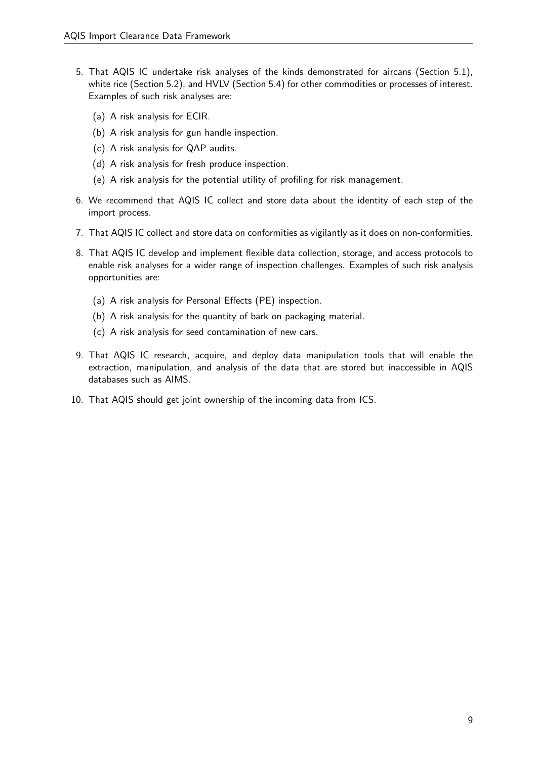- 5. That AQIS IC undertake risk analyses of the kinds demonstrated for aircans (Section 5.1), white rice (Section 5.2), and HVLV (Section 5.4) for other commodities or processes of interest. Examples of such risk analyses are:
	- (a) A risk analysis for ECIR.
	- (b) A risk analysis for gun handle inspection.
	- (c) A risk analysis for QAP audits.
	- (d) A risk analysis for fresh produce inspection.
	- (e) A risk analysis for the potential utility of profiling for risk management.
- 6. We recommend that AQIS IC collect and store data about the identity of each step of the import process.
- 7. That AQIS IC collect and store data on conformities as vigilantly as it does on non-conformities.
- 8. That AQIS IC develop and implement flexible data collection, storage, and access protocols to enable risk analyses for a wider range of inspection challenges. Examples of such risk analysis opportunities are:
	- (a) A risk analysis for Personal Effects (PE) inspection.
	- (b) A risk analysis for the quantity of bark on packaging material.
	- (c) A risk analysis for seed contamination of new cars.
- 9. That AQIS IC research, acquire, and deploy data manipulation tools that will enable the extraction, manipulation, and analysis of the data that are stored but inaccessible in AQIS databases such as AIMS.
- 10. That AQIS should get joint ownership of the incoming data from ICS.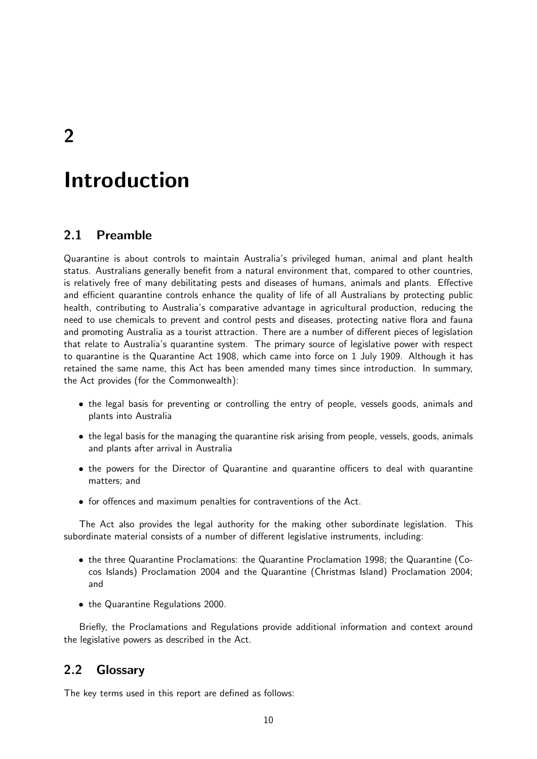2

# Introduction

## 2.1 Preamble

Quarantine is about controls to maintain Australia's privileged human, animal and plant health status. Australians generally benefit from a natural environment that, compared to other countries, is relatively free of many debilitating pests and diseases of humans, animals and plants. Effective and efficient quarantine controls enhance the quality of life of all Australians by protecting public health, contributing to Australia's comparative advantage in agricultural production, reducing the need to use chemicals to prevent and control pests and diseases, protecting native flora and fauna and promoting Australia as a tourist attraction. There are a number of different pieces of legislation that relate to Australia's quarantine system. The primary source of legislative power with respect to quarantine is the Quarantine Act 1908, which came into force on 1 July 1909. Although it has retained the same name, this Act has been amended many times since introduction. In summary, the Act provides (for the Commonwealth):

- the legal basis for preventing or controlling the entry of people, vessels goods, animals and plants into Australia
- the legal basis for the managing the quarantine risk arising from people, vessels, goods, animals and plants after arrival in Australia
- the powers for the Director of Quarantine and quarantine officers to deal with quarantine matters; and
- for offences and maximum penalties for contraventions of the Act.

The Act also provides the legal authority for the making other subordinate legislation. This subordinate material consists of a number of different legislative instruments, including:

- the three Quarantine Proclamations: the Quarantine Proclamation 1998; the Quarantine (Cocos Islands) Proclamation 2004 and the Quarantine (Christmas Island) Proclamation 2004; and
- the Quarantine Regulations 2000.

Briefly, the Proclamations and Regulations provide additional information and context around the legislative powers as described in the Act.

## 2.2 Glossary

The key terms used in this report are defined as follows: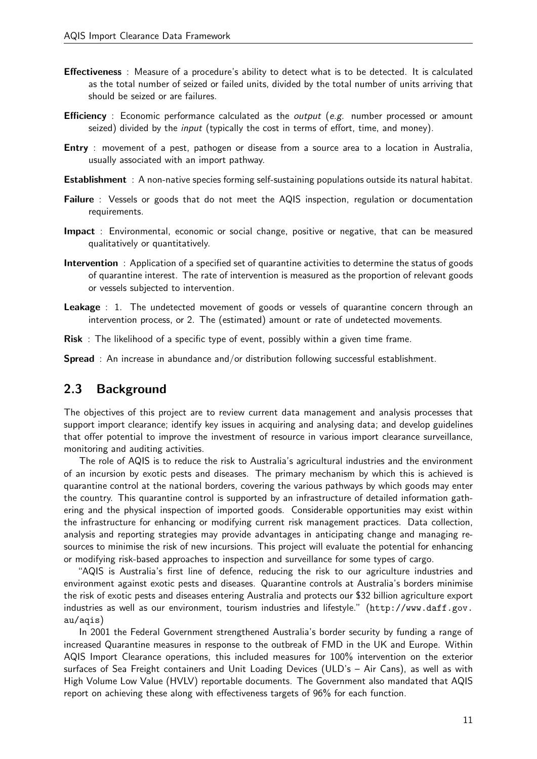- Effectiveness : Measure of a procedure's ability to detect what is to be detected. It is calculated as the total number of seized or failed units, divided by the total number of units arriving that should be seized or are failures.
- **Efficiency** : Economic performance calculated as the *output* (e.g. number processed or amount seized) divided by the *input* (typically the cost in terms of effort, time, and money).
- **Entry** : movement of a pest, pathogen or disease from a source area to a location in Australia, usually associated with an import pathway.
- Establishment : A non-native species forming self-sustaining populations outside its natural habitat.
- Failure : Vessels or goods that do not meet the AQIS inspection, regulation or documentation requirements.
- Impact : Environmental, economic or social change, positive or negative, that can be measured qualitatively or quantitatively.
- Intervention : Application of a specified set of quarantine activities to determine the status of goods of quarantine interest. The rate of intervention is measured as the proportion of relevant goods or vessels subjected to intervention.
- **Leakage** : 1. The undetected movement of goods or vessels of quarantine concern through an intervention process, or 2. The (estimated) amount or rate of undetected movements.
- Risk : The likelihood of a specific type of event, possibly within a given time frame.

Spread : An increase in abundance and/or distribution following successful establishment.

## 2.3 Background

The objectives of this project are to review current data management and analysis processes that support import clearance; identify key issues in acquiring and analysing data; and develop guidelines that offer potential to improve the investment of resource in various import clearance surveillance, monitoring and auditing activities.

The role of AQIS is to reduce the risk to Australia's agricultural industries and the environment of an incursion by exotic pests and diseases. The primary mechanism by which this is achieved is quarantine control at the national borders, covering the various pathways by which goods may enter the country. This quarantine control is supported by an infrastructure of detailed information gathering and the physical inspection of imported goods. Considerable opportunities may exist within the infrastructure for enhancing or modifying current risk management practices. Data collection, analysis and reporting strategies may provide advantages in anticipating change and managing resources to minimise the risk of new incursions. This project will evaluate the potential for enhancing or modifying risk-based approaches to inspection and surveillance for some types of cargo.

"AQIS is Australia's first line of defence, reducing the risk to our agriculture industries and environment against exotic pests and diseases. Quarantine controls at Australia's borders minimise the risk of exotic pests and diseases entering Australia and protects our \$32 billion agriculture export industries as well as our environment, tourism industries and lifestyle." (http://www.daff.gov. au/aqis)

In 2001 the Federal Government strengthened Australia's border security by funding a range of increased Quarantine measures in response to the outbreak of FMD in the UK and Europe. Within AQIS Import Clearance operations, this included measures for 100% intervention on the exterior surfaces of Sea Freight containers and Unit Loading Devices (ULD's – Air Cans), as well as with High Volume Low Value (HVLV) reportable documents. The Government also mandated that AQIS report on achieving these along with effectiveness targets of 96% for each function.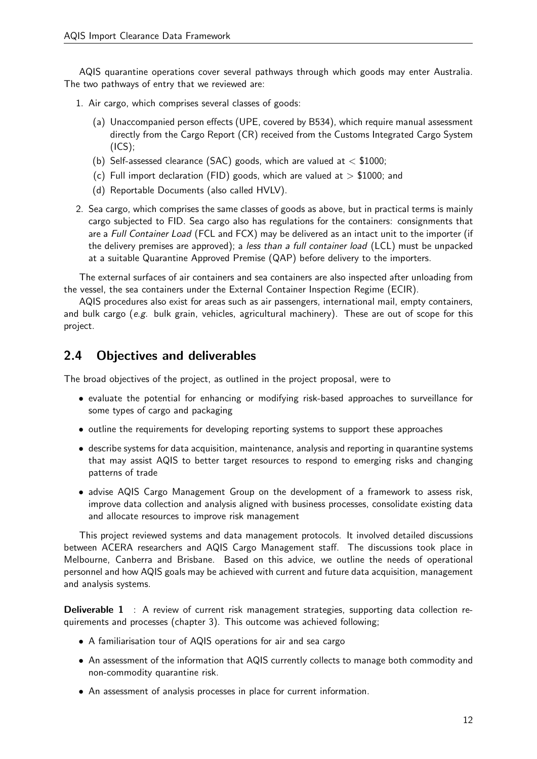AQIS quarantine operations cover several pathways through which goods may enter Australia. The two pathways of entry that we reviewed are:

- 1. Air cargo, which comprises several classes of goods:
	- (a) Unaccompanied person effects (UPE, covered by B534), which require manual assessment directly from the Cargo Report (CR) received from the Customs Integrated Cargo System  $(ICS);$
	- (b) Self-assessed clearance (SAC) goods, which are valued at  $<$  \$1000;
	- (c) Full import declaration (FID) goods, which are valued at  $>$  \$1000; and
	- (d) Reportable Documents (also called HVLV).
- 2. Sea cargo, which comprises the same classes of goods as above, but in practical terms is mainly cargo subjected to FID. Sea cargo also has regulations for the containers: consignments that are a Full Container Load (FCL and FCX) may be delivered as an intact unit to the importer (if the delivery premises are approved); a less than a full container load (LCL) must be unpacked at a suitable Quarantine Approved Premise (QAP) before delivery to the importers.

The external surfaces of air containers and sea containers are also inspected after unloading from the vessel, the sea containers under the External Container Inspection Regime (ECIR).

AQIS procedures also exist for areas such as air passengers, international mail, empty containers, and bulk cargo (e.g. bulk grain, vehicles, agricultural machinery). These are out of scope for this project.

# 2.4 Objectives and deliverables

The broad objectives of the project, as outlined in the project proposal, were to

- evaluate the potential for enhancing or modifying risk-based approaches to surveillance for some types of cargo and packaging
- outline the requirements for developing reporting systems to support these approaches
- describe systems for data acquisition, maintenance, analysis and reporting in quarantine systems that may assist AQIS to better target resources to respond to emerging risks and changing patterns of trade
- advise AQIS Cargo Management Group on the development of a framework to assess risk, improve data collection and analysis aligned with business processes, consolidate existing data and allocate resources to improve risk management

This project reviewed systems and data management protocols. It involved detailed discussions between ACERA researchers and AQIS Cargo Management staff. The discussions took place in Melbourne, Canberra and Brisbane. Based on this advice, we outline the needs of operational personnel and how AQIS goals may be achieved with current and future data acquisition, management and analysis systems.

**Deliverable 1** : A review of current risk management strategies, supporting data collection requirements and processes (chapter 3). This outcome was achieved following;

- A familiarisation tour of AQIS operations for air and sea cargo
- An assessment of the information that AQIS currently collects to manage both commodity and non-commodity quarantine risk.
- An assessment of analysis processes in place for current information.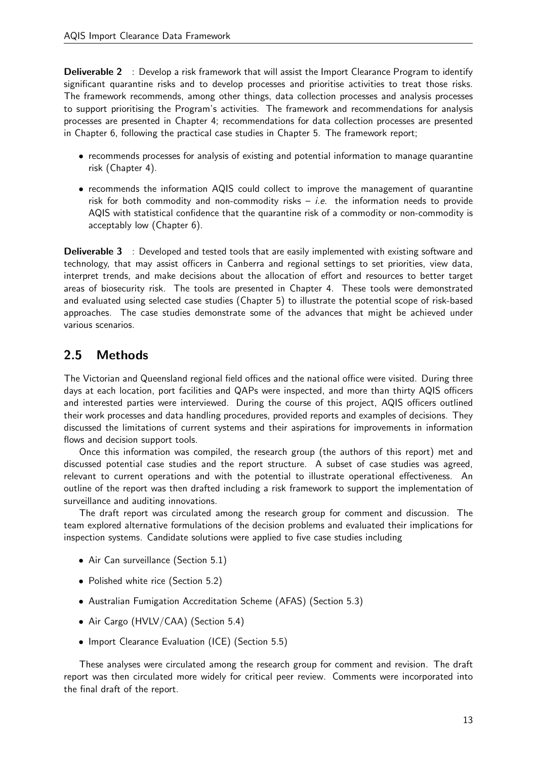**Deliverable 2** : Develop a risk framework that will assist the Import Clearance Program to identify significant quarantine risks and to develop processes and prioritise activities to treat those risks. The framework recommends, among other things, data collection processes and analysis processes to support prioritising the Program's activities. The framework and recommendations for analysis processes are presented in Chapter 4; recommendations for data collection processes are presented in Chapter 6, following the practical case studies in Chapter 5. The framework report;

- recommends processes for analysis of existing and potential information to manage quarantine risk (Chapter 4).
- recommends the information AQIS could collect to improve the management of quarantine risk for both commodity and non-commodity risks  $-$  *i.e.* the information needs to provide AQIS with statistical confidence that the quarantine risk of a commodity or non-commodity is acceptably low (Chapter 6).

**Deliverable 3** : Developed and tested tools that are easily implemented with existing software and technology, that may assist officers in Canberra and regional settings to set priorities, view data, interpret trends, and make decisions about the allocation of effort and resources to better target areas of biosecurity risk. The tools are presented in Chapter 4. These tools were demonstrated and evaluated using selected case studies (Chapter 5) to illustrate the potential scope of risk-based approaches. The case studies demonstrate some of the advances that might be achieved under various scenarios.

# 2.5 Methods

The Victorian and Queensland regional field offices and the national office were visited. During three days at each location, port facilities and QAPs were inspected, and more than thirty AQIS officers and interested parties were interviewed. During the course of this project, AQIS officers outlined their work processes and data handling procedures, provided reports and examples of decisions. They discussed the limitations of current systems and their aspirations for improvements in information flows and decision support tools.

Once this information was compiled, the research group (the authors of this report) met and discussed potential case studies and the report structure. A subset of case studies was agreed, relevant to current operations and with the potential to illustrate operational effectiveness. An outline of the report was then drafted including a risk framework to support the implementation of surveillance and auditing innovations.

The draft report was circulated among the research group for comment and discussion. The team explored alternative formulations of the decision problems and evaluated their implications for inspection systems. Candidate solutions were applied to five case studies including

- Air Can surveillance (Section 5.1)
- Polished white rice (Section 5.2)
- Australian Fumigation Accreditation Scheme (AFAS) (Section 5.3)
- Air Cargo (HVLV/CAA) (Section 5.4)
- Import Clearance Evaluation (ICE) (Section 5.5)

These analyses were circulated among the research group for comment and revision. The draft report was then circulated more widely for critical peer review. Comments were incorporated into the final draft of the report.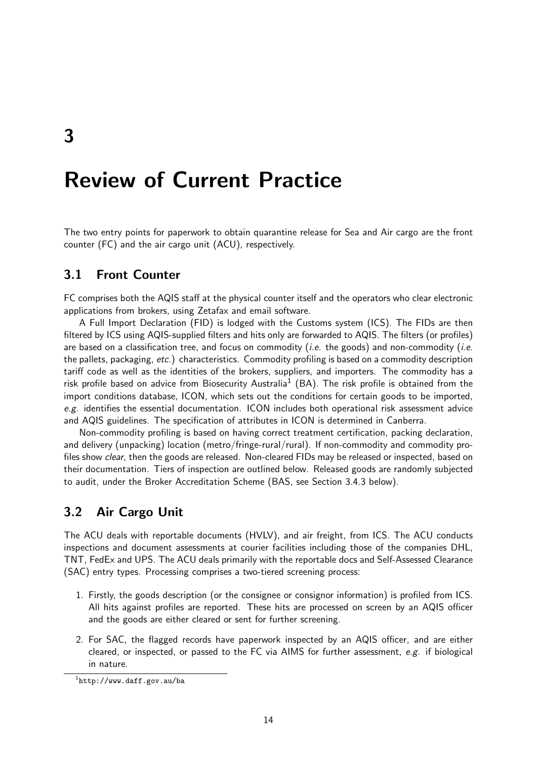# Review of Current Practice

The two entry points for paperwork to obtain quarantine release for Sea and Air cargo are the front counter (FC) and the air cargo unit (ACU), respectively.

## 3.1 Front Counter

FC comprises both the AQIS staff at the physical counter itself and the operators who clear electronic applications from brokers, using Zetafax and email software.

A Full Import Declaration (FID) is lodged with the Customs system (ICS). The FIDs are then filtered by ICS using AQIS-supplied filters and hits only are forwarded to AQIS. The filters (or profiles) are based on a classification tree, and focus on commodity (*i.e.* the goods) and non-commodity (*i.e.* the pallets, packaging, etc.) characteristics. Commodity profiling is based on a commodity description tariff code as well as the identities of the brokers, suppliers, and importers. The commodity has a risk profile based on advice from Biosecurity Australia<sup>1</sup> (BA). The risk profile is obtained from the import conditions database, ICON, which sets out the conditions for certain goods to be imported, e.g. identifies the essential documentation. ICON includes both operational risk assessment advice and AQIS guidelines. The specification of attributes in ICON is determined in Canberra.

Non-commodity profiling is based on having correct treatment certification, packing declaration, and delivery (unpacking) location (metro/fringe-rural/rural). If non-commodity and commodity profiles show clear, then the goods are released. Non-cleared FIDs may be released or inspected, based on their documentation. Tiers of inspection are outlined below. Released goods are randomly subjected to audit, under the Broker Accreditation Scheme (BAS, see Section 3.4.3 below).

## 3.2 Air Cargo Unit

The ACU deals with reportable documents (HVLV), and air freight, from ICS. The ACU conducts inspections and document assessments at courier facilities including those of the companies DHL, TNT, FedEx and UPS. The ACU deals primarily with the reportable docs and Self-Assessed Clearance (SAC) entry types. Processing comprises a two-tiered screening process:

- 1. Firstly, the goods description (or the consignee or consignor information) is profiled from ICS. All hits against profiles are reported. These hits are processed on screen by an AQIS officer and the goods are either cleared or sent for further screening.
- 2. For SAC, the flagged records have paperwork inspected by an AQIS officer, and are either cleared, or inspected, or passed to the FC via AIMS for further assessment,  $e.g.$  if biological in nature.

 $^{\rm 1}$ http://www.daff.gov.au/ba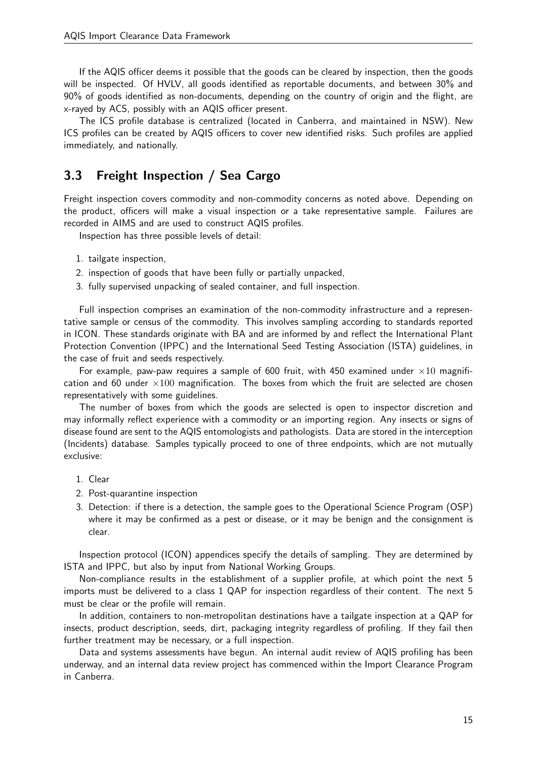If the AQIS officer deems it possible that the goods can be cleared by inspection, then the goods will be inspected. Of HVLV, all goods identified as reportable documents, and between 30% and 90% of goods identified as non-documents, depending on the country of origin and the flight, are x-rayed by ACS, possibly with an AQIS officer present.

The ICS profile database is centralized (located in Canberra, and maintained in NSW). New ICS profiles can be created by AQIS officers to cover new identified risks. Such profiles are applied immediately, and nationally.

# 3.3 Freight Inspection / Sea Cargo

Freight inspection covers commodity and non-commodity concerns as noted above. Depending on the product, officers will make a visual inspection or a take representative sample. Failures are recorded in AIMS and are used to construct AQIS profiles.

Inspection has three possible levels of detail:

- 1. tailgate inspection,
- 2. inspection of goods that have been fully or partially unpacked,
- 3. fully supervised unpacking of sealed container, and full inspection.

Full inspection comprises an examination of the non-commodity infrastructure and a representative sample or census of the commodity. This involves sampling according to standards reported in ICON. These standards originate with BA and are informed by and reflect the International Plant Protection Convention (IPPC) and the International Seed Testing Association (ISTA) guidelines, in the case of fruit and seeds respectively.

For example, paw-paw requires a sample of 600 fruit, with 450 examined under  $\times 10$  magnification and 60 under  $\times 100$  magnification. The boxes from which the fruit are selected are chosen representatively with some guidelines.

The number of boxes from which the goods are selected is open to inspector discretion and may informally reflect experience with a commodity or an importing region. Any insects or signs of disease found are sent to the AQIS entomologists and pathologists. Data are stored in the interception (Incidents) database. Samples typically proceed to one of three endpoints, which are not mutually exclusive:

- 1. Clear
- 2. Post-quarantine inspection
- 3. Detection: if there is a detection, the sample goes to the Operational Science Program (OSP) where it may be confirmed as a pest or disease, or it may be benign and the consignment is clear.

Inspection protocol (ICON) appendices specify the details of sampling. They are determined by ISTA and IPPC, but also by input from National Working Groups.

Non-compliance results in the establishment of a supplier profile, at which point the next 5 imports must be delivered to a class 1 QAP for inspection regardless of their content. The next 5 must be clear or the profile will remain.

In addition, containers to non-metropolitan destinations have a tailgate inspection at a QAP for insects, product description, seeds, dirt, packaging integrity regardless of profiling. If they fail then further treatment may be necessary, or a full inspection.

Data and systems assessments have begun. An internal audit review of AQIS profiling has been underway, and an internal data review project has commenced within the Import Clearance Program in Canberra.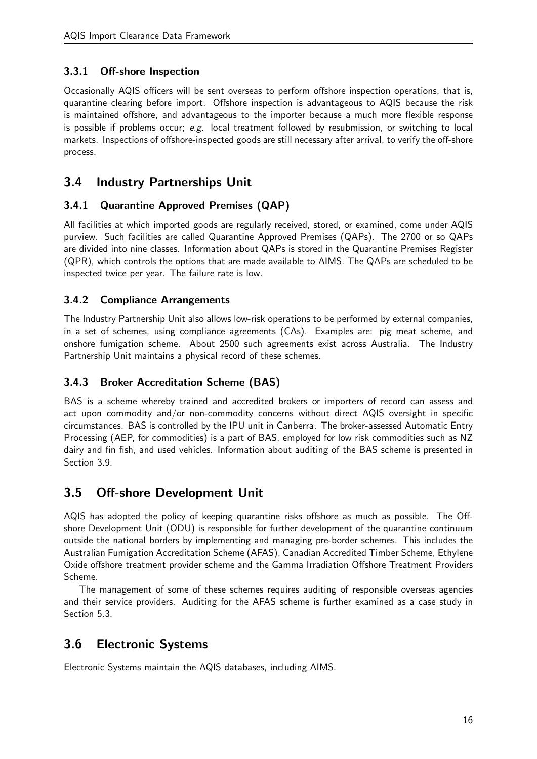## 3.3.1 Off-shore Inspection

Occasionally AQIS officers will be sent overseas to perform offshore inspection operations, that is, quarantine clearing before import. Offshore inspection is advantageous to AQIS because the risk is maintained offshore, and advantageous to the importer because a much more flexible response is possible if problems occur; e.g. local treatment followed by resubmission, or switching to local markets. Inspections of offshore-inspected goods are still necessary after arrival, to verify the off-shore process.

# 3.4 Industry Partnerships Unit

## 3.4.1 Quarantine Approved Premises (QAP)

All facilities at which imported goods are regularly received, stored, or examined, come under AQIS purview. Such facilities are called Quarantine Approved Premises (QAPs). The 2700 or so QAPs are divided into nine classes. Information about QAPs is stored in the Quarantine Premises Register (QPR), which controls the options that are made available to AIMS. The QAPs are scheduled to be inspected twice per year. The failure rate is low.

## 3.4.2 Compliance Arrangements

The Industry Partnership Unit also allows low-risk operations to be performed by external companies, in a set of schemes, using compliance agreements (CAs). Examples are: pig meat scheme, and onshore fumigation scheme. About 2500 such agreements exist across Australia. The Industry Partnership Unit maintains a physical record of these schemes.

## 3.4.3 Broker Accreditation Scheme (BAS)

BAS is a scheme whereby trained and accredited brokers or importers of record can assess and act upon commodity and/or non-commodity concerns without direct AQIS oversight in specific circumstances. BAS is controlled by the IPU unit in Canberra. The broker-assessed Automatic Entry Processing (AEP, for commodities) is a part of BAS, employed for low risk commodities such as NZ dairy and fin fish, and used vehicles. Information about auditing of the BAS scheme is presented in Section 3.9.

# 3.5 Off-shore Development Unit

AQIS has adopted the policy of keeping quarantine risks offshore as much as possible. The Offshore Development Unit (ODU) is responsible for further development of the quarantine continuum outside the national borders by implementing and managing pre-border schemes. This includes the Australian Fumigation Accreditation Scheme (AFAS), Canadian Accredited Timber Scheme, Ethylene Oxide offshore treatment provider scheme and the Gamma Irradiation Offshore Treatment Providers Scheme.

The management of some of these schemes requires auditing of responsible overseas agencies and their service providers. Auditing for the AFAS scheme is further examined as a case study in Section 5.3.

# 3.6 Electronic Systems

Electronic Systems maintain the AQIS databases, including AIMS.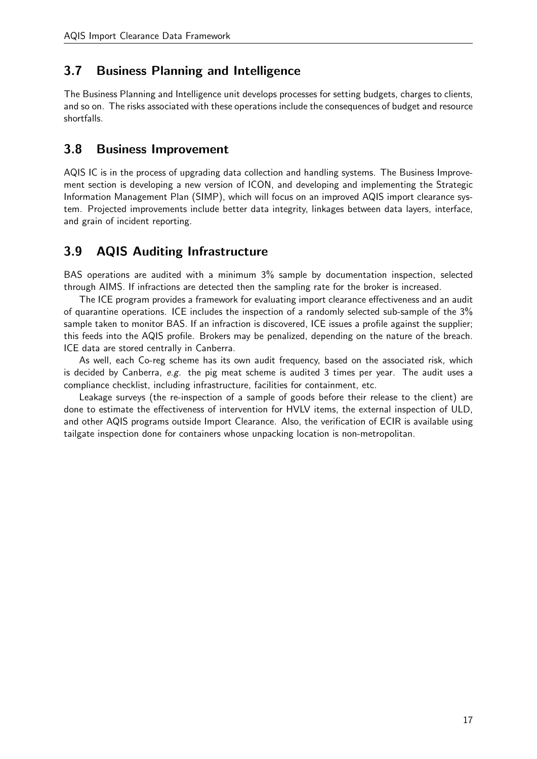# 3.7 Business Planning and Intelligence

The Business Planning and Intelligence unit develops processes for setting budgets, charges to clients, and so on. The risks associated with these operations include the consequences of budget and resource shortfalls.

# 3.8 Business Improvement

AQIS IC is in the process of upgrading data collection and handling systems. The Business Improvement section is developing a new version of ICON, and developing and implementing the Strategic Information Management Plan (SIMP), which will focus on an improved AQIS import clearance system. Projected improvements include better data integrity, linkages between data layers, interface, and grain of incident reporting.

# 3.9 AQIS Auditing Infrastructure

BAS operations are audited with a minimum 3% sample by documentation inspection, selected through AIMS. If infractions are detected then the sampling rate for the broker is increased.

The ICE program provides a framework for evaluating import clearance effectiveness and an audit of quarantine operations. ICE includes the inspection of a randomly selected sub-sample of the 3% sample taken to monitor BAS. If an infraction is discovered, ICE issues a profile against the supplier; this feeds into the AQIS profile. Brokers may be penalized, depending on the nature of the breach. ICE data are stored centrally in Canberra.

As well, each Co-reg scheme has its own audit frequency, based on the associated risk, which is decided by Canberra, e.g. the pig meat scheme is audited  $3$  times per year. The audit uses a compliance checklist, including infrastructure, facilities for containment, etc.

Leakage surveys (the re-inspection of a sample of goods before their release to the client) are done to estimate the effectiveness of intervention for HVLV items, the external inspection of ULD, and other AQIS programs outside Import Clearance. Also, the verification of ECIR is available using tailgate inspection done for containers whose unpacking location is non-metropolitan.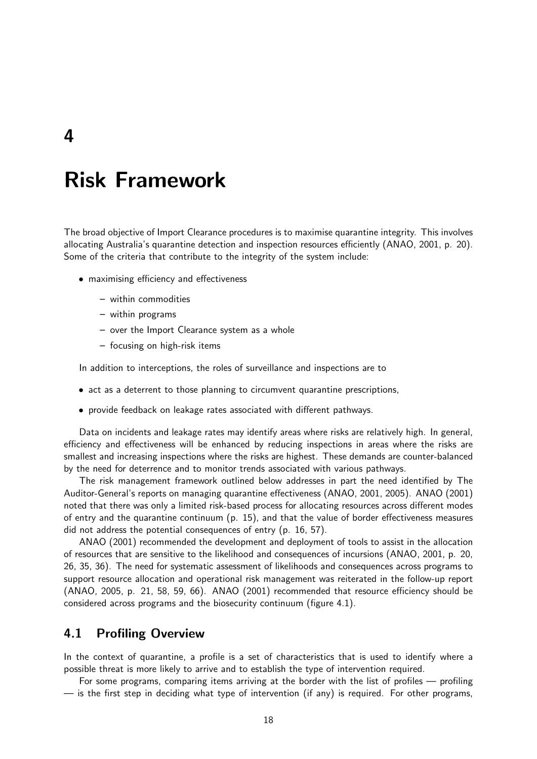# Risk Framework

The broad objective of Import Clearance procedures is to maximise quarantine integrity. This involves allocating Australia's quarantine detection and inspection resources efficiently (ANAO, 2001, p. 20). Some of the criteria that contribute to the integrity of the system include:

- maximising efficiency and effectiveness
	- within commodities
	- within programs
	- over the Import Clearance system as a whole
	- focusing on high-risk items

In addition to interceptions, the roles of surveillance and inspections are to

- act as a deterrent to those planning to circumvent quarantine prescriptions,
- provide feedback on leakage rates associated with different pathways.

Data on incidents and leakage rates may identify areas where risks are relatively high. In general, efficiency and effectiveness will be enhanced by reducing inspections in areas where the risks are smallest and increasing inspections where the risks are highest. These demands are counter-balanced by the need for deterrence and to monitor trends associated with various pathways.

The risk management framework outlined below addresses in part the need identified by The Auditor-General's reports on managing quarantine effectiveness (ANAO, 2001, 2005). ANAO (2001) noted that there was only a limited risk-based process for allocating resources across different modes of entry and the quarantine continuum (p. 15), and that the value of border effectiveness measures did not address the potential consequences of entry (p. 16, 57).

ANAO (2001) recommended the development and deployment of tools to assist in the allocation of resources that are sensitive to the likelihood and consequences of incursions (ANAO, 2001, p. 20, 26, 35, 36). The need for systematic assessment of likelihoods and consequences across programs to support resource allocation and operational risk management was reiterated in the follow-up report (ANAO, 2005, p. 21, 58, 59, 66). ANAO (2001) recommended that resource efficiency should be considered across programs and the biosecurity continuum (figure 4.1).

## 4.1 Profiling Overview

In the context of quarantine, a profile is a set of characteristics that is used to identify where a possible threat is more likely to arrive and to establish the type of intervention required.

For some programs, comparing items arriving at the border with the list of profiles — profiling — is the first step in deciding what type of intervention (if any) is required. For other programs,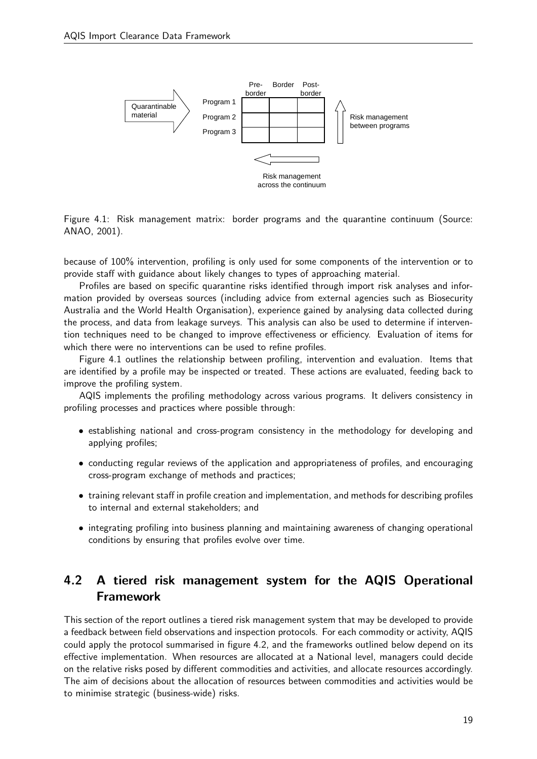

Figure 4.1: Risk management matrix: border programs and the quarantine continuum (Source: ANAO, 2001).

because of 100% intervention, profiling is only used for some components of the intervention or to provide staff with guidance about likely changes to types of approaching material.

Australia and the World Health Organisation), experience gained by analysing data collected during Profiles are based on specific quarantine risks identified through import risk analyses and information provided by overseas sources (including advice from external agencies such as Biosecurity the process, and data from leakage surveys. This analysis can also be used to determine if intervention techniques need to be changed to improve effectiveness or efficiency. Evaluation of items for which there were no interventions can be used to refine profiles.

Figure 4.1 outlines the relationship between profiling, intervention and evaluation. Items that are identified by a profile may be inspected or treated. These actions are evaluated, feeding back to improve the profiling system.

AQIS implements the profiling methodology across various programs. It delivers consistency in profiling processes and practices where possible through:

- establishing national and cross-program consistency in the methodology for developing and applying profiles;
- conducting regular reviews of the application and appropriateness of profiles, and encouraging cross-program exchange of methods and practices;
- training relevant staff in profile creation and implementation, and methods for describing profiles to internal and external stakeholders; and
- integrating profiling into business planning and maintaining awareness of changing operational conditions by ensuring that profiles evolve over time.

# 4.2 A tiered risk management system for the AQIS Operational Framework

This section of the report outlines a tiered risk management system that may be developed to provide a feedback between field observations and inspection protocols. For each commodity or activity, AQIS could apply the protocol summarised in figure 4.2, and the frameworks outlined below depend on its effective implementation. When resources are allocated at a National level, managers could decide on the relative risks posed by different commodities and activities, and allocate resources accordingly. The aim of decisions about the allocation of resources between commodities and activities would be to minimise strategic (business-wide) risks.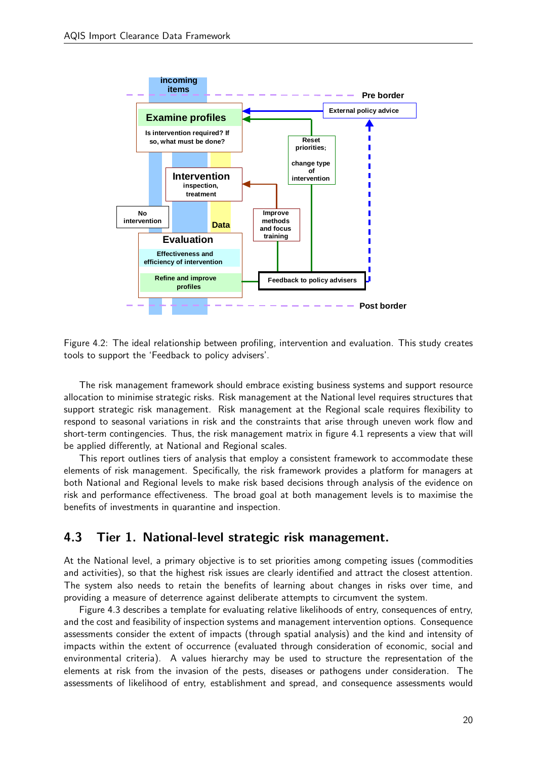

Figure 4.2: The ideal relationship between profiling, intervention and evaluation. This study creates tools to support the 'Feedback to policy advisers'.

The risk management framework should embrace existing business systems and support resource allocation to minimise strategic risks. Risk management at the National level requires structures that support strategic risk management. Risk management at the Regional scale requires flexibility to respond to seasonal variations in risk and the constraints that arise through uneven work flow and short-term contingencies. Thus, the risk management matrix in figure 4.1 represents a view that will be applied differently, at National and Regional scales.

risk and performance effectiveness. The broad goal at both management levels is to maximise the This report outlines tiers of analysis that employ a consistent framework to accommodate these elements of risk management. Specifically, the risk framework provides a platform for managers at both National and Regional levels to make risk based decisions through analysis of the evidence on benefits of investments in quarantine and inspection.

## 4.3 Tier 1. National-level strategic risk management.

At the National level, a primary objective is to set priorities among competing issues (commodities and activities), so that the highest risk issues are clearly identified and attract the closest attention. The system also needs to retain the benefits of learning about changes in risks over time, and providing a measure of deterrence against deliberate attempts to circumvent the system.

Figure 4.3 describes a template for evaluating relative likelihoods of entry, consequences of entry, and the cost and feasibility of inspection systems and management intervention options. Consequence assessments consider the extent of impacts (through spatial analysis) and the kind and intensity of impacts within the extent of occurrence (evaluated through consideration of economic, social and environmental criteria). A values hierarchy may be used to structure the representation of the elements at risk from the invasion of the pests, diseases or pathogens under consideration. The assessments of likelihood of entry, establishment and spread, and consequence assessments would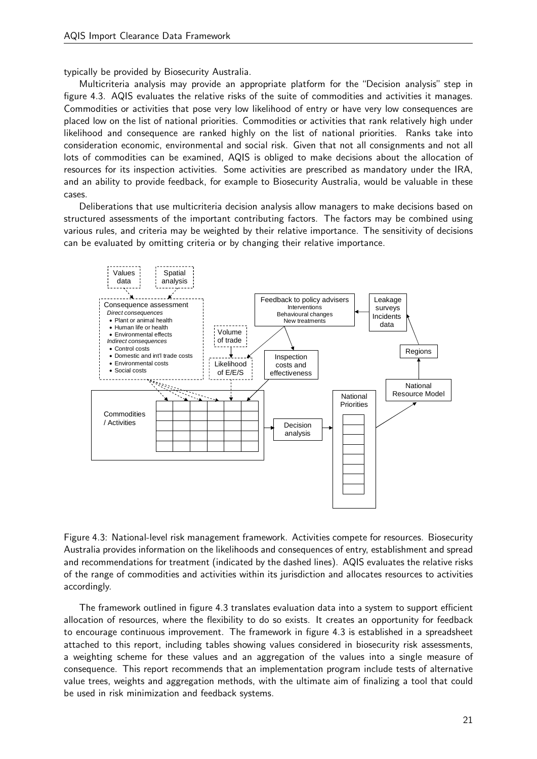typically be provided by Biosecurity Australia.

Multicriteria analysis may provide an appropriate platform for the "Decision analysis" step in figure 4.3. AQIS evaluates the relative risks of the suite of commodities and activities it manages. Commodities or activities that pose very low likelihood of entry or have very low consequences are placed low on the list of national priorities. Commodities or activities that rank relatively high under likelihood and consequence are ranked highly on the list of national priorities. Ranks take into consideration economic, environmental and social risk. Given that not all consignments and not all lots of commodities can be examined, AQIS is obliged to make decisions about the allocation of resources for its inspection activities. Some activities are prescribed as mandatory under the IRA, and an ability to provide feedback, for example to Biosecurity Australia, would be valuable in these cases.

Deliberations that use multicriteria decision analysis allow managers to make decisions based on structured assessments of the important contributing factors. The factors may be combined using various rules, and criteria may be weighted by their relative importance. The sensitivity of decisions can be evaluated by omitting criteria or by changing their relative importance.



of the range of commodities and activities within its jurisdiction and allocates resources to activities Figure 4.3: National-level risk management framework. Activities compete for resources. Biosecurity Australia provides information on the likelihoods and consequences of entry, establishment and spread and recommendations for treatment (indicated by the dashed lines). AQIS evaluates the relative risks accordingly.

The framework outlined in figure 4.3 translates evaluation data into a system to support efficient allocation of resources, where the flexibility to do so exists. It creates an opportunity for feedback to encourage continuous improvement. The framework in figure 4.3 is established in a spreadsheet attached to this report, including tables showing values considered in biosecurity risk assessments, a weighting scheme for these values and an aggregation of the values into a single measure of consequence. This report recommends that an implementation program include tests of alternative value trees, weights and aggregation methods, with the ultimate aim of finalizing a tool that could be used in risk minimization and feedback systems.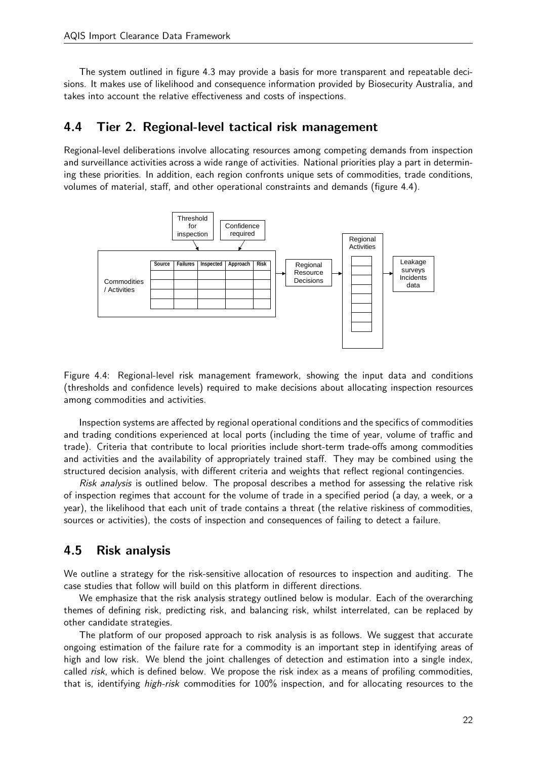The system outlined in figure 4.3 may provide a basis for more transparent and repeatable decisions. It makes use of likelihood and consequence information provided by Biosecurity Australia, and takes into account the relative effectiveness and costs of inspections.

## 4.4 Tier 2. Regional-level tactical risk management

Regional-level deliberations involve allocating resources among competing demands from inspection and surveillance activities across a wide range of activities. National priorities play a part in determining these priorities. In addition, each region confronts unique sets of commodities, trade conditions, volumes of material, staff, and other operational constraints and demands (figure 4.4).



Figure 4.4: Regional-level risk management framework, showing the input data and conditions (thresholds and confidence levels) required to make decisions about allocating inspection resources among commodities and activities.

Inspection systems are affected by regional operational conditions and the specifics of commodities and trading conditions experienced at local ports (including the time of year, volume of traffic and trade). Criteria that contribute to local priorities include short-term trade-offs among commodities and activities and the availability of appropriately trained staff. They may be combined using the structured decision analysis, with different criteria and weights that reflect regional contingencies.

Risk analysis is outlined below. The proposal describes a method for assessing the relative risk of inspection regimes that account for the volume of trade in a specified period (a day, a week, or a year), the likelihood that each unit of trade contains a threat (the relative riskiness of commodities, sources or activities), the costs of inspection and consequences of failing to detect a failure.

## 4.5 Risk analysis

We outline a strategy for the risk-sensitive allocation of resources to inspection and auditing. The case studies that follow will build on this platform in different directions.

We emphasize that the risk analysis strategy outlined below is modular. Each of the overarching themes of defining risk, predicting risk, and balancing risk, whilst interrelated, can be replaced by other candidate strategies.

The platform of our proposed approach to risk analysis is as follows. We suggest that accurate ongoing estimation of the failure rate for a commodity is an important step in identifying areas of high and low risk. We blend the joint challenges of detection and estimation into a single index, called risk, which is defined below. We propose the risk index as a means of profiling commodities, that is, identifying high-risk commodities for 100% inspection, and for allocating resources to the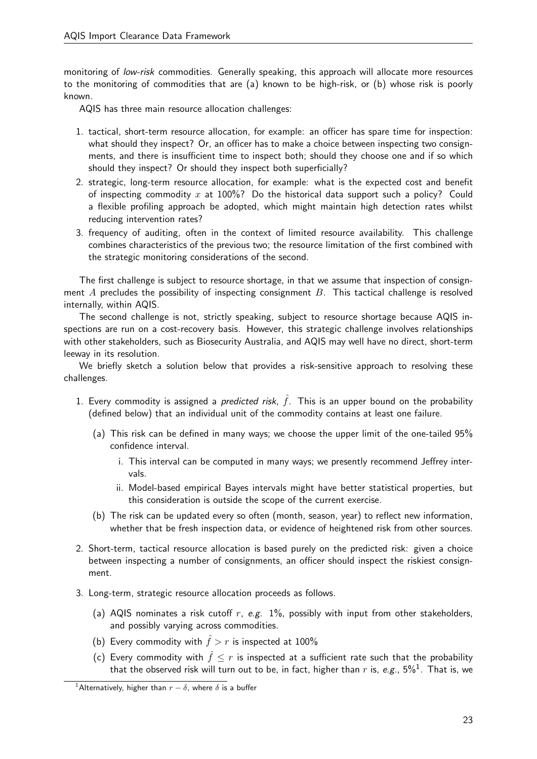monitoring of low-risk commodities. Generally speaking, this approach will allocate more resources to the monitoring of commodities that are (a) known to be high-risk, or (b) whose risk is poorly known.

AQIS has three main resource allocation challenges:

- 1. tactical, short-term resource allocation, for example: an officer has spare time for inspection: what should they inspect? Or, an officer has to make a choice between inspecting two consignments, and there is insufficient time to inspect both; should they choose one and if so which should they inspect? Or should they inspect both superficially?
- 2. strategic, long-term resource allocation, for example: what is the expected cost and benefit of inspecting commodity x at 100%? Do the historical data support such a policy? Could a flexible profiling approach be adopted, which might maintain high detection rates whilst reducing intervention rates?
- 3. frequency of auditing, often in the context of limited resource availability. This challenge combines characteristics of the previous two; the resource limitation of the first combined with the strategic monitoring considerations of the second.

The first challenge is subject to resource shortage, in that we assume that inspection of consignment  $A$  precludes the possibility of inspecting consignment  $B$ . This tactical challenge is resolved internally, within AQIS.

The second challenge is not, strictly speaking, subject to resource shortage because AQIS inspections are run on a cost-recovery basis. However, this strategic challenge involves relationships with other stakeholders, such as Biosecurity Australia, and AQIS may well have no direct, short-term leeway in its resolution.

We briefly sketch a solution below that provides a risk-sensitive approach to resolving these challenges.

- 1. Every commodity is assigned a *predicted risk*,  $\hat{f}$ . This is an upper bound on the probability (defined below) that an individual unit of the commodity contains at least one failure.
	- (a) This risk can be defined in many ways; we choose the upper limit of the one-tailed 95% confidence interval.
		- i. This interval can be computed in many ways; we presently recommend Jeffrey intervals.
		- ii. Model-based empirical Bayes intervals might have better statistical properties, but this consideration is outside the scope of the current exercise.
	- (b) The risk can be updated every so often (month, season, year) to reflect new information, whether that be fresh inspection data, or evidence of heightened risk from other sources.
- 2. Short-term, tactical resource allocation is based purely on the predicted risk: given a choice between inspecting a number of consignments, an officer should inspect the riskiest consignment.
- 3. Long-term, strategic resource allocation proceeds as follows.
	- (a) AQIS nominates a risk cutoff  $r$ , e.g. 1%, possibly with input from other stakeholders, and possibly varying across commodities.
	- (b) Every commodity with  $\hat{f} > r$  is inspected at 100%
	- (c) Every commodity with  $\hat{f} \leq r$  is inspected at a sufficient rate such that the probability that the observed risk will turn out to be, in fact, higher than  $r$  is, *e.g*., 5% $^1$ . That is, we

<sup>&</sup>lt;sup>1</sup>Alternatively, higher than  $r - \delta$ , where  $\delta$  is a buffer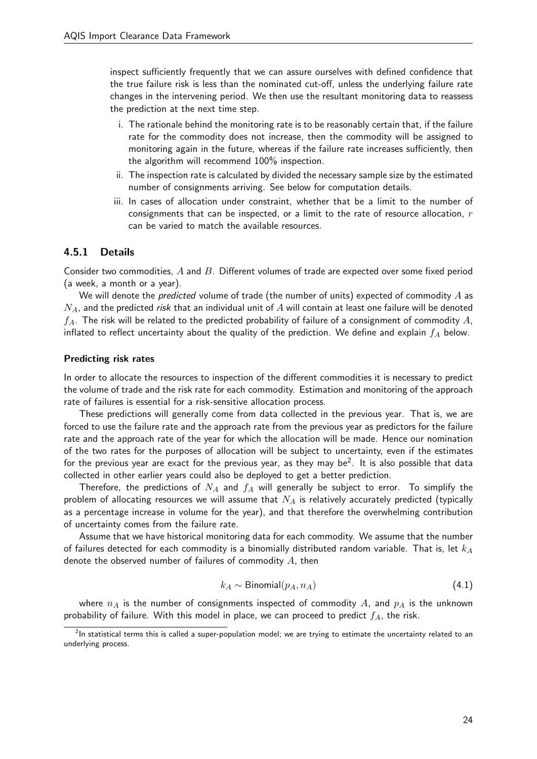inspect sufficiently frequently that we can assure ourselves with defined confidence that the true failure risk is less than the nominated cut-off, unless the underlying failure rate changes in the intervening period. We then use the resultant monitoring data to reassess the prediction at the next time step.

- i. The rationale behind the monitoring rate is to be reasonably certain that, if the failure rate for the commodity does not increase, then the commodity will be assigned to monitoring again in the future, whereas if the failure rate increases sufficiently, then the algorithm will recommend 100% inspection.
- ii. The inspection rate is calculated by divided the necessary sample size by the estimated number of consignments arriving. See below for computation details.
- iii. In cases of allocation under constraint, whether that be a limit to the number of consignments that can be inspected, or a limit to the rate of resource allocation,  $r$ can be varied to match the available resources.

### 4.5.1 Details

Consider two commodities, A and B. Different volumes of trade are expected over some fixed period (a week, a month or a year).

We will denote the *predicted* volume of trade (the number of units) expected of commodity  $A$  as  $N_A$ , and the predicted risk that an individual unit of  $A$  will contain at least one failure will be denoted  $f_A$ . The risk will be related to the predicted probability of failure of a consignment of commodity A, inflated to reflect uncertainty about the quality of the prediction. We define and explain  $f_A$  below.

#### Predicting risk rates

In order to allocate the resources to inspection of the different commodities it is necessary to predict the volume of trade and the risk rate for each commodity. Estimation and monitoring of the approach rate of failures is essential for a risk-sensitive allocation process.

These predictions will generally come from data collected in the previous year. That is, we are forced to use the failure rate and the approach rate from the previous year as predictors for the failure rate and the approach rate of the year for which the allocation will be made. Hence our nomination of the two rates for the purposes of allocation will be subject to uncertainty, even if the estimates for the previous year are exact for the previous year, as they may be<sup>2</sup>. It is also possible that data collected in other earlier years could also be deployed to get a better prediction.

Therefore, the predictions of  $N_A$  and  $f_A$  will generally be subject to error. To simplify the problem of allocating resources we will assume that  $N_A$  is relatively accurately predicted (typically as a percentage increase in volume for the year), and that therefore the overwhelming contribution of uncertainty comes from the failure rate.

Assume that we have historical monitoring data for each commodity. We assume that the number of failures detected for each commodity is a binomially distributed random variable. That is, let  $k_A$ denote the observed number of failures of commodity  $A$ , then

$$
k_A \sim \text{Binomial}(p_A, n_A) \tag{4.1}
$$

where  $n_A$  is the number of consignments inspected of commodity  $A$ , and  $p_A$  is the unknown probability of failure. With this model in place, we can proceed to predict  $f_A$ , the risk.

 $^2$ In statistical terms this is called a super-population model; we are trying to estimate the uncertainty related to an underlying process.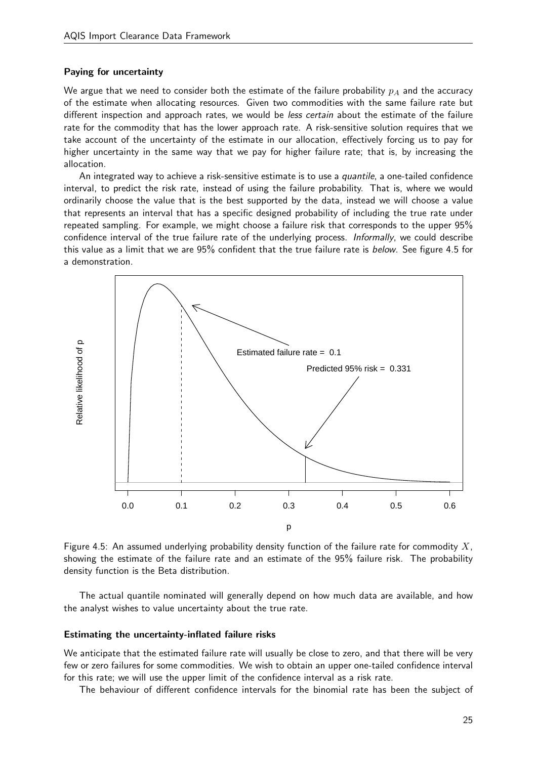#### Paying for uncertainty

We argue that we need to consider both the estimate of the failure probability  $p_A$  and the accuracy of the estimate when allocating resources. Given two commodities with the same failure rate but different inspection and approach rates, we would be *less certain* about the estimate of the failure rate for the commodity that has the lower approach rate. A risk-sensitive solution requires that we take account of the uncertainty of the estimate in our allocation, effectively forcing us to pay for higher uncertainty in the same way that we pay for higher failure rate; that is, by increasing the allocation.

An integrated way to achieve a risk-sensitive estimate is to use a *quantile*, a one-tailed confidence interval, to predict the risk rate, instead of using the failure probability. That is, where we would ordinarily choose the value that is the best supported by the data, instead we will choose a value that represents an interval that has a specific designed probability of including the true rate under repeated sampling. For example, we might choose a failure risk that corresponds to the upper 95% confidence interval of the true failure rate of the underlying process. Informally, we could describe this value as a limit that we are 95% confident that the true failure rate is below. See figure 4.5 for a demonstration.



Figure 4.5: An assumed underlying probability density function of the failure rate for commodity  $X$ , showing the estimate of the failure rate and an estimate of the 95% failure risk. The probability density function is the Beta distribution.

The actual quantile nominated will generally depend on how much data are available, and how the analyst wishes to value uncertainty about the true rate.

#### Estimating the uncertainty-inflated failure risks

We anticipate that the estimated failure rate will usually be close to zero, and that there will be very few or zero failures for some commodities. We wish to obtain an upper one-tailed confidence interval for this rate; we will use the upper limit of the confidence interval as a risk rate.

The behaviour of different confidence intervals for the binomial rate has been the subject of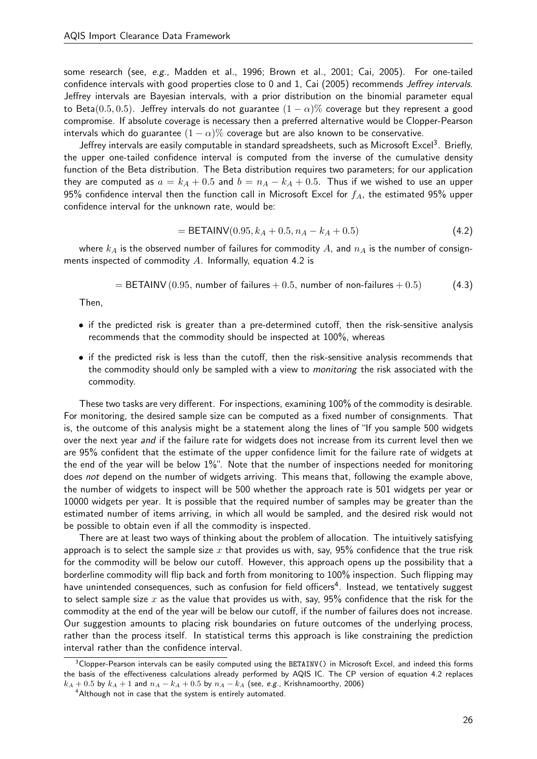some research (see, e.g., Madden et al., 1996; Brown et al., 2001; Cai, 2005). For one-tailed confidence intervals with good properties close to 0 and 1, Cai (2005) recommends Jeffrey intervals. Jeffrey intervals are Bayesian intervals, with a prior distribution on the binomial parameter equal to Beta(0.5, 0.5). Jeffrey intervals do not guarantee  $(1 - \alpha)$ % coverage but they represent a good compromise. If absolute coverage is necessary then a preferred alternative would be Clopper-Pearson intervals which do guarantee  $(1 - \alpha)$ % coverage but are also known to be conservative.

Jeffrey intervals are easily computable in standard spreadsheets, such as Microsoft Excel<sup>3</sup>. Briefly, the upper one-tailed confidence interval is computed from the inverse of the cumulative density function of the Beta distribution. The Beta distribution requires two parameters; for our application they are computed as  $a = k_A + 0.5$  and  $b = n_A - k_A + 0.5$ . Thus if we wished to use an upper 95% confidence interval then the function call in Microsoft Excel for  $f_A$ , the estimated 95% upper confidence interval for the unknown rate, would be:

$$
= \text{BETAINV}(0.95, k_A + 0.5, n_A - k_A + 0.5) \tag{4.2}
$$

where  $k_A$  is the observed number of failures for commodity  $A$ , and  $n_A$  is the number of consignments inspected of commodity A. Informally, equation 4.2 is

$$
= \text{BETAINV} (0.95, \text{ number of failures} + 0.5, \text{ number of non-failures} + 0.5)
$$
 (4.3)

Then,

- if the predicted risk is greater than a pre-determined cutoff, then the risk-sensitive analysis recommends that the commodity should be inspected at 100%, whereas
- if the predicted risk is less than the cutoff, then the risk-sensitive analysis recommends that the commodity should only be sampled with a view to monitoring the risk associated with the commodity.

These two tasks are very different. For inspections, examining 100% of the commodity is desirable. For monitoring, the desired sample size can be computed as a fixed number of consignments. That is, the outcome of this analysis might be a statement along the lines of "If you sample 500 widgets over the next year and if the failure rate for widgets does not increase from its current level then we are 95% confident that the estimate of the upper confidence limit for the failure rate of widgets at the end of the year will be below  $1\%$ ". Note that the number of inspections needed for monitoring does not depend on the number of widgets arriving. This means that, following the example above, the number of widgets to inspect will be 500 whether the approach rate is 501 widgets per year or 10000 widgets per year. It is possible that the required number of samples may be greater than the estimated number of items arriving, in which all would be sampled, and the desired risk would not be possible to obtain even if all the commodity is inspected.

There are at least two ways of thinking about the problem of allocation. The intuitively satisfying approach is to select the sample size  $x$  that provides us with, say, 95% confidence that the true risk for the commodity will be below our cutoff. However, this approach opens up the possibility that a borderline commodity will flip back and forth from monitoring to 100% inspection. Such flipping may have unintended consequences, such as confusion for field officers<sup>4</sup>. Instead, we tentatively suggest to select sample size x as the value that provides us with, say,  $95\%$  confidence that the risk for the commodity at the end of the year will be below our cutoff, if the number of failures does not increase. Our suggestion amounts to placing risk boundaries on future outcomes of the underlying process, rather than the process itself. In statistical terms this approach is like constraining the prediction interval rather than the confidence interval.

 $3$ Clopper-Pearson intervals can be easily computed using the BETAINV() in Microsoft Excel, and indeed this forms the basis of the effectiveness calculations already performed by AQIS IC. The CP version of equation 4.2 replaces  $k_A + 0.5$  by  $k_A + 1$  and  $n_A - k_A + 0.5$  by  $n_A - k_A$  (see, e.g., Krishnamoorthy, 2006)

<sup>&</sup>lt;sup>4</sup> Although not in case that the system is entirely automated.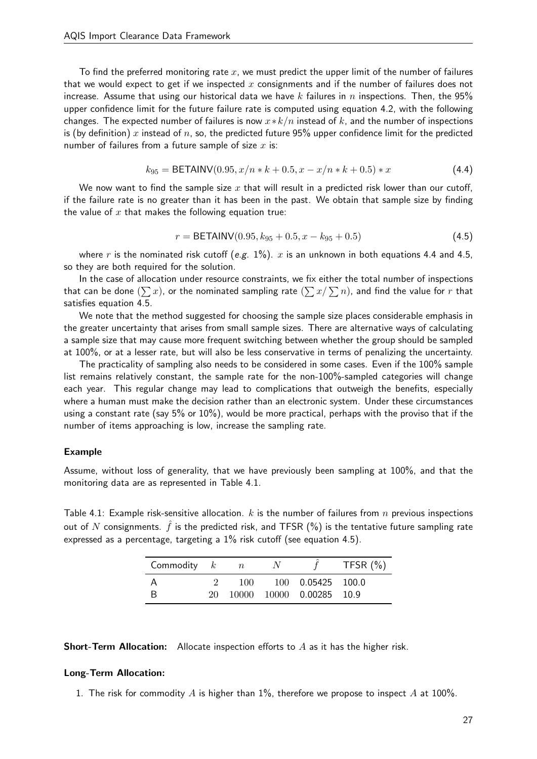To find the preferred monitoring rate  $x$ , we must predict the upper limit of the number of failures that we would expect to get if we inspected  $x$  consignments and if the number of failures does not increase. Assume that using our historical data we have k failures in n inspections. Then, the 95% upper confidence limit for the future failure rate is computed using equation 4.2, with the following changes. The expected number of failures is now  $x*k/n$  instead of k, and the number of inspections is (by definition) x instead of n, so, the predicted future 95% upper confidence limit for the predicted number of failures from a future sample of size  $x$  is:

$$
k_{95} = \text{BETAINV}(0.95, x/n * k + 0.5, x - x/n * k + 0.5) * x \tag{4.4}
$$

We now want to find the sample size  $x$  that will result in a predicted risk lower than our cutoff, if the failure rate is no greater than it has been in the past. We obtain that sample size by finding the value of  $x$  that makes the following equation true:

$$
r = \text{BETAINV}(0.95, k_{95} + 0.5, x - k_{95} + 0.5) \tag{4.5}
$$

where r is the nominated risk cutoff (e.g.  $1\%$ ). x is an unknown in both equations 4.4 and 4.5, so they are both required for the solution.

In the case of allocation under resource constraints, we fix either the total number of inspections that can be done  $(\sum x)$ , or the nominated sampling rate  $(\sum x/\sum n)$ , and find the value for  $r$  that satisfies equation 4.5.

We note that the method suggested for choosing the sample size places considerable emphasis in the greater uncertainty that arises from small sample sizes. There are alternative ways of calculating a sample size that may cause more frequent switching between whether the group should be sampled at 100%, or at a lesser rate, but will also be less conservative in terms of penalizing the uncertainty.

The practicality of sampling also needs to be considered in some cases. Even if the 100% sample list remains relatively constant, the sample rate for the non-100%-sampled categories will change each year. This regular change may lead to complications that outweigh the benefits, especially where a human must make the decision rather than an electronic system. Under these circumstances using a constant rate (say 5% or 10%), would be more practical, perhaps with the proviso that if the number of items approaching is low, increase the sampling rate.

#### Example

Assume, without loss of generality, that we have previously been sampling at 100%, and that the monitoring data are as represented in Table 4.1.

Table 4.1: Example risk-sensitive allocation. k is the number of failures from n previous inspections out of N consignments.  $\hat{f}$  is the predicted risk, and TFSR (%) is the tentative future sampling rate expressed as a percentage, targeting a 1% risk cutoff (see equation 4.5).

| Commodity $k$ |     | $\overline{n}$ |                          | TFSR $(\%)$ |
|---------------|-----|----------------|--------------------------|-------------|
| А             |     | 100            | 100 0.05425 100.0        |             |
|               | 20- |                | 10000 10000 0.00285 10.9 |             |

**Short-Term Allocation:** Allocate inspection efforts to  $A$  as it has the higher risk.

#### Long-Term Allocation:

1. The risk for commodity  $A$  is higher than 1%, therefore we propose to inspect  $A$  at 100%.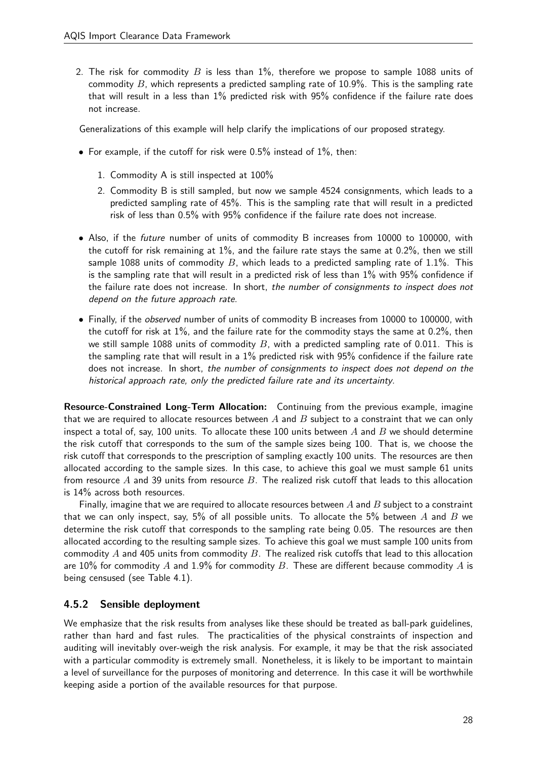2. The risk for commodity B is less than  $1\%$ , therefore we propose to sample 1088 units of commodity  $B$ , which represents a predicted sampling rate of 10.9%. This is the sampling rate that will result in a less than 1% predicted risk with 95% confidence if the failure rate does not increase.

Generalizations of this example will help clarify the implications of our proposed strategy.

- For example, if the cutoff for risk were  $0.5\%$  instead of  $1\%$ , then:
	- 1. Commodity A is still inspected at 100%
	- 2. Commodity B is still sampled, but now we sample 4524 consignments, which leads to a predicted sampling rate of 45%. This is the sampling rate that will result in a predicted risk of less than 0.5% with 95% confidence if the failure rate does not increase.
- Also, if the future number of units of commodity B increases from 10000 to 100000, with the cutoff for risk remaining at 1%, and the failure rate stays the same at 0.2%, then we still sample 1088 units of commodity B, which leads to a predicted sampling rate of 1.1%. This is the sampling rate that will result in a predicted risk of less than 1% with 95% confidence if the failure rate does not increase. In short, the number of consignments to inspect does not depend on the future approach rate.
- Finally, if the observed number of units of commodity B increases from 10000 to 100000, with the cutoff for risk at 1%, and the failure rate for the commodity stays the same at 0.2%, then we still sample 1088 units of commodity  $B$ , with a predicted sampling rate of 0.011. This is the sampling rate that will result in a 1% predicted risk with 95% confidence if the failure rate does not increase. In short, the number of consignments to inspect does not depend on the historical approach rate, only the predicted failure rate and its uncertainty.

Resource-Constrained Long-Term Allocation: Continuing from the previous example, imagine that we are required to allocate resources between  $A$  and  $B$  subject to a constraint that we can only inspect a total of, say, 100 units. To allocate these 100 units between  $A$  and  $B$  we should determine the risk cutoff that corresponds to the sum of the sample sizes being 100. That is, we choose the risk cutoff that corresponds to the prescription of sampling exactly 100 units. The resources are then allocated according to the sample sizes. In this case, to achieve this goal we must sample 61 units from resource A and 39 units from resource B. The realized risk cutoff that leads to this allocation is 14% across both resources.

Finally, imagine that we are required to allocate resources between  $A$  and  $B$  subject to a constraint that we can only inspect, say, 5% of all possible units. To allocate the 5% between  $A$  and  $B$  we determine the risk cutoff that corresponds to the sampling rate being 0.05. The resources are then allocated according to the resulting sample sizes. To achieve this goal we must sample 100 units from commodity  $A$  and 405 units from commodity  $B$ . The realized risk cutoffs that lead to this allocation are 10% for commodity  $A$  and 1.9% for commodity  $B$ . These are different because commodity  $A$  is being censused (see Table 4.1).

## 4.5.2 Sensible deployment

We emphasize that the risk results from analyses like these should be treated as ball-park guidelines, rather than hard and fast rules. The practicalities of the physical constraints of inspection and auditing will inevitably over-weigh the risk analysis. For example, it may be that the risk associated with a particular commodity is extremely small. Nonetheless, it is likely to be important to maintain a level of surveillance for the purposes of monitoring and deterrence. In this case it will be worthwhile keeping aside a portion of the available resources for that purpose.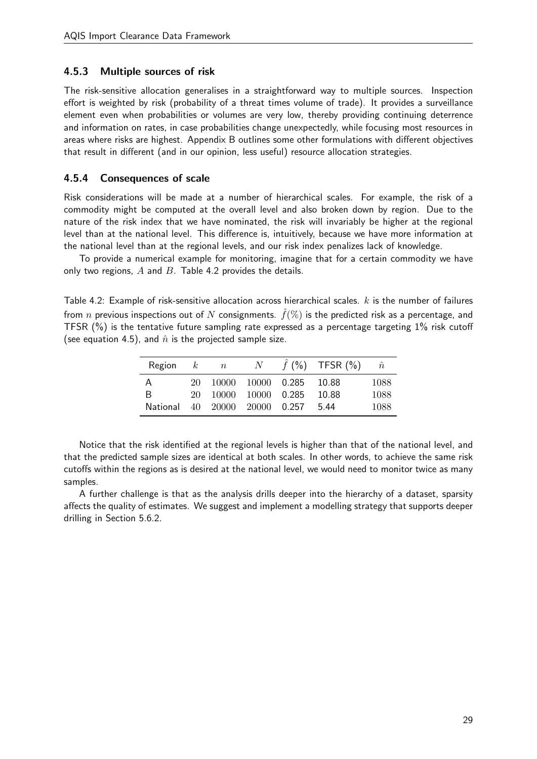### 4.5.3 Multiple sources of risk

The risk-sensitive allocation generalises in a straightforward way to multiple sources. Inspection effort is weighted by risk (probability of a threat times volume of trade). It provides a surveillance element even when probabilities or volumes are very low, thereby providing continuing deterrence and information on rates, in case probabilities change unexpectedly, while focusing most resources in areas where risks are highest. Appendix B outlines some other formulations with different objectives that result in different (and in our opinion, less useful) resource allocation strategies.

### 4.5.4 Consequences of scale

Risk considerations will be made at a number of hierarchical scales. For example, the risk of a commodity might be computed at the overall level and also broken down by region. Due to the nature of the risk index that we have nominated, the risk will invariably be higher at the regional level than at the national level. This difference is, intuitively, because we have more information at the national level than at the regional levels, and our risk index penalizes lack of knowledge.

To provide a numerical example for monitoring, imagine that for a certain commodity we have only two regions,  $A$  and  $B$ . Table 4.2 provides the details.

Table 4.2: Example of risk-sensitive allocation across hierarchical scales.  $k$  is the number of failures from n previous inspections out of N consignments.  $\hat{f}(\%)$  is the predicted risk as a percentage, and TFSR (%) is the tentative future sampling rate expressed as a percentage targeting 1% risk cutoff (see equation 4.5), and  $\hat{n}$  is the projected sample size.

| Region   | $\cdot$ k | $\overline{n}$ | N |                            | $f$ (%) TFSR (%) | $\hat{n}$ |
|----------|-----------|----------------|---|----------------------------|------------------|-----------|
| A        |           |                |   | 20 10000 10000 0.285 10.88 |                  | 1088      |
| B        |           |                |   | 20 10000 10000 0.285 10.88 |                  | 1088      |
| National |           |                |   | 40 20000 20000 0.257 5.44  |                  | 1088      |

Notice that the risk identified at the regional levels is higher than that of the national level, and that the predicted sample sizes are identical at both scales. In other words, to achieve the same risk cutoffs within the regions as is desired at the national level, we would need to monitor twice as many samples.

A further challenge is that as the analysis drills deeper into the hierarchy of a dataset, sparsity affects the quality of estimates. We suggest and implement a modelling strategy that supports deeper drilling in Section 5.6.2.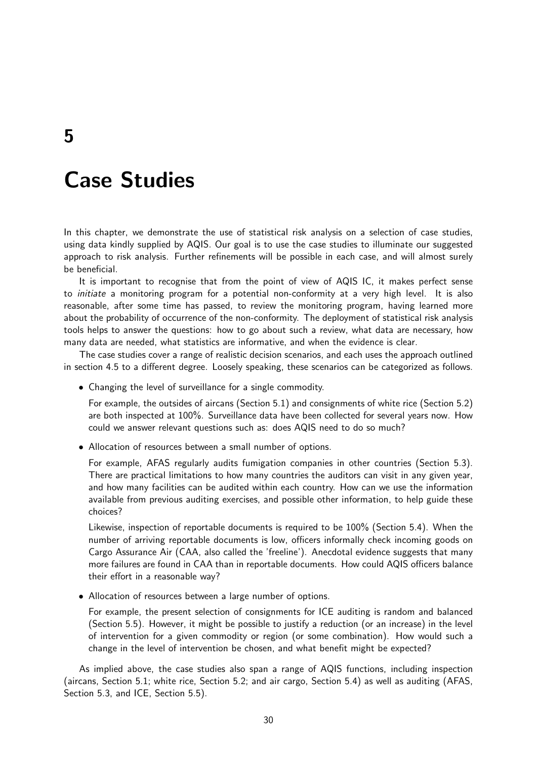5

# Case Studies

In this chapter, we demonstrate the use of statistical risk analysis on a selection of case studies, using data kindly supplied by AQIS. Our goal is to use the case studies to illuminate our suggested approach to risk analysis. Further refinements will be possible in each case, and will almost surely be beneficial.

It is important to recognise that from the point of view of AQIS IC, it makes perfect sense to initiate a monitoring program for a potential non-conformity at a very high level. It is also reasonable, after some time has passed, to review the monitoring program, having learned more about the probability of occurrence of the non-conformity. The deployment of statistical risk analysis tools helps to answer the questions: how to go about such a review, what data are necessary, how many data are needed, what statistics are informative, and when the evidence is clear.

The case studies cover a range of realistic decision scenarios, and each uses the approach outlined in section 4.5 to a different degree. Loosely speaking, these scenarios can be categorized as follows.

• Changing the level of surveillance for a single commodity.

For example, the outsides of aircans (Section 5.1) and consignments of white rice (Section 5.2) are both inspected at 100%. Surveillance data have been collected for several years now. How could we answer relevant questions such as: does AQIS need to do so much?

• Allocation of resources between a small number of options.

For example, AFAS regularly audits fumigation companies in other countries (Section 5.3). There are practical limitations to how many countries the auditors can visit in any given year, and how many facilities can be audited within each country. How can we use the information available from previous auditing exercises, and possible other information, to help guide these choices?

Likewise, inspection of reportable documents is required to be 100% (Section 5.4). When the number of arriving reportable documents is low, officers informally check incoming goods on Cargo Assurance Air (CAA, also called the 'freeline'). Anecdotal evidence suggests that many more failures are found in CAA than in reportable documents. How could AQIS officers balance their effort in a reasonable way?

• Allocation of resources between a large number of options.

For example, the present selection of consignments for ICE auditing is random and balanced (Section 5.5). However, it might be possible to justify a reduction (or an increase) in the level of intervention for a given commodity or region (or some combination). How would such a change in the level of intervention be chosen, and what benefit might be expected?

As implied above, the case studies also span a range of AQIS functions, including inspection (aircans, Section 5.1; white rice, Section 5.2; and air cargo, Section 5.4) as well as auditing (AFAS, Section 5.3, and ICE, Section 5.5).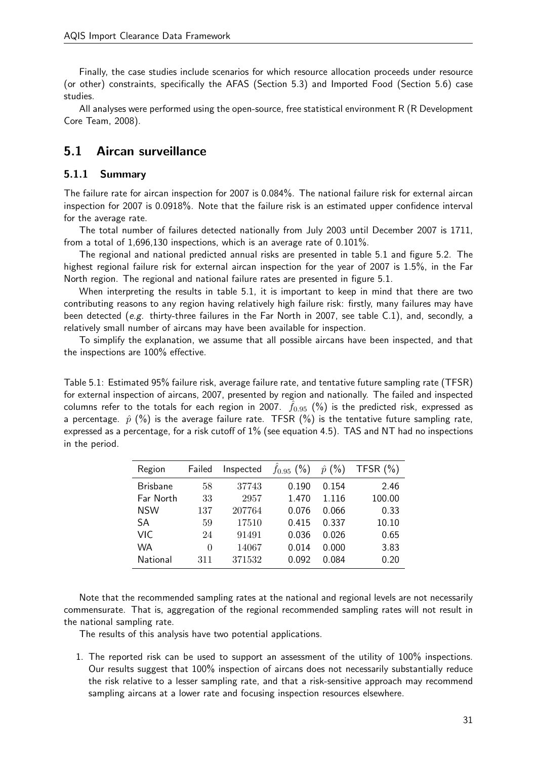Finally, the case studies include scenarios for which resource allocation proceeds under resource (or other) constraints, specifically the AFAS (Section 5.3) and Imported Food (Section 5.6) case studies.

All analyses were performed using the open-source, free statistical environment R (R Development Core Team, 2008).

## 5.1 Aircan surveillance

### 5.1.1 Summary

The failure rate for aircan inspection for 2007 is 0.084%. The national failure risk for external aircan inspection for 2007 is 0.0918%. Note that the failure risk is an estimated upper confidence interval for the average rate.

The total number of failures detected nationally from July 2003 until December 2007 is 1711, from a total of 1,696,130 inspections, which is an average rate of 0.101%.

The regional and national predicted annual risks are presented in table 5.1 and figure 5.2. The highest regional failure risk for external aircan inspection for the year of 2007 is 1.5%, in the Far North region. The regional and national failure rates are presented in figure 5.1.

When interpreting the results in table 5.1, it is important to keep in mind that there are two contributing reasons to any region having relatively high failure risk: firstly, many failures may have been detected (e.g. thirty-three failures in the Far North in 2007, see table C.1), and, secondly, a relatively small number of aircans may have been available for inspection.

To simplify the explanation, we assume that all possible aircans have been inspected, and that the inspections are 100% effective.

Table 5.1: Estimated 95% failure risk, average failure rate, and tentative future sampling rate (TFSR) for external inspection of aircans, 2007, presented by region and nationally. The failed and inspected columns refer to the totals for each region in 2007.  $f_{0.95}$  (%) is the predicted risk, expressed as a percentage.  $\hat{p}$  (%) is the average failure rate. TFSR (%) is the tentative future sampling rate, expressed as a percentage, for a risk cutoff of 1% (see equation 4.5). TAS and NT had no inspections in the period.

| Region          | Failed | Inspected | $f_{0.95}$ (%) | (%)<br>$\hat{p}$ | TFSR $(\%)$ |
|-----------------|--------|-----------|----------------|------------------|-------------|
| <b>Brisbane</b> | 58     | 37743     | 0.190          | 0.154            | 2.46        |
| Far North       | 33     | 2957      | 1.470          | 1.116            | 100.00      |
| <b>NSW</b>      | 137    | 207764    | 0.076          | 0.066            | 0.33        |
| SА              | 59     | 17510     | 0.415          | 0.337            | 10.10       |
| VIC             | 24     | 91491     | 0.036          | 0.026            | 0.65        |
| WA              | 0      | 14067     | 0.014          | 0.000            | 3.83        |
| National        | 311    | 371532    | 0.092          | 0.084            | 0.20        |

Note that the recommended sampling rates at the national and regional levels are not necessarily commensurate. That is, aggregation of the regional recommended sampling rates will not result in the national sampling rate.

The results of this analysis have two potential applications.

1. The reported risk can be used to support an assessment of the utility of 100% inspections. Our results suggest that 100% inspection of aircans does not necessarily substantially reduce the risk relative to a lesser sampling rate, and that a risk-sensitive approach may recommend sampling aircans at a lower rate and focusing inspection resources elsewhere.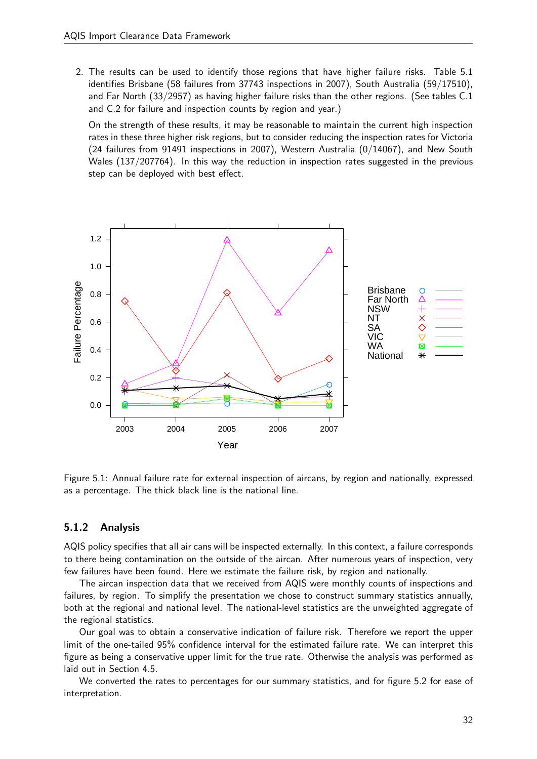2. The results can be used to identify those regions that have higher failure risks. Table 5.1 identifies Brisbane (58 failures from 37743 inspections in 2007), South Australia (59/17510), and Far North (33/2957) as having higher failure risks than the other regions. (See tables C.1 and C.2 for failure and inspection counts by region and year.)

On the strength of these results, it may be reasonable to maintain the current high inspection rates in these three higher risk regions, but to consider reducing the inspection rates for Victoria (24 failures from 91491 inspections in 2007), Western Australia (0/14067), and New South Wales (137/207764). In this way the reduction in inspection rates suggested in the previous step can be deployed with best effect.



Figure 5.1: Annual failure rate for external inspection of aircans, by region and nationally, expressed as a percentage. The thick black line is the national line.

## 5.1.2 Analysis

AQIS policy specifies that all air cans will be inspected externally. In this context, a failure corresponds to there being contamination on the outside of the aircan. After numerous years of inspection, very few failures have been found. Here we estimate the failure risk, by region and nationally.

The aircan inspection data that we received from AQIS were monthly counts of inspections and failures, by region. To simplify the presentation we chose to construct summary statistics annually, both at the regional and national level. The national-level statistics are the unweighted aggregate of the regional statistics.

Our goal was to obtain a conservative indication of failure risk. Therefore we report the upper limit of the one-tailed 95% confidence interval for the estimated failure rate. We can interpret this figure as being a conservative upper limit for the true rate. Otherwise the analysis was performed as laid out in Section 4.5.

We converted the rates to percentages for our summary statistics, and for figure 5.2 for ease of interpretation.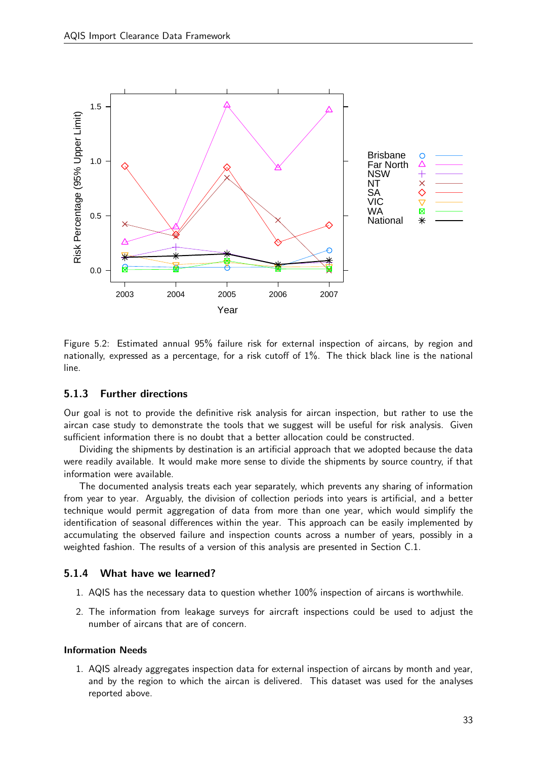

Figure 5.2: Estimated annual 95% failure risk for external inspection of aircans, by region and nationally, expressed as a percentage, for a risk cutoff of 1%. The thick black line is the national line.

## 5.1.3 Further directions

Our goal is not to provide the definitive risk analysis for aircan inspection, but rather to use the aircan case study to demonstrate the tools that we suggest will be useful for risk analysis. Given sufficient information there is no doubt that a better allocation could be constructed.

Dividing the shipments by destination is an artificial approach that we adopted because the data were readily available. It would make more sense to divide the shipments by source country, if that information were available.

The documented analysis treats each year separately, which prevents any sharing of information from year to year. Arguably, the division of collection periods into years is artificial, and a better technique would permit aggregation of data from more than one year, which would simplify the identification of seasonal differences within the year. This approach can be easily implemented by accumulating the observed failure and inspection counts across a number of years, possibly in a weighted fashion. The results of a version of this analysis are presented in Section C.1.

### 5.1.4 What have we learned?

- 1. AQIS has the necessary data to question whether 100% inspection of aircans is worthwhile.
- 2. The information from leakage surveys for aircraft inspections could be used to adjust the number of aircans that are of concern.

### Information Needs

1. AQIS already aggregates inspection data for external inspection of aircans by month and year, and by the region to which the aircan is delivered. This dataset was used for the analyses reported above.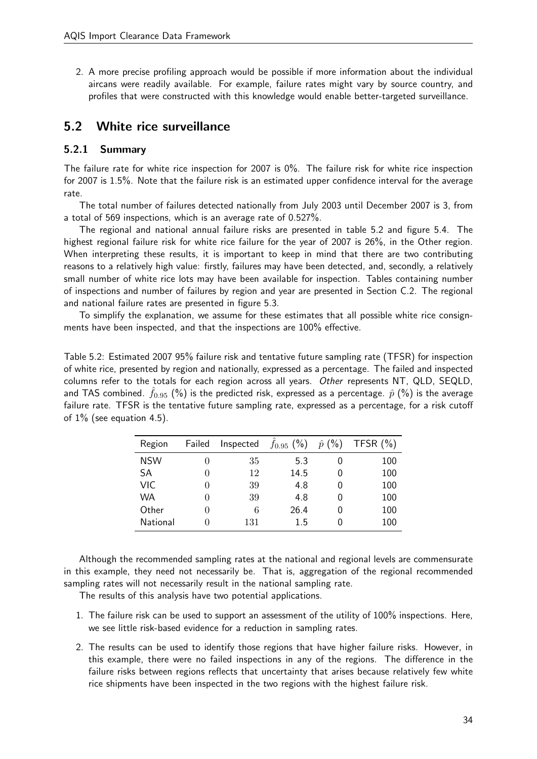2. A more precise profiling approach would be possible if more information about the individual aircans were readily available. For example, failure rates might vary by source country, and profiles that were constructed with this knowledge would enable better-targeted surveillance.

## 5.2 White rice surveillance

### 5.2.1 Summary

The failure rate for white rice inspection for 2007 is 0%. The failure risk for white rice inspection for 2007 is 1.5%. Note that the failure risk is an estimated upper confidence interval for the average rate.

The total number of failures detected nationally from July 2003 until December 2007 is 3, from a total of 569 inspections, which is an average rate of 0.527%.

The regional and national annual failure risks are presented in table 5.2 and figure 5.4. The highest regional failure risk for white rice failure for the year of 2007 is 26%, in the Other region. When interpreting these results, it is important to keep in mind that there are two contributing reasons to a relatively high value: firstly, failures may have been detected, and, secondly, a relatively small number of white rice lots may have been available for inspection. Tables containing number of inspections and number of failures by region and year are presented in Section C.2. The regional and national failure rates are presented in figure 5.3.

To simplify the explanation, we assume for these estimates that all possible white rice consignments have been inspected, and that the inspections are 100% effective.

Table 5.2: Estimated 2007 95% failure risk and tentative future sampling rate (TFSR) for inspection of white rice, presented by region and nationally, expressed as a percentage. The failed and inspected columns refer to the totals for each region across all years. Other represents NT, QLD, SEQLD, and TAS combined.  $f_{0.95}$  (%) is the predicted risk, expressed as a percentage.  $\hat{p}$  (%) is the average failure rate. TFSR is the tentative future sampling rate, expressed as a percentage, for a risk cutoff of  $1\%$  (see equation 4.5).

| Region     | Failed       | Inspected | $\hat{f}_{0.95}$ (%) | $\hat{p}$ (%) | TFSR $(\%)$ |
|------------|--------------|-----------|----------------------|---------------|-------------|
| <b>NSW</b> | 0            | 35        | 5.3                  |               | 100         |
| SА         | $\theta$     | 12        | 14.5                 | 0             | 100         |
| VIC.       | $\theta$     | 39        | 4.8                  | 0             | 100         |
| WA         | $\theta$     | 39        | 4.8                  | 0             | 100         |
| Other      | $\mathbf{0}$ | 6         | 26.4                 |               | 100         |
| National   | $\mathbf{0}$ | 131       | 15                   |               | 100         |

Although the recommended sampling rates at the national and regional levels are commensurate in this example, they need not necessarily be. That is, aggregation of the regional recommended sampling rates will not necessarily result in the national sampling rate.

The results of this analysis have two potential applications.

- 1. The failure risk can be used to support an assessment of the utility of 100% inspections. Here, we see little risk-based evidence for a reduction in sampling rates.
- 2. The results can be used to identify those regions that have higher failure risks. However, in this example, there were no failed inspections in any of the regions. The difference in the failure risks between regions reflects that uncertainty that arises because relatively few white rice shipments have been inspected in the two regions with the highest failure risk.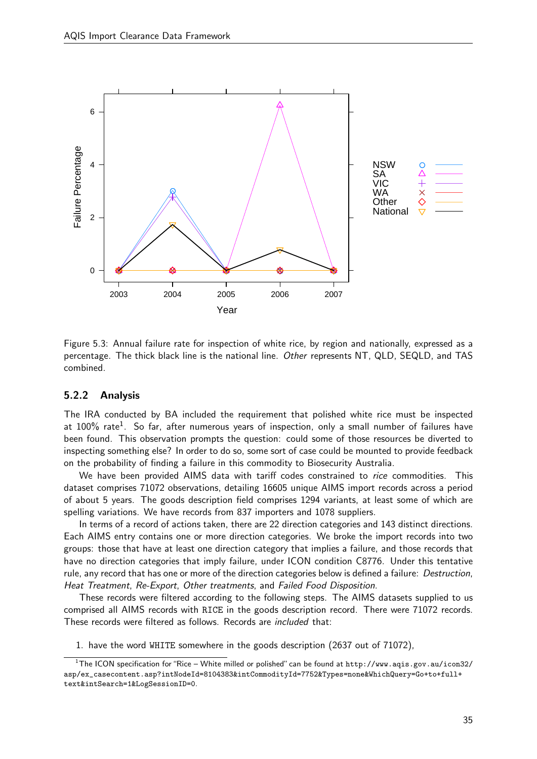

Figure 5.3: Annual failure rate for inspection of white rice, by region and nationally, expressed as a percentage. The thick black line is the national line. Other represents NT, QLD, SEQLD, and TAS combined.

#### 5.2.2 Analysis

The IRA conducted by BA included the requirement that polished white rice must be inspected at 100% rate<sup>1</sup>. So far, after numerous years of inspection, only a small number of failures have been found. This observation prompts the question: could some of those resources be diverted to inspecting something else? In order to do so, some sort of case could be mounted to provide feedback on the probability of finding a failure in this commodity to Biosecurity Australia.

We have been provided AIMS data with tariff codes constrained to *rice* commodities. This dataset comprises 71072 observations, detailing 16605 unique AIMS import records across a period of about 5 years. The goods description field comprises 1294 variants, at least some of which are spelling variations. We have records from 837 importers and 1078 suppliers.

In terms of a record of actions taken, there are 22 direction categories and 143 distinct directions. Each AIMS entry contains one or more direction categories. We broke the import records into two groups: those that have at least one direction category that implies a failure, and those records that have no direction categories that imply failure, under ICON condition C8776. Under this tentative rule, any record that has one or more of the direction categories below is defined a failure: Destruction, Heat Treatment, Re-Export, Other treatments, and Failed Food Disposition.

These records were filtered according to the following steps. The AIMS datasets supplied to us comprised all AIMS records with RICE in the goods description record. There were 71072 records. These records were filtered as follows. Records are included that:

1. have the word WHITE somewhere in the goods description (2637 out of 71072),

 $1$ The ICON specification for "Rice – White milled or polished" can be found at http://www.aqis.gov.au/icon32/ asp/ex\_casecontent.asp?intNodeId=8104383&intCommodityId=7752&Types=none&WhichQuery=Go+to+full+ text&intSearch=1&LogSessionID=0.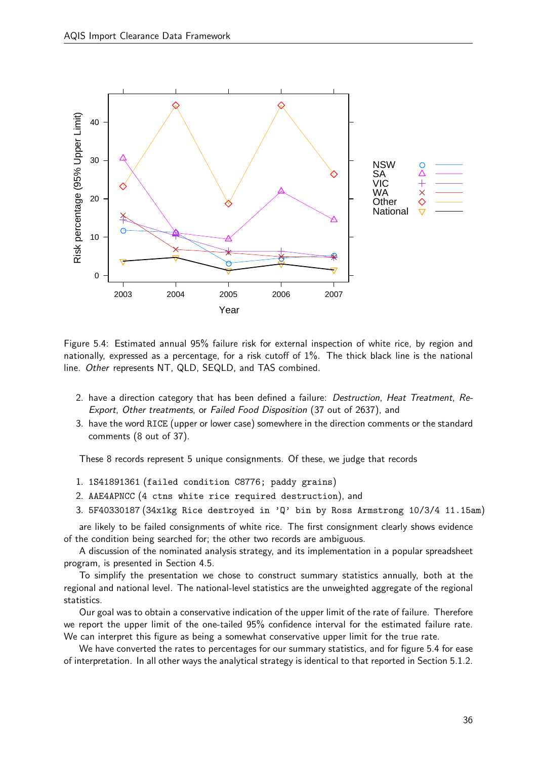

Figure 5.4: Estimated annual 95% failure risk for external inspection of white rice, by region and nationally, expressed as a percentage, for a risk cutoff of 1%. The thick black line is the national line. Other represents NT, QLD, SEQLD, and TAS combined.

- 2. have a direction category that has been defined a failure: Destruction, Heat Treatment, Re-Export, Other treatments, or Failed Food Disposition (37 out of 2637), and
- 3. have the word RICE (upper or lower case) somewhere in the direction comments or the standard comments (8 out of 37).

These 8 records represent 5 unique consignments. Of these, we judge that records

- 1. 1S41891361 (failed condition C8776; paddy grains)
- 2. AAE4APNCC (4 ctns white rice required destruction), and
- 3. 5F40330187 (34x1kg Rice destroyed in 'Q' bin by Ross Armstrong 10/3/4 11.15am)

are likely to be failed consignments of white rice. The first consignment clearly shows evidence of the condition being searched for; the other two records are ambiguous.

A discussion of the nominated analysis strategy, and its implementation in a popular spreadsheet program, is presented in Section 4.5.

To simplify the presentation we chose to construct summary statistics annually, both at the regional and national level. The national-level statistics are the unweighted aggregate of the regional statistics.

Our goal was to obtain a conservative indication of the upper limit of the rate of failure. Therefore we report the upper limit of the one-tailed 95% confidence interval for the estimated failure rate. We can interpret this figure as being a somewhat conservative upper limit for the true rate.

We have converted the rates to percentages for our summary statistics, and for figure 5.4 for ease of interpretation. In all other ways the analytical strategy is identical to that reported in Section 5.1.2.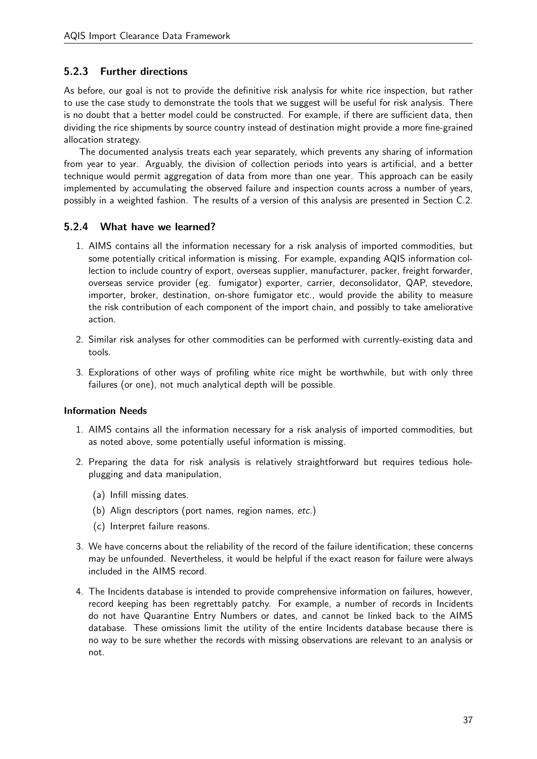## 5.2.3 Further directions

As before, our goal is not to provide the definitive risk analysis for white rice inspection, but rather to use the case study to demonstrate the tools that we suggest will be useful for risk analysis. There is no doubt that a better model could be constructed. For example, if there are sufficient data, then dividing the rice shipments by source country instead of destination might provide a more fine-grained allocation strategy.

The documented analysis treats each year separately, which prevents any sharing of information from year to year. Arguably, the division of collection periods into years is artificial, and a better technique would permit aggregation of data from more than one year. This approach can be easily implemented by accumulating the observed failure and inspection counts across a number of years, possibly in a weighted fashion. The results of a version of this analysis are presented in Section C.2.

### 5.2.4 What have we learned?

- 1. AIMS contains all the information necessary for a risk analysis of imported commodities, but some potentially critical information is missing. For example, expanding AQIS information collection to include country of export, overseas supplier, manufacturer, packer, freight forwarder, overseas service provider (eg. fumigator) exporter, carrier, deconsolidator, QAP, stevedore, importer, broker, destination, on-shore fumigator etc., would provide the ability to measure the risk contribution of each component of the import chain, and possibly to take ameliorative action.
- 2. Similar risk analyses for other commodities can be performed with currently-existing data and tools.
- 3. Explorations of other ways of profiling white rice might be worthwhile, but with only three failures (or one), not much analytical depth will be possible.

### Information Needs

- 1. AIMS contains all the information necessary for a risk analysis of imported commodities, but as noted above, some potentially useful information is missing.
- 2. Preparing the data for risk analysis is relatively straightforward but requires tedious holeplugging and data manipulation,
	- (a) Infill missing dates.
	- (b) Align descriptors (port names, region names, etc.)
	- (c) Interpret failure reasons.
- 3. We have concerns about the reliability of the record of the failure identification; these concerns may be unfounded. Nevertheless, it would be helpful if the exact reason for failure were always included in the AIMS record.
- 4. The Incidents database is intended to provide comprehensive information on failures, however, record keeping has been regrettably patchy. For example, a number of records in Incidents do not have Quarantine Entry Numbers or dates, and cannot be linked back to the AIMS database. These omissions limit the utility of the entire Incidents database because there is no way to be sure whether the records with missing observations are relevant to an analysis or not.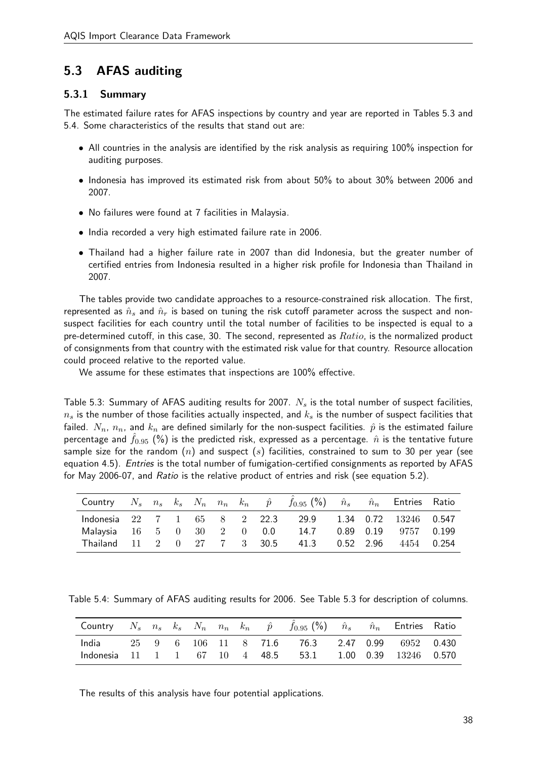## 5.3 AFAS auditing

#### 5.3.1 Summary

The estimated failure rates for AFAS inspections by country and year are reported in Tables 5.3 and 5.4. Some characteristics of the results that stand out are:

- All countries in the analysis are identified by the risk analysis as requiring 100% inspection for auditing purposes.
- Indonesia has improved its estimated risk from about 50% to about 30% between 2006 and 2007.
- No failures were found at 7 facilities in Malaysia.
- India recorded a very high estimated failure rate in 2006.
- Thailand had a higher failure rate in 2007 than did Indonesia, but the greater number of certified entries from Indonesia resulted in a higher risk profile for Indonesia than Thailand in 2007.

The tables provide two candidate approaches to a resource-constrained risk allocation. The first, represented as  $\hat{n}_s$  and  $\hat{n}_r$  is based on tuning the risk cutoff parameter across the suspect and nonsuspect facilities for each country until the total number of facilities to be inspected is equal to a pre-determined cutoff, in this case, 30. The second, represented as  $Ratio$ , is the normalized product of consignments from that country with the estimated risk value for that country. Resource allocation could proceed relative to the reported value.

We assume for these estimates that inspections are 100% effective.

Table 5.3: Summary of AFAS auditing results for 2007.  $N_s$  is the total number of suspect facilities,  $n_s$  is the number of those facilities actually inspected, and  $k_s$  is the number of suspect facilities that failed.  $N_n$ ,  $n_n$ , and  $k_n$  are defined similarly for the non-suspect facilities.  $\hat{p}$  is the estimated failure percentage and  $f_{0.95}$  (%) is the predicted risk, expressed as a percentage.  $\hat{n}$  is the tentative future sample size for the random  $(n)$  and suspect  $(s)$  facilities, constrained to sum to 30 per year (see equation 4.5). *Entries* is the total number of fumigation-certified consignments as reported by AFAS for May 2006-07, and Ratio is the relative product of entries and risk (see equation 5.2).

|                                  |  |  |  | Country $N_s$ $n_s$ $k_s$ $N_n$ $n_n$ $k_n$ $\hat{p}$ $f_{0.95}$ (%) $\hat{n}_s$ $\hat{n}_n$ Entries Ratio |           |                         |  |
|----------------------------------|--|--|--|------------------------------------------------------------------------------------------------------------|-----------|-------------------------|--|
| Indonesia 22 7 1 65 8 2 22.3     |  |  |  | 29.9                                                                                                       |           | 1.34 0.72 13246 0.547   |  |
|                                  |  |  |  | Malaysia 16 5 0 30 2 0 0.0 14.7                                                                            |           | 0.89  0.19  9757  0.199 |  |
| Thailand 11 2 0 27 7 3 30.5 41.3 |  |  |  |                                                                                                            | 0.52 2.96 | 4454 0.254              |  |

Table 5.4: Summary of AFAS auditing results for 2006. See Table 5.3 for description of columns.

| Country $N_s$ $n_s$ $k_s$ $N_n$ $n_n$ $k_n$ $\hat{p}$ $\hat{f}_{0.95}$ (%) $\hat{n}_s$ $\hat{n}_n$ Entries Ratio |  |  |  |                                                          |  |  |
|------------------------------------------------------------------------------------------------------------------|--|--|--|----------------------------------------------------------|--|--|
|                                                                                                                  |  |  |  | India 25 9 6 106 11 8 71.6 76.3 2.47 0.99 6952 0.430     |  |  |
|                                                                                                                  |  |  |  | Indonesia 11 1 1 67 10 4 48.5 53.1 1.00 0.39 13246 0.570 |  |  |

The results of this analysis have four potential applications.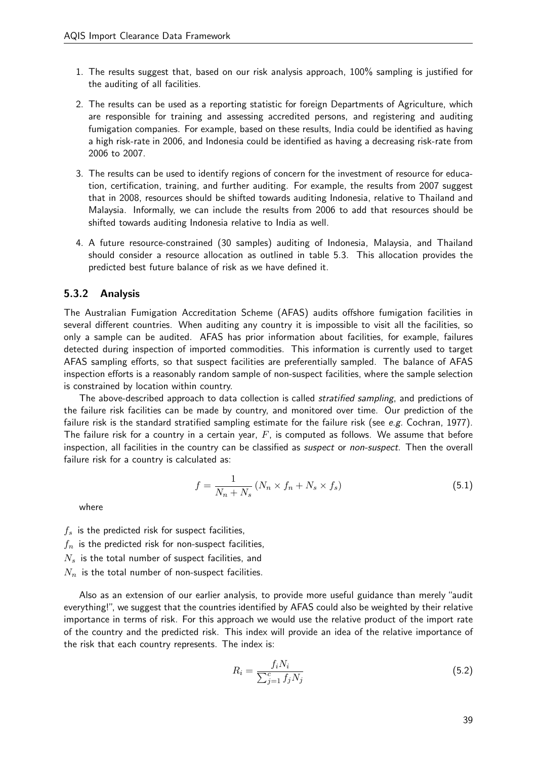- 1. The results suggest that, based on our risk analysis approach, 100% sampling is justified for the auditing of all facilities.
- 2. The results can be used as a reporting statistic for foreign Departments of Agriculture, which are responsible for training and assessing accredited persons, and registering and auditing fumigation companies. For example, based on these results, India could be identified as having a high risk-rate in 2006, and Indonesia could be identified as having a decreasing risk-rate from 2006 to 2007.
- 3. The results can be used to identify regions of concern for the investment of resource for education, certification, training, and further auditing. For example, the results from 2007 suggest that in 2008, resources should be shifted towards auditing Indonesia, relative to Thailand and Malaysia. Informally, we can include the results from 2006 to add that resources should be shifted towards auditing Indonesia relative to India as well.
- 4. A future resource-constrained (30 samples) auditing of Indonesia, Malaysia, and Thailand should consider a resource allocation as outlined in table 5.3. This allocation provides the predicted best future balance of risk as we have defined it.

#### 5.3.2 Analysis

The Australian Fumigation Accreditation Scheme (AFAS) audits offshore fumigation facilities in several different countries. When auditing any country it is impossible to visit all the facilities, so only a sample can be audited. AFAS has prior information about facilities, for example, failures detected during inspection of imported commodities. This information is currently used to target AFAS sampling efforts, so that suspect facilities are preferentially sampled. The balance of AFAS inspection efforts is a reasonably random sample of non-suspect facilities, where the sample selection is constrained by location within country.

The above-described approach to data collection is called *stratified sampling*, and predictions of the failure risk facilities can be made by country, and monitored over time. Our prediction of the failure risk is the standard stratified sampling estimate for the failure risk (see  $e.g.$  Cochran, 1977). The failure risk for a country in a certain year,  $F$ , is computed as follows. We assume that before inspection, all facilities in the country can be classified as *suspect* or *non-suspect*. Then the overall failure risk for a country is calculated as:

$$
f = \frac{1}{N_n + N_s} \left( N_n \times f_n + N_s \times f_s \right) \tag{5.1}
$$

where

- $f_s$  is the predicted risk for suspect facilities,
- $f_n$  is the predicted risk for non-suspect facilities,
- $N_s$  is the total number of suspect facilities, and
- $N_n$  is the total number of non-suspect facilities.

Also as an extension of our earlier analysis, to provide more useful guidance than merely "audit everything!", we suggest that the countries identified by AFAS could also be weighted by their relative importance in terms of risk. For this approach we would use the relative product of the import rate of the country and the predicted risk. This index will provide an idea of the relative importance of the risk that each country represents. The index is:

$$
R_i = \frac{f_i N_i}{\sum_{j=1}^{c} f_j N_j} \tag{5.2}
$$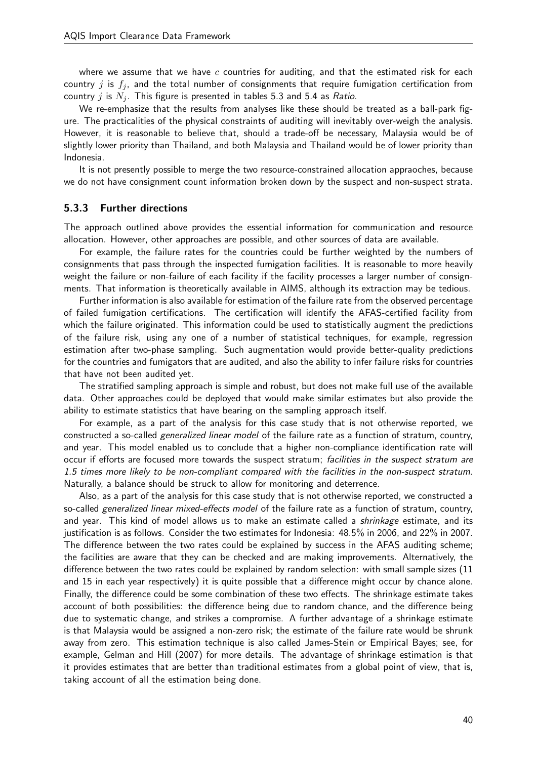where we assume that we have  $c$  countries for auditing, and that the estimated risk for each country  $j$  is  $f_j$ , and the total number of consignments that require fumigation certification from country j is  $N_i$ . This figure is presented in tables 5.3 and 5.4 as Ratio.

We re-emphasize that the results from analyses like these should be treated as a ball-park figure. The practicalities of the physical constraints of auditing will inevitably over-weigh the analysis. However, it is reasonable to believe that, should a trade-off be necessary, Malaysia would be of slightly lower priority than Thailand, and both Malaysia and Thailand would be of lower priority than Indonesia.

It is not presently possible to merge the two resource-constrained allocation appraoches, because we do not have consignment count information broken down by the suspect and non-suspect strata.

#### 5.3.3 Further directions

The approach outlined above provides the essential information for communication and resource allocation. However, other approaches are possible, and other sources of data are available.

For example, the failure rates for the countries could be further weighted by the numbers of consignments that pass through the inspected fumigation facilities. It is reasonable to more heavily weight the failure or non-failure of each facility if the facility processes a larger number of consignments. That information is theoretically available in AIMS, although its extraction may be tedious.

Further information is also available for estimation of the failure rate from the observed percentage of failed fumigation certifications. The certification will identify the AFAS-certified facility from which the failure originated. This information could be used to statistically augment the predictions of the failure risk, using any one of a number of statistical techniques, for example, regression estimation after two-phase sampling. Such augmentation would provide better-quality predictions for the countries and fumigators that are audited, and also the ability to infer failure risks for countries that have not been audited yet.

The stratified sampling approach is simple and robust, but does not make full use of the available data. Other approaches could be deployed that would make similar estimates but also provide the ability to estimate statistics that have bearing on the sampling approach itself.

For example, as a part of the analysis for this case study that is not otherwise reported, we constructed a so-called *generalized linear model* of the failure rate as a function of stratum, country, and year. This model enabled us to conclude that a higher non-compliance identification rate will occur if efforts are focused more towards the suspect stratum; facilities in the suspect stratum are 1.5 times more likely to be non-compliant compared with the facilities in the non-suspect stratum. Naturally, a balance should be struck to allow for monitoring and deterrence.

Also, as a part of the analysis for this case study that is not otherwise reported, we constructed a so-called generalized linear mixed-effects model of the failure rate as a function of stratum, country, and year. This kind of model allows us to make an estimate called a *shrinkage* estimate, and its justification is as follows. Consider the two estimates for Indonesia: 48.5% in 2006, and 22% in 2007. The difference between the two rates could be explained by success in the AFAS auditing scheme; the facilities are aware that they can be checked and are making improvements. Alternatively, the difference between the two rates could be explained by random selection: with small sample sizes (11 and 15 in each year respectively) it is quite possible that a difference might occur by chance alone. Finally, the difference could be some combination of these two effects. The shrinkage estimate takes account of both possibilities: the difference being due to random chance, and the difference being due to systematic change, and strikes a compromise. A further advantage of a shrinkage estimate is that Malaysia would be assigned a non-zero risk; the estimate of the failure rate would be shrunk away from zero. This estimation technique is also called James-Stein or Empirical Bayes; see, for example, Gelman and Hill (2007) for more details. The advantage of shrinkage estimation is that it provides estimates that are better than traditional estimates from a global point of view, that is, taking account of all the estimation being done.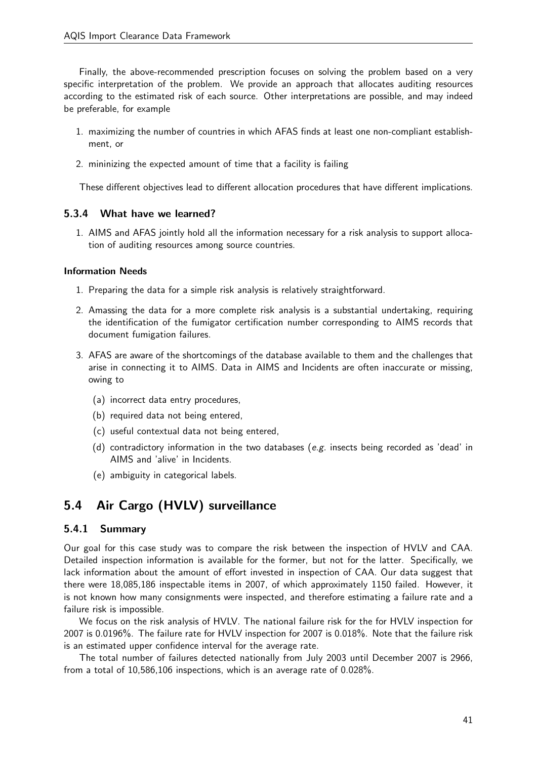Finally, the above-recommended prescription focuses on solving the problem based on a very specific interpretation of the problem. We provide an approach that allocates auditing resources according to the estimated risk of each source. Other interpretations are possible, and may indeed be preferable, for example

- 1. maximizing the number of countries in which AFAS finds at least one non-compliant establishment, or
- 2. mininizing the expected amount of time that a facility is failing

These different objectives lead to different allocation procedures that have different implications.

### 5.3.4 What have we learned?

1. AIMS and AFAS jointly hold all the information necessary for a risk analysis to support allocation of auditing resources among source countries.

#### Information Needs

- 1. Preparing the data for a simple risk analysis is relatively straightforward.
- 2. Amassing the data for a more complete risk analysis is a substantial undertaking, requiring the identification of the fumigator certification number corresponding to AIMS records that document fumigation failures.
- 3. AFAS are aware of the shortcomings of the database available to them and the challenges that arise in connecting it to AIMS. Data in AIMS and Incidents are often inaccurate or missing, owing to
	- (a) incorrect data entry procedures,
	- (b) required data not being entered,
	- (c) useful contextual data not being entered,
	- (d) contradictory information in the two databases (e.g. insects being recorded as 'dead' in AIMS and 'alive' in Incidents.
	- (e) ambiguity in categorical labels.

## 5.4 Air Cargo (HVLV) surveillance

### 5.4.1 Summary

Our goal for this case study was to compare the risk between the inspection of HVLV and CAA. Detailed inspection information is available for the former, but not for the latter. Specifically, we lack information about the amount of effort invested in inspection of CAA. Our data suggest that there were 18,085,186 inspectable items in 2007, of which approximately 1150 failed. However, it is not known how many consignments were inspected, and therefore estimating a failure rate and a failure risk is impossible.

We focus on the risk analysis of HVLV. The national failure risk for the for HVLV inspection for 2007 is 0.0196%. The failure rate for HVLV inspection for 2007 is 0.018%. Note that the failure risk is an estimated upper confidence interval for the average rate.

The total number of failures detected nationally from July 2003 until December 2007 is 2966, from a total of 10,586,106 inspections, which is an average rate of 0.028%.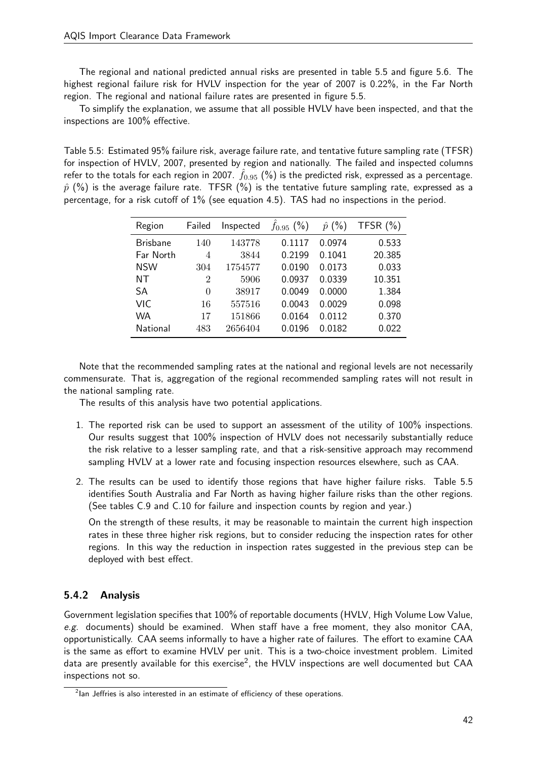The regional and national predicted annual risks are presented in table 5.5 and figure 5.6. The highest regional failure risk for HVLV inspection for the year of 2007 is 0.22%, in the Far North region. The regional and national failure rates are presented in figure 5.5.

To simplify the explanation, we assume that all possible HVLV have been inspected, and that the inspections are 100% effective.

Table 5.5: Estimated 95% failure risk, average failure rate, and tentative future sampling rate (TFSR) for inspection of HVLV, 2007, presented by region and nationally. The failed and inspected columns refer to the totals for each region in 2007.  $f_{0.95}$  (%) is the predicted risk, expressed as a percentage.  $\hat{p}$  (%) is the average failure rate. TFSR (%) is the tentative future sampling rate, expressed as a percentage, for a risk cutoff of 1% (see equation 4.5). TAS had no inspections in the period.

| Region          | Failed   | Inspected | $f_{0.95}$ (%) | $\hat{p}$ (%) | TFSR $(\% )$ |
|-----------------|----------|-----------|----------------|---------------|--------------|
| <b>Brisbane</b> | 140      | 143778    | 0.1117         | 0.0974        | 0.533        |
| Far North       | 4        | 3844      | 0.2199         | 0.1041        | 20.385       |
| <b>NSW</b>      | 304      | 1754577   | 0.0190         | 0.0173        | 0.033        |
| NΤ              | 2        | 5906      | 0.0937         | 0.0339        | 10.351       |
| SА              | $\Omega$ | 38917     | 0.0049         | 0.0000        | 1.384        |
| VIC             | 16       | 557516    | 0.0043         | 0.0029        | 0.098        |
| <b>WA</b>       | 17       | 151866    | 0.0164         | 0.0112        | 0.370        |
| National        | 483      | 2656404   | 0.0196         | 0.0182        | 0.022        |

Note that the recommended sampling rates at the national and regional levels are not necessarily commensurate. That is, aggregation of the regional recommended sampling rates will not result in the national sampling rate.

The results of this analysis have two potential applications.

- 1. The reported risk can be used to support an assessment of the utility of 100% inspections. Our results suggest that 100% inspection of HVLV does not necessarily substantially reduce the risk relative to a lesser sampling rate, and that a risk-sensitive approach may recommend sampling HVLV at a lower rate and focusing inspection resources elsewhere, such as CAA.
- 2. The results can be used to identify those regions that have higher failure risks. Table 5.5 identifies South Australia and Far North as having higher failure risks than the other regions. (See tables C.9 and C.10 for failure and inspection counts by region and year.)

On the strength of these results, it may be reasonable to maintain the current high inspection rates in these three higher risk regions, but to consider reducing the inspection rates for other regions. In this way the reduction in inspection rates suggested in the previous step can be deployed with best effect.

## 5.4.2 Analysis

Government legislation specifies that 100% of reportable documents (HVLV, High Volume Low Value, e.g. documents) should be examined. When staff have a free moment, they also monitor CAA, opportunistically. CAA seems informally to have a higher rate of failures. The effort to examine CAA is the same as effort to examine HVLV per unit. This is a two-choice investment problem. Limited data are presently available for this exercise<sup>2</sup>, the HVLV inspections are well documented but CAA inspections not so.

 $^{2}$ lan Jeffries is also interested in an estimate of efficiency of these operations.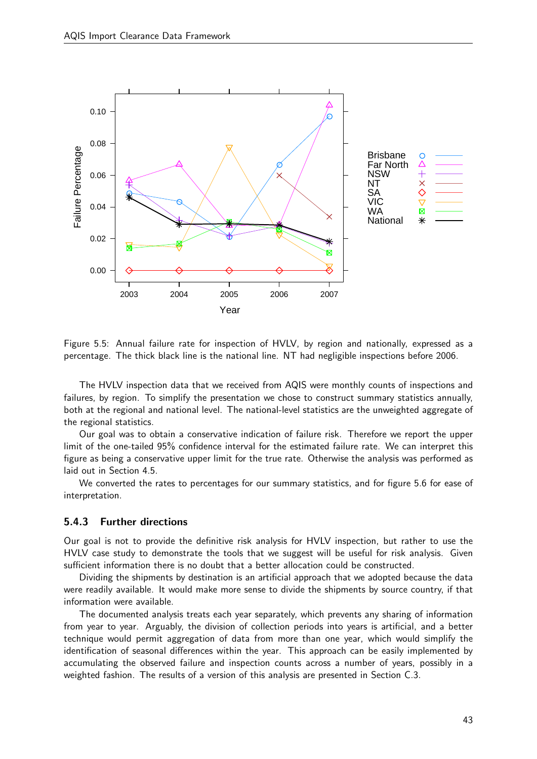

Figure 5.5: Annual failure rate for inspection of HVLV, by region and nationally, expressed as a percentage. The thick black line is the national line. NT had negligible inspections before 2006.

The HVLV inspection data that we received from AQIS were monthly counts of inspections and failures, by region. To simplify the presentation we chose to construct summary statistics annually, both at the regional and national level. The national-level statistics are the unweighted aggregate of the regional statistics.

Our goal was to obtain a conservative indication of failure risk. Therefore we report the upper limit of the one-tailed 95% confidence interval for the estimated failure rate. We can interpret this figure as being a conservative upper limit for the true rate. Otherwise the analysis was performed as laid out in Section 4.5.

We converted the rates to percentages for our summary statistics, and for figure 5.6 for ease of interpretation.

#### 5.4.3 Further directions

Our goal is not to provide the definitive risk analysis for HVLV inspection, but rather to use the HVLV case study to demonstrate the tools that we suggest will be useful for risk analysis. Given sufficient information there is no doubt that a better allocation could be constructed.

Dividing the shipments by destination is an artificial approach that we adopted because the data were readily available. It would make more sense to divide the shipments by source country, if that information were available.

The documented analysis treats each year separately, which prevents any sharing of information from year to year. Arguably, the division of collection periods into years is artificial, and a better technique would permit aggregation of data from more than one year, which would simplify the identification of seasonal differences within the year. This approach can be easily implemented by accumulating the observed failure and inspection counts across a number of years, possibly in a weighted fashion. The results of a version of this analysis are presented in Section C.3.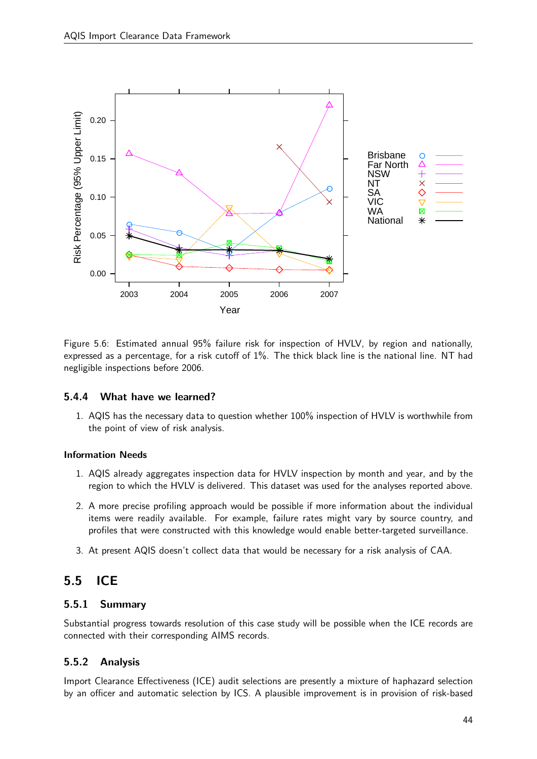

Figure 5.6: Estimated annual 95% failure risk for inspection of HVLV, by region and nationally, expressed as a percentage, for a risk cutoff of 1%. The thick black line is the national line. NT had negligible inspections before 2006.

### 5.4.4 What have we learned?

1. AQIS has the necessary data to question whether 100% inspection of HVLV is worthwhile from the point of view of risk analysis.

#### Information Needs

- 1. AQIS already aggregates inspection data for HVLV inspection by month and year, and by the region to which the HVLV is delivered. This dataset was used for the analyses reported above.
- 2. A more precise profiling approach would be possible if more information about the individual items were readily available. For example, failure rates might vary by source country, and profiles that were constructed with this knowledge would enable better-targeted surveillance.
- 3. At present AQIS doesn't collect data that would be necessary for a risk analysis of CAA.

## 5.5 ICE

### 5.5.1 Summary

Substantial progress towards resolution of this case study will be possible when the ICE records are connected with their corresponding AIMS records.

### 5.5.2 Analysis

Import Clearance Effectiveness (ICE) audit selections are presently a mixture of haphazard selection by an officer and automatic selection by ICS. A plausible improvement is in provision of risk-based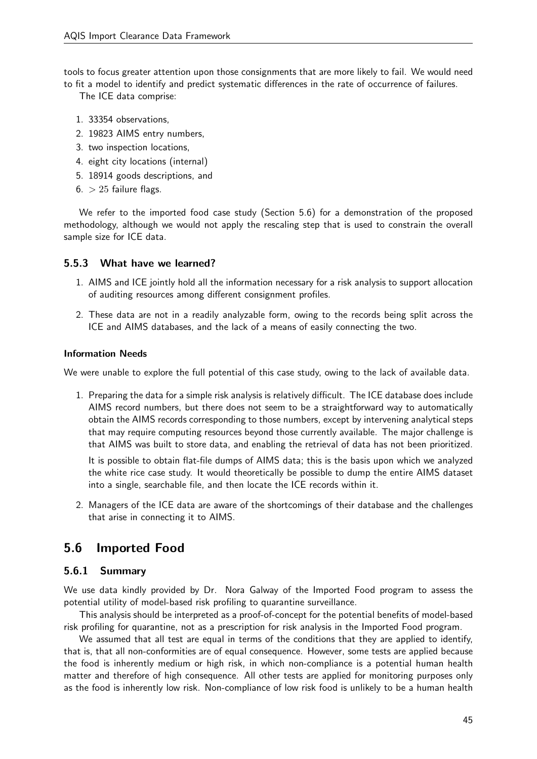tools to focus greater attention upon those consignments that are more likely to fail. We would need to fit a model to identify and predict systematic differences in the rate of occurrence of failures.

The ICE data comprise:

- 1. 33354 observations,
- 2. 19823 AIMS entry numbers,
- 3. two inspection locations,
- 4. eight city locations (internal)
- 5. 18914 goods descriptions, and
- $6. > 25$  failure flags.

We refer to the imported food case study (Section 5.6) for a demonstration of the proposed methodology, although we would not apply the rescaling step that is used to constrain the overall sample size for ICE data.

#### 5.5.3 What have we learned?

- 1. AIMS and ICE jointly hold all the information necessary for a risk analysis to support allocation of auditing resources among different consignment profiles.
- 2. These data are not in a readily analyzable form, owing to the records being split across the ICE and AIMS databases, and the lack of a means of easily connecting the two.

#### Information Needs

We were unable to explore the full potential of this case study, owing to the lack of available data.

1. Preparing the data for a simple risk analysis is relatively difficult. The ICE database does include AIMS record numbers, but there does not seem to be a straightforward way to automatically obtain the AIMS records corresponding to those numbers, except by intervening analytical steps that may require computing resources beyond those currently available. The major challenge is that AIMS was built to store data, and enabling the retrieval of data has not been prioritized.

It is possible to obtain flat-file dumps of AIMS data; this is the basis upon which we analyzed the white rice case study. It would theoretically be possible to dump the entire AIMS dataset into a single, searchable file, and then locate the ICE records within it.

2. Managers of the ICE data are aware of the shortcomings of their database and the challenges that arise in connecting it to AIMS.

## 5.6 Imported Food

### 5.6.1 Summary

We use data kindly provided by Dr. Nora Galway of the Imported Food program to assess the potential utility of model-based risk profiling to quarantine surveillance.

This analysis should be interpreted as a proof-of-concept for the potential benefits of model-based risk profiling for quarantine, not as a prescription for risk analysis in the Imported Food program.

We assumed that all test are equal in terms of the conditions that they are applied to identify, that is, that all non-conformities are of equal consequence. However, some tests are applied because the food is inherently medium or high risk, in which non-compliance is a potential human health matter and therefore of high consequence. All other tests are applied for monitoring purposes only as the food is inherently low risk. Non-compliance of low risk food is unlikely to be a human health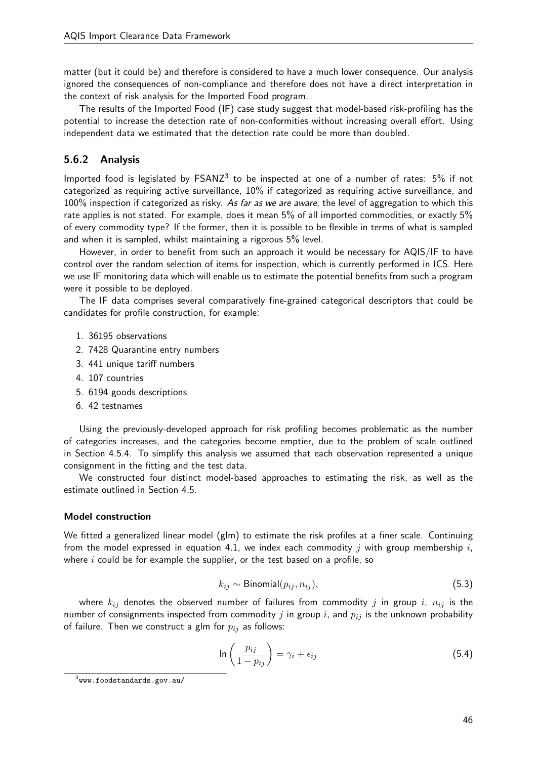matter (but it could be) and therefore is considered to have a much lower consequence. Our analysis ignored the consequences of non-compliance and therefore does not have a direct interpretation in the context of risk analysis for the Imported Food program.

The results of the Imported Food (IF) case study suggest that model-based risk-profiling has the potential to increase the detection rate of non-conformities without increasing overall effort. Using independent data we estimated that the detection rate could be more than doubled.

### 5.6.2 Analysis

Imported food is legislated by  $FSANZ<sup>3</sup>$  to be inspected at one of a number of rates:  $5\%$  if not categorized as requiring active surveillance, 10% if categorized as requiring active surveillance, and 100% inspection if categorized as risky. As far as we are aware, the level of aggregation to which this rate applies is not stated. For example, does it mean 5% of all imported commodities, or exactly 5% of every commodity type? If the former, then it is possible to be flexible in terms of what is sampled and when it is sampled, whilst maintaining a rigorous 5% level.

However, in order to benefit from such an approach it would be necessary for AQIS/IF to have control over the random selection of items for inspection, which is currently performed in ICS. Here we use IF monitoring data which will enable us to estimate the potential benefits from such a program were it possible to be deployed.

The IF data comprises several comparatively fine-grained categorical descriptors that could be candidates for profile construction, for example:

- 1. 36195 observations
- 2. 7428 Quarantine entry numbers
- 3. 441 unique tariff numbers
- 4. 107 countries
- 5. 6194 goods descriptions
- 6. 42 testnames

Using the previously-developed approach for risk profiling becomes problematic as the number of categories increases, and the categories become emptier, due to the problem of scale outlined in Section 4.5.4. To simplify this analysis we assumed that each observation represented a unique consignment in the fitting and the test data.

We constructed four distinct model-based approaches to estimating the risk, as well as the estimate outlined in Section 4.5.

#### Model construction

We fitted a generalized linear model (glm) to estimate the risk profiles at a finer scale. Continuing from the model expressed in equation 4.1, we index each commodity  $j$  with group membership  $i$ , where  $i$  could be for example the supplier, or the test based on a profile, so

$$
k_{ij} \sim \text{Binomial}(p_{ij}, n_{ij}),\tag{5.3}
$$

where  $k_{ij}$  denotes the observed number of failures from commodity j in group i,  $n_{ij}$  is the number of consignments inspected from commodity  $j$  in group  $i$ , and  $p_{ij}$  is the unknown probability of failure. Then we construct a glm for  $p_{ij}$  as follows:

$$
\ln\left(\frac{p_{ij}}{1-p_{ij}}\right) = \gamma_i + \epsilon_{ij} \tag{5.4}
$$

 $^3$ www.foodstandards.gov.au/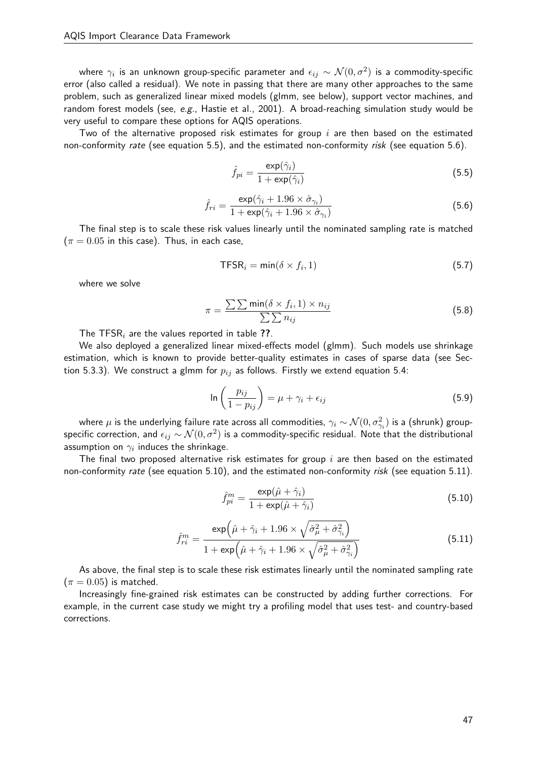where  $\gamma_i$  is an unknown group-specific parameter and  $\epsilon_{ij}\sim\mathcal{N}(0,\sigma^2)$  is a commodity-specific error (also called a residual). We note in passing that there are many other approaches to the same problem, such as generalized linear mixed models (glmm, see below), support vector machines, and random forest models (see, e.g., Hastie et al., 2001). A broad-reaching simulation study would be very useful to compare these options for AQIS operations.

Two of the alternative proposed risk estimates for group  $i$  are then based on the estimated non-conformity rate (see equation 5.5), and the estimated non-conformity risk (see equation 5.6).

$$
\hat{f}_{pi} = \frac{\exp(\hat{\gamma}_i)}{1 + \exp(\hat{\gamma}_i)}
$$
\n(5.5)

$$
\hat{f}_{ri} = \frac{\exp(\hat{\gamma}_i + 1.96 \times \hat{\sigma}_{\gamma_i})}{1 + \exp(\hat{\gamma}_i + 1.96 \times \hat{\sigma}_{\gamma_i})}
$$
(5.6)

The final step is to scale these risk values linearly until the nominated sampling rate is matched  $(\pi = 0.05$  in this case). Thus, in each case,

$$
\mathsf{TFSR}_i = \min(\delta \times f_i, 1) \tag{5.7}
$$

where we solve

$$
\pi = \frac{\sum\sum \min(\delta \times f_i, 1) \times n_{ij}}{\sum\sum n_{ij}} \tag{5.8}
$$

The TFSR<sub>i</sub> are the values reported in table ??.

We also deployed a generalized linear mixed-effects model (glmm). Such models use shrinkage estimation, which is known to provide better-quality estimates in cases of sparse data (see Section 5.3.3). We construct a glmm for  $p_{ij}$  as follows. Firstly we extend equation 5.4:

$$
\ln\left(\frac{p_{ij}}{1-p_{ij}}\right) = \mu + \gamma_i + \epsilon_{ij}
$$
\n(5.9)

where  $\mu$  is the underlying failure rate across all commodities,  $\gamma_i\sim\mathcal{N}(0,\sigma_{\gamma_i}^2)$  is a (shrunk) groupspecific correction, and  $\epsilon_{ij} \sim \mathcal{N}(0, \sigma^2)$  is a commodity-specific residual. Note that the distributional assumption on  $\gamma_i$  induces the shrinkage.

The final two proposed alternative risk estimates for group  $i$  are then based on the estimated non-conformity rate (see equation 5.10), and the estimated non-conformity risk (see equation 5.11).

$$
\hat{f}_{pi}^{m} = \frac{\exp(\hat{\mu} + \hat{\gamma}_i)}{1 + \exp(\hat{\mu} + \hat{\gamma}_i)}
$$
(5.10)

$$
\hat{f}_{ri}^{m} = \frac{\exp\left(\hat{\mu} + \hat{\gamma}_i + 1.96 \times \sqrt{\hat{\sigma}_{\mu}^2 + \hat{\sigma}_{\gamma_i}^2}\right)}{1 + \exp\left(\hat{\mu} + \hat{\gamma}_i + 1.96 \times \sqrt{\hat{\sigma}_{\mu}^2 + \hat{\sigma}_{\gamma_i}^2}\right)}
$$
(5.11)

As above, the final step is to scale these risk estimates linearly until the nominated sampling rate  $(\pi = 0.05)$  is matched.

Increasingly fine-grained risk estimates can be constructed by adding further corrections. For example, in the current case study we might try a profiling model that uses test- and country-based corrections.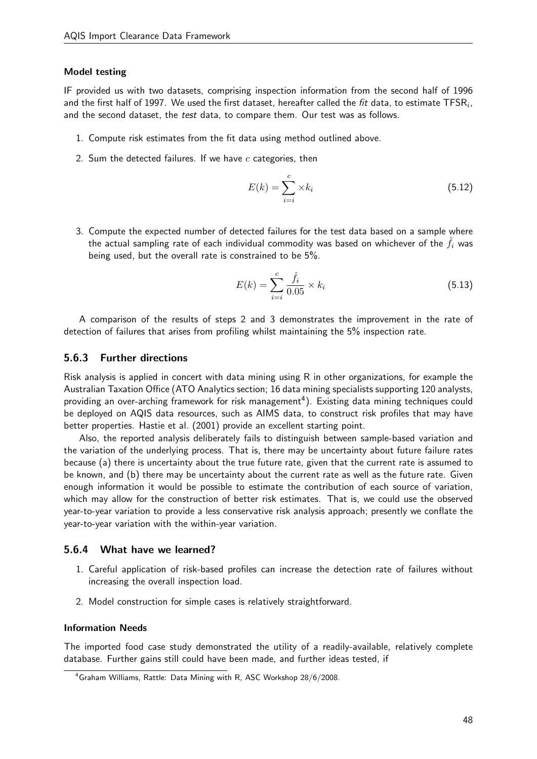#### Model testing

IF provided us with two datasets, comprising inspection information from the second half of 1996 and the first half of 1997. We used the first dataset, hereafter called the *fit* data, to estimate  $\mathsf{TFSR}_i$ , and the second dataset, the test data, to compare them. Our test was as follows.

- 1. Compute risk estimates from the fit data using method outlined above.
- 2. Sum the detected failures. If we have  $c$  categories, then

$$
E(k) = \sum_{i=i}^{c} \times k_i
$$
\n(5.12)

3. Compute the expected number of detected failures for the test data based on a sample where the actual sampling rate of each individual commodity was based on whichever of the  $\hat{f}_i$  was being used, but the overall rate is constrained to be 5%.

$$
E(k) = \sum_{i=i}^{c} \frac{\hat{f}_i}{0.05} \times k_i
$$
 (5.13)

A comparison of the results of steps 2 and 3 demonstrates the improvement in the rate of detection of failures that arises from profiling whilst maintaining the 5% inspection rate.

#### 5.6.3 Further directions

Risk analysis is applied in concert with data mining using R in other organizations, for example the Australian Taxation Office (ATO Analytics section; 16 data mining specialists supporting 120 analysts, providing an over-arching framework for risk management<sup>4</sup>). Existing data mining techniques could be deployed on AQIS data resources, such as AIMS data, to construct risk profiles that may have better properties. Hastie et al. (2001) provide an excellent starting point.

Also, the reported analysis deliberately fails to distinguish between sample-based variation and the variation of the underlying process. That is, there may be uncertainty about future failure rates because (a) there is uncertainty about the true future rate, given that the current rate is assumed to be known, and (b) there may be uncertainty about the current rate as well as the future rate. Given enough information it would be possible to estimate the contribution of each source of variation, which may allow for the construction of better risk estimates. That is, we could use the observed year-to-year variation to provide a less conservative risk analysis approach; presently we conflate the year-to-year variation with the within-year variation.

#### 5.6.4 What have we learned?

- 1. Careful application of risk-based profiles can increase the detection rate of failures without increasing the overall inspection load.
- 2. Model construction for simple cases is relatively straightforward.

#### Information Needs

The imported food case study demonstrated the utility of a readily-available, relatively complete database. Further gains still could have been made, and further ideas tested, if

<sup>4</sup>Graham Williams, Rattle: Data Mining with R, ASC Workshop 28/6/2008.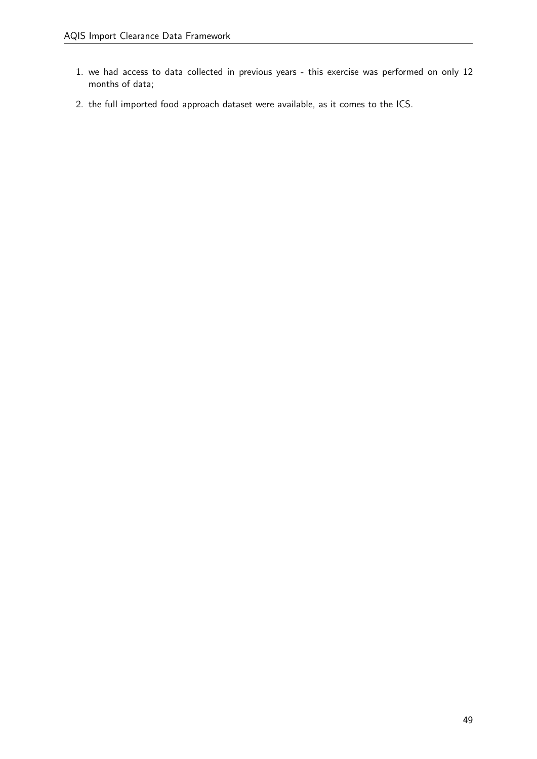- 1. we had access to data collected in previous years this exercise was performed on only 12 months of data;
- 2. the full imported food approach dataset were available, as it comes to the ICS.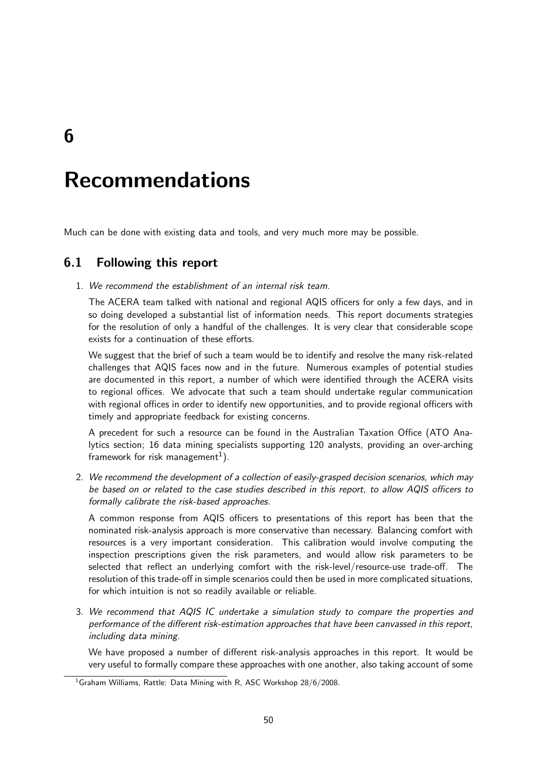6

# Recommendations

Much can be done with existing data and tools, and very much more may be possible.

## 6.1 Following this report

1. We recommend the establishment of an internal risk team.

The ACERA team talked with national and regional AQIS officers for only a few days, and in so doing developed a substantial list of information needs. This report documents strategies for the resolution of only a handful of the challenges. It is very clear that considerable scope exists for a continuation of these efforts.

We suggest that the brief of such a team would be to identify and resolve the many risk-related challenges that AQIS faces now and in the future. Numerous examples of potential studies are documented in this report, a number of which were identified through the ACERA visits to regional offices. We advocate that such a team should undertake regular communication with regional offices in order to identify new opportunities, and to provide regional officers with timely and appropriate feedback for existing concerns.

A precedent for such a resource can be found in the Australian Taxation Office (ATO Analytics section; 16 data mining specialists supporting 120 analysts, providing an over-arching framework for risk management $^1$ ).

2. We recommend the development of a collection of easily-grasped decision scenarios, which may be based on or related to the case studies described in this report, to allow AQIS officers to formally calibrate the risk-based approaches.

A common response from AQIS officers to presentations of this report has been that the nominated risk-analysis approach is more conservative than necessary. Balancing comfort with resources is a very important consideration. This calibration would involve computing the inspection prescriptions given the risk parameters, and would allow risk parameters to be selected that reflect an underlying comfort with the risk-level/resource-use trade-off. The resolution of this trade-off in simple scenarios could then be used in more complicated situations, for which intuition is not so readily available or reliable.

3. We recommend that AQIS IC undertake a simulation study to compare the properties and performance of the different risk-estimation approaches that have been canvassed in this report, including data mining.

We have proposed a number of different risk-analysis approaches in this report. It would be very useful to formally compare these approaches with one another, also taking account of some

 $1$ Graham Williams, Rattle: Data Mining with R, ASC Workshop 28/6/2008.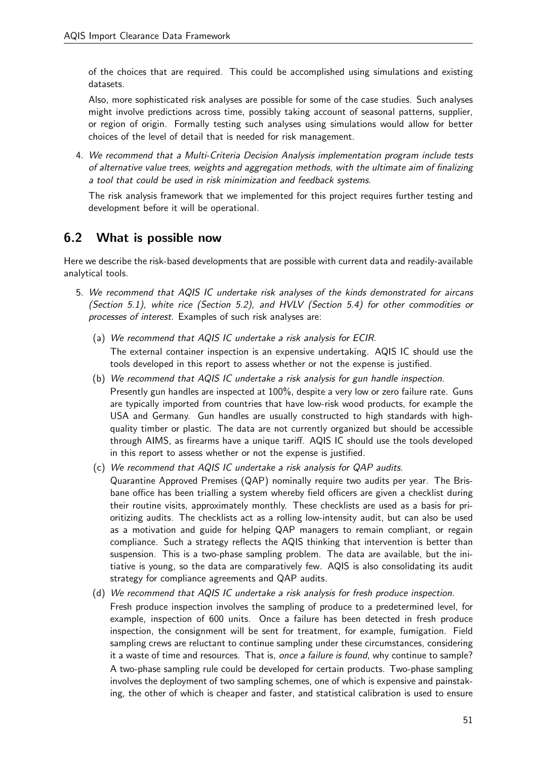of the choices that are required. This could be accomplished using simulations and existing datasets.

Also, more sophisticated risk analyses are possible for some of the case studies. Such analyses might involve predictions across time, possibly taking account of seasonal patterns, supplier, or region of origin. Formally testing such analyses using simulations would allow for better choices of the level of detail that is needed for risk management.

4. We recommend that a Multi-Criteria Decision Analysis implementation program include tests of alternative value trees, weights and aggregation methods, with the ultimate aim of finalizing a tool that could be used in risk minimization and feedback systems.

The risk analysis framework that we implemented for this project requires further testing and development before it will be operational.

## 6.2 What is possible now

Here we describe the risk-based developments that are possible with current data and readily-available analytical tools.

- 5. We recommend that AQIS IC undertake risk analyses of the kinds demonstrated for aircans (Section 5.1), white rice (Section 5.2), and HVLV (Section 5.4) for other commodities or processes of interest. Examples of such risk analyses are:
	- (a) We recommend that AQIS IC undertake a risk analysis for ECIR. The external container inspection is an expensive undertaking. AQIS IC should use the tools developed in this report to assess whether or not the expense is justified.
	- (b) We recommend that AQIS IC undertake a risk analysis for gun handle inspection. Presently gun handles are inspected at 100%, despite a very low or zero failure rate. Guns are typically imported from countries that have low-risk wood products, for example the USA and Germany. Gun handles are usually constructed to high standards with highquality timber or plastic. The data are not currently organized but should be accessible through AIMS, as firearms have a unique tariff. AQIS IC should use the tools developed in this report to assess whether or not the expense is justified.
	- (c) We recommend that AQIS IC undertake a risk analysis for QAP audits. Quarantine Approved Premises (QAP) nominally require two audits per year. The Brisbane office has been trialling a system whereby field officers are given a checklist during their routine visits, approximately monthly. These checklists are used as a basis for prioritizing audits. The checklists act as a rolling low-intensity audit, but can also be used as a motivation and guide for helping QAP managers to remain compliant, or regain compliance. Such a strategy reflects the AQIS thinking that intervention is better than suspension. This is a two-phase sampling problem. The data are available, but the initiative is young, so the data are comparatively few. AQIS is also consolidating its audit strategy for compliance agreements and QAP audits.
	- (d) We recommend that AQIS IC undertake a risk analysis for fresh produce inspection. Fresh produce inspection involves the sampling of produce to a predetermined level, for example, inspection of 600 units. Once a failure has been detected in fresh produce inspection, the consignment will be sent for treatment, for example, fumigation. Field sampling crews are reluctant to continue sampling under these circumstances, considering it a waste of time and resources. That is, once a failure is found, why continue to sample? A two-phase sampling rule could be developed for certain products. Two-phase sampling involves the deployment of two sampling schemes, one of which is expensive and painstaking, the other of which is cheaper and faster, and statistical calibration is used to ensure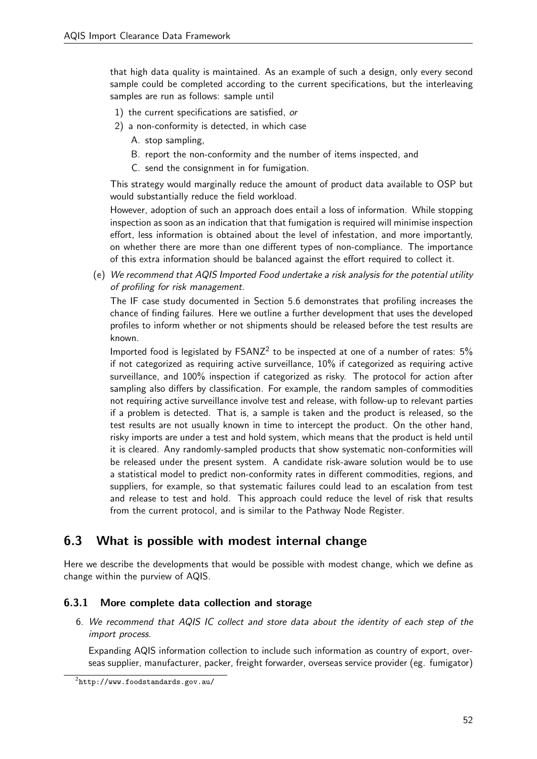that high data quality is maintained. As an example of such a design, only every second sample could be completed according to the current specifications, but the interleaving samples are run as follows: sample until

- 1) the current specifications are satisfied, or
- 2) a non-conformity is detected, in which case
	- A. stop sampling,
	- B. report the non-conformity and the number of items inspected, and
	- C. send the consignment in for fumigation.

This strategy would marginally reduce the amount of product data available to OSP but would substantially reduce the field workload.

However, adoption of such an approach does entail a loss of information. While stopping inspection as soon as an indication that that fumigation is required will minimise inspection effort, less information is obtained about the level of infestation, and more importantly, on whether there are more than one different types of non-compliance. The importance of this extra information should be balanced against the effort required to collect it.

(e) We recommend that AQIS Imported Food undertake a risk analysis for the potential utility of profiling for risk management.

The IF case study documented in Section 5.6 demonstrates that profiling increases the chance of finding failures. Here we outline a further development that uses the developed profiles to inform whether or not shipments should be released before the test results are known.

Imported food is legislated by  $FSANZ^2$  to be inspected at one of a number of rates:  $5\%$ if not categorized as requiring active surveillance, 10% if categorized as requiring active surveillance, and 100% inspection if categorized as risky. The protocol for action after sampling also differs by classification. For example, the random samples of commodities not requiring active surveillance involve test and release, with follow-up to relevant parties if a problem is detected. That is, a sample is taken and the product is released, so the test results are not usually known in time to intercept the product. On the other hand, risky imports are under a test and hold system, which means that the product is held until it is cleared. Any randomly-sampled products that show systematic non-conformities will be released under the present system. A candidate risk-aware solution would be to use a statistical model to predict non-conformity rates in different commodities, regions, and suppliers, for example, so that systematic failures could lead to an escalation from test and release to test and hold. This approach could reduce the level of risk that results from the current protocol, and is similar to the Pathway Node Register.

## 6.3 What is possible with modest internal change

Here we describe the developments that would be possible with modest change, which we define as change within the purview of AQIS.

## 6.3.1 More complete data collection and storage

6. We recommend that AQIS IC collect and store data about the identity of each step of the import process.

Expanding AQIS information collection to include such information as country of export, overseas supplier, manufacturer, packer, freight forwarder, overseas service provider (eg. fumigator)

 $^{2}$ http://www.foodstandards.gov.au/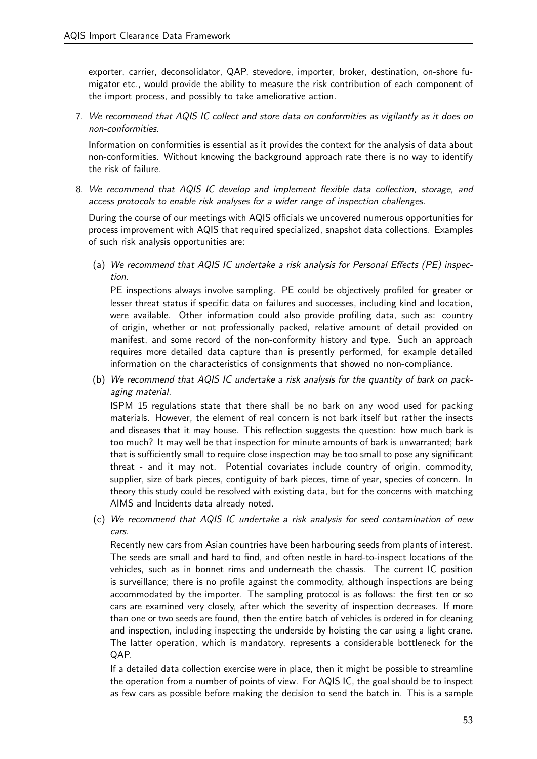exporter, carrier, deconsolidator, QAP, stevedore, importer, broker, destination, on-shore fumigator etc., would provide the ability to measure the risk contribution of each component of the import process, and possibly to take ameliorative action.

7. We recommend that AQIS IC collect and store data on conformities as vigilantly as it does on non-conformities.

Information on conformities is essential as it provides the context for the analysis of data about non-conformities. Without knowing the background approach rate there is no way to identify the risk of failure.

8. We recommend that AQIS IC develop and implement flexible data collection, storage, and access protocols to enable risk analyses for a wider range of inspection challenges.

During the course of our meetings with AQIS officials we uncovered numerous opportunities for process improvement with AQIS that required specialized, snapshot data collections. Examples of such risk analysis opportunities are:

(a) We recommend that AQIS IC undertake a risk analysis for Personal Effects (PE) inspection.

PE inspections always involve sampling. PE could be objectively profiled for greater or lesser threat status if specific data on failures and successes, including kind and location, were available. Other information could also provide profiling data, such as: country of origin, whether or not professionally packed, relative amount of detail provided on manifest, and some record of the non-conformity history and type. Such an approach requires more detailed data capture than is presently performed, for example detailed information on the characteristics of consignments that showed no non-compliance.

(b) We recommend that AQIS IC undertake a risk analysis for the quantity of bark on packaging material.

ISPM 15 regulations state that there shall be no bark on any wood used for packing materials. However, the element of real concern is not bark itself but rather the insects and diseases that it may house. This reflection suggests the question: how much bark is too much? It may well be that inspection for minute amounts of bark is unwarranted; bark that is sufficiently small to require close inspection may be too small to pose any significant threat - and it may not. Potential covariates include country of origin, commodity, supplier, size of bark pieces, contiguity of bark pieces, time of year, species of concern. In theory this study could be resolved with existing data, but for the concerns with matching AIMS and Incidents data already noted.

(c) We recommend that AQIS IC undertake a risk analysis for seed contamination of new cars.

Recently new cars from Asian countries have been harbouring seeds from plants of interest. The seeds are small and hard to find, and often nestle in hard-to-inspect locations of the vehicles, such as in bonnet rims and underneath the chassis. The current IC position is surveillance; there is no profile against the commodity, although inspections are being accommodated by the importer. The sampling protocol is as follows: the first ten or so cars are examined very closely, after which the severity of inspection decreases. If more than one or two seeds are found, then the entire batch of vehicles is ordered in for cleaning and inspection, including inspecting the underside by hoisting the car using a light crane. The latter operation, which is mandatory, represents a considerable bottleneck for the QAP.

If a detailed data collection exercise were in place, then it might be possible to streamline the operation from a number of points of view. For AQIS IC, the goal should be to inspect as few cars as possible before making the decision to send the batch in. This is a sample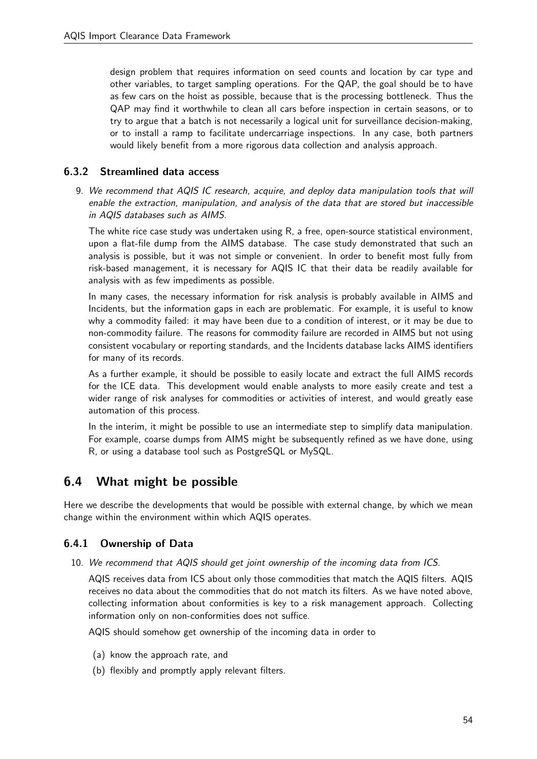design problem that requires information on seed counts and location by car type and other variables, to target sampling operations. For the QAP, the goal should be to have as few cars on the hoist as possible, because that is the processing bottleneck. Thus the QAP may find it worthwhile to clean all cars before inspection in certain seasons, or to try to argue that a batch is not necessarily a logical unit for surveillance decision-making, or to install a ramp to facilitate undercarriage inspections. In any case, both partners would likely benefit from a more rigorous data collection and analysis approach.

## 6.3.2 Streamlined data access

9. We recommend that AQIS IC research, acquire, and deploy data manipulation tools that will enable the extraction, manipulation, and analysis of the data that are stored but inaccessible in AQIS databases such as AIMS.

The white rice case study was undertaken using R, a free, open-source statistical environment, upon a flat-file dump from the AIMS database. The case study demonstrated that such an analysis is possible, but it was not simple or convenient. In order to benefit most fully from risk-based management, it is necessary for AQIS IC that their data be readily available for analysis with as few impediments as possible.

In many cases, the necessary information for risk analysis is probably available in AIMS and Incidents, but the information gaps in each are problematic. For example, it is useful to know why a commodity failed: it may have been due to a condition of interest, or it may be due to non-commodity failure. The reasons for commodity failure are recorded in AIMS but not using consistent vocabulary or reporting standards, and the Incidents database lacks AIMS identifiers for many of its records.

As a further example, it should be possible to easily locate and extract the full AIMS records for the ICE data. This development would enable analysts to more easily create and test a wider range of risk analyses for commodities or activities of interest, and would greatly ease automation of this process.

In the interim, it might be possible to use an intermediate step to simplify data manipulation. For example, coarse dumps from AIMS might be subsequently refined as we have done, using R, or using a database tool such as PostgreSQL or MySQL.

## 6.4 What might be possible

Here we describe the developments that would be possible with external change, by which we mean change within the environment within which AQIS operates.

## 6.4.1 Ownership of Data

10. We recommend that AQIS should get joint ownership of the incoming data from ICS.

AQIS receives data from ICS about only those commodities that match the AQIS filters. AQIS receives no data about the commodities that do not match its filters. As we have noted above, collecting information about conformities is key to a risk management approach. Collecting information only on non-conformities does not suffice.

AQIS should somehow get ownership of the incoming data in order to

- (a) know the approach rate, and
- (b) flexibly and promptly apply relevant filters.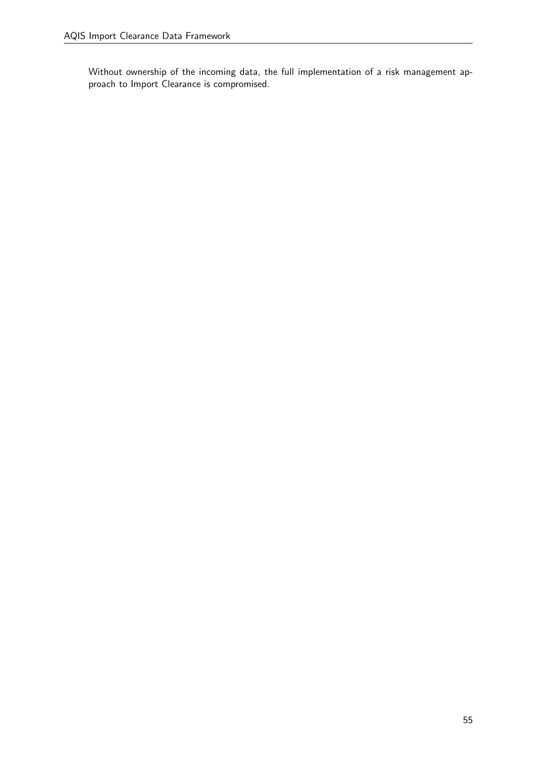Without ownership of the incoming data, the full implementation of a risk management approach to Import Clearance is compromised.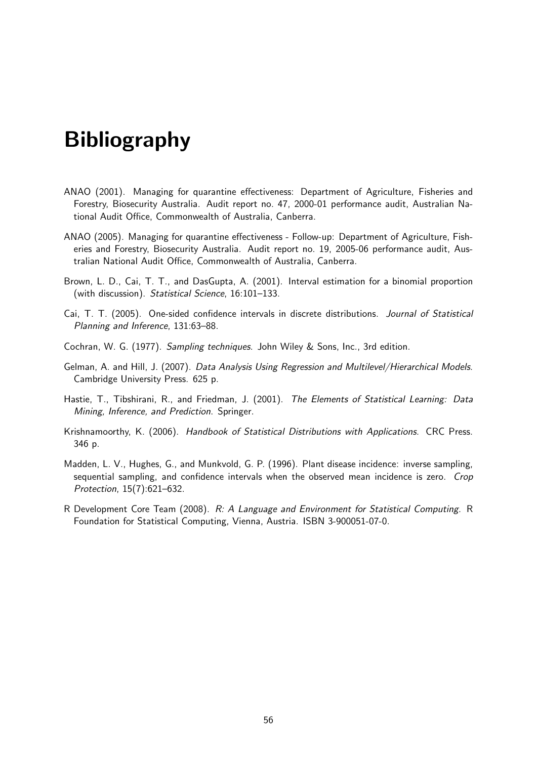# Bibliography

- ANAO (2001). Managing for quarantine effectiveness: Department of Agriculture, Fisheries and Forestry, Biosecurity Australia. Audit report no. 47, 2000-01 performance audit, Australian National Audit Office, Commonwealth of Australia, Canberra.
- ANAO (2005). Managing for quarantine effectiveness Follow-up: Department of Agriculture, Fisheries and Forestry, Biosecurity Australia. Audit report no. 19, 2005-06 performance audit, Australian National Audit Office, Commonwealth of Australia, Canberra.
- Brown, L. D., Cai, T. T., and DasGupta, A. (2001). Interval estimation for a binomial proportion (with discussion). Statistical Science, 16:101–133.
- Cai, T. T. (2005). One-sided confidence intervals in discrete distributions. Journal of Statistical Planning and Inference, 131:63–88.
- Cochran, W. G. (1977). Sampling techniques. John Wiley & Sons, Inc., 3rd edition.
- Gelman, A. and Hill, J. (2007). Data Analysis Using Regression and Multilevel/Hierarchical Models. Cambridge University Press. 625 p.
- Hastie, T., Tibshirani, R., and Friedman, J. (2001). The Elements of Statistical Learning: Data Mining, Inference, and Prediction. Springer.
- Krishnamoorthy, K. (2006). Handbook of Statistical Distributions with Applications. CRC Press. 346 p.
- Madden, L. V., Hughes, G., and Munkvold, G. P. (1996). Plant disease incidence: inverse sampling, sequential sampling, and confidence intervals when the observed mean incidence is zero. Crop Protection, 15(7):621–632.
- R Development Core Team (2008). R: A Language and Environment for Statistical Computing. R Foundation for Statistical Computing, Vienna, Austria. ISBN 3-900051-07-0.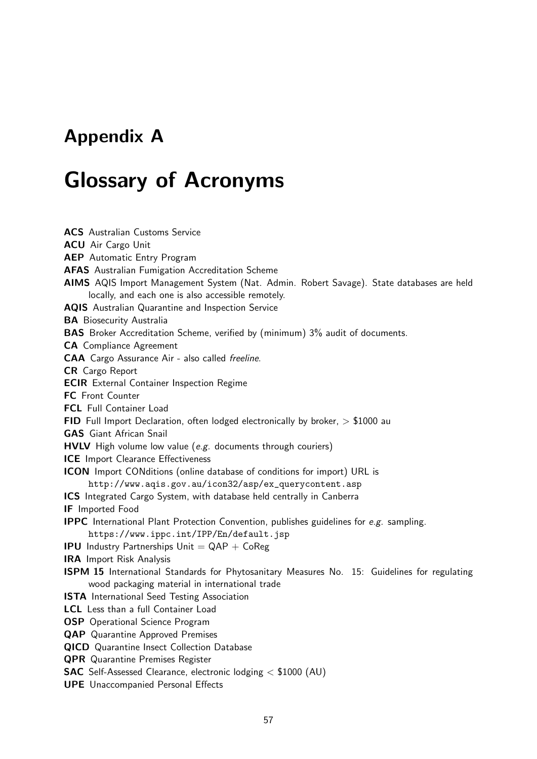## Appendix A

## Glossary of Acronyms

ACS Australian Customs Service ACU Air Cargo Unit AEP Automatic Entry Program AFAS Australian Fumigation Accreditation Scheme AIMS AQIS Import Management System (Nat. Admin. Robert Savage). State databases are held locally, and each one is also accessible remotely. AQIS Australian Quarantine and Inspection Service **BA** Biosecurity Australia BAS Broker Accreditation Scheme, verified by (minimum) 3% audit of documents. CA Compliance Agreement CAA Cargo Assurance Air - also called freeline. CR Cargo Report ECIR External Container Inspection Regime FC Front Counter FCL Full Container Load FID Full Import Declaration, often lodged electronically by broker,  $> $1000$  au GAS Giant African Snail HVLV High volume low value (e.g. documents through couriers) ICE Import Clearance Effectiveness ICON Import CONditions (online database of conditions for import) URL is http://www.aqis.gov.au/icon32/asp/ex\_querycontent.asp ICS Integrated Cargo System, with database held centrally in Canberra IF Imported Food **IPPC** International Plant Protection Convention, publishes guidelines for  $e.g.$  sampling. https://www.ippc.int/IPP/En/default.jsp **IPU** Industry Partnerships  $Unit = QAP + CoReg$ IRA Import Risk Analysis ISPM 15 International Standards for Phytosanitary Measures No. 15: Guidelines for regulating wood packaging material in international trade **ISTA** International Seed Testing Association LCL Less than a full Container Load OSP Operational Science Program QAP Quarantine Approved Premises QICD Quarantine Insect Collection Database QPR Quarantine Premises Register SAC Self-Assessed Clearance, electronic lodging < \$1000 (AU)

UPE Unaccompanied Personal Effects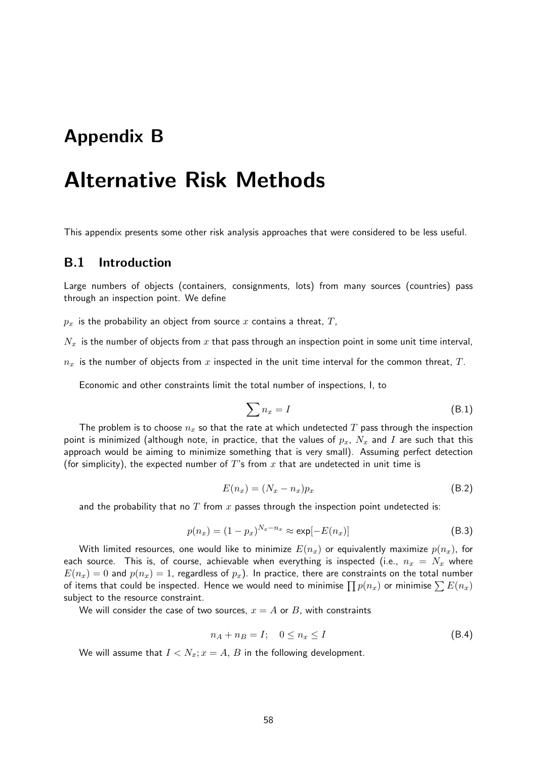## Appendix B

## Alternative Risk Methods

This appendix presents some other risk analysis approaches that were considered to be less useful.

#### B.1 Introduction

Large numbers of objects (containers, consignments, lots) from many sources (countries) pass through an inspection point. We define

 $p_x$  is the probability an object from source x contains a threat, T,

 $N_x$  is the number of objects from x that pass through an inspection point in some unit time interval,

 $n_x$  is the number of objects from x inspected in the unit time interval for the common threat, T.

Economic and other constraints limit the total number of inspections, I, to

$$
\sum n_x = I \tag{B.1}
$$

The problem is to choose  $n_x$  so that the rate at which undetected T pass through the inspection point is minimized (although note, in practice, that the values of  $p_x$ ,  $N_x$  and I are such that this approach would be aiming to minimize something that is very small). Assuming perfect detection (for simplicity), the expected number of T's from x that are undetected in unit time is

$$
E(n_x) = (N_x - n_x)p_x \tag{B.2}
$$

and the probability that no  $T$  from  $x$  passes through the inspection point undetected is:

$$
p(n_x) = (1 - p_x)^{N_x - n_x} \approx \exp[-E(n_x)]
$$
\n(B.3)

With limited resources, one would like to minimize  $E(n_x)$  or equivalently maximize  $p(n_x)$ , for each source. This is, of course, achievable when everything is inspected (i.e.,  $n_x = N_x$  where  $E(n_x) = 0$  and  $p(n_x) = 1$ , regardless of  $p_x$ ). In practice, there are constraints on the total number of items that could be inspected. Hence we would need to minimise  $\prod p(n_x)$  or minimise  $\sum E(n_x)$ subject to the resource constraint.

We will consider the case of two sources,  $x = A$  or B, with constraints

$$
n_A + n_B = I; \quad 0 \le n_x \le I \tag{B.4}
$$

We will assume that  $I < N_x$ ;  $x = A$ , B in the following development.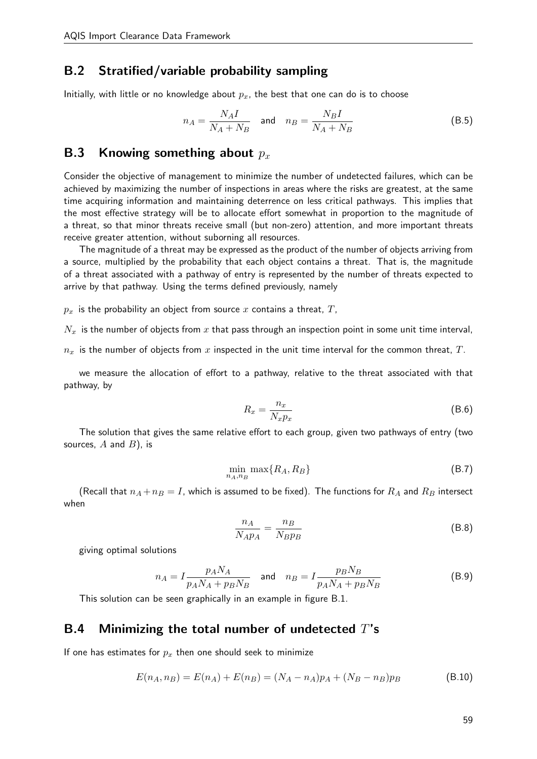## B.2 Stratified/variable probability sampling

Initially, with little or no knowledge about  $p<sub>x</sub>$ , the best that one can do is to choose

$$
n_A = \frac{N_A I}{N_A + N_B} \quad \text{and} \quad n_B = \frac{N_B I}{N_A + N_B} \tag{B.5}
$$

## **B.3** Knowing something about  $p_x$

Consider the objective of management to minimize the number of undetected failures, which can be achieved by maximizing the number of inspections in areas where the risks are greatest, at the same time acquiring information and maintaining deterrence on less critical pathways. This implies that the most effective strategy will be to allocate effort somewhat in proportion to the magnitude of a threat, so that minor threats receive small (but non-zero) attention, and more important threats receive greater attention, without suborning all resources.

The magnitude of a threat may be expressed as the product of the number of objects arriving from a source, multiplied by the probability that each object contains a threat. That is, the magnitude of a threat associated with a pathway of entry is represented by the number of threats expected to arrive by that pathway. Using the terms defined previously, namely

 $p_x$  is the probability an object from source x contains a threat,  $T$ ,

 $N_x$  is the number of objects from x that pass through an inspection point in some unit time interval,

 $n_x$  is the number of objects from x inspected in the unit time interval for the common threat, T.

we measure the allocation of effort to a pathway, relative to the threat associated with that pathway, by

$$
R_x = \frac{n_x}{N_x p_x} \tag{B.6}
$$

The solution that gives the same relative effort to each group, given two pathways of entry (two sources,  $A$  and  $B$ ), is

$$
\min_{n_A, n_B} \max\{R_A, R_B\} \tag{B.7}
$$

(Recall that  $n_A + n_B = I$ , which is assumed to be fixed). The functions for  $R_A$  and  $R_B$  intersect when

$$
\frac{n_A}{N_A p_A} = \frac{n_B}{N_B p_B} \tag{B.8}
$$

giving optimal solutions

$$
n_A = I \frac{p_A N_A}{p_A N_A + p_B N_B}
$$
 and 
$$
n_B = I \frac{p_B N_B}{p_A N_A + p_B N_B}
$$
 (B.9)

This solution can be seen graphically in an example in figure B.1.

## B.4 Minimizing the total number of undetected  $T$ 's

If one has estimates for  $p_x$  then one should seek to minimize

$$
E(n_A, n_B) = E(n_A) + E(n_B) = (N_A - n_A)p_A + (N_B - n_B)p_B
$$
\n(B.10)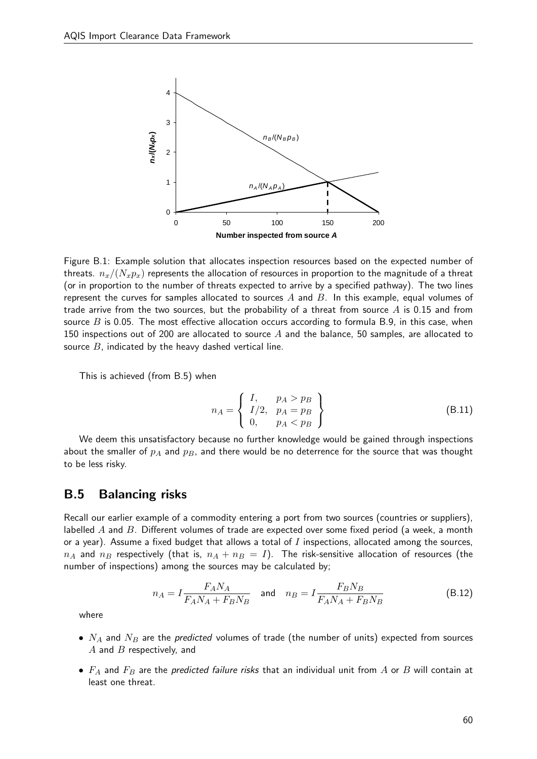AQIS Import Clearance Data Framework



Figure A.1. *nx*/(*Nxpx*) represents the allocation of resources in proportion to the magnitude of Figure B.1: Example solution that allocates inspection resources based on the expected number of threats.  $n_x/(N_x p_x)$  represents the allocation of resources in proportion to the magnitude of a threat example, equal volumes of trade arrives of trade arrives of trade arrives of  $\sim$  threats of  $\sim$  threats of  $\sim$  threats of a threats of a threats of a threats of a threats of a threats of a threats of a threats of a thr (or in proportion to the number of threats expected to arrive by a specified pathway). The two lines represent the curves for samples allocated to sources  $A$  and  $B$ . In this example, equal volumes of source *A* and the balance, 50 samples, are allocated to source *B*, indicated by the heavy trade arrive from the two sources, but the probability of a threat from source  $A$  is 0.15 and from source  $B$  is 0.05. The most effective allocation occurs according to formula B.9, in this case, when 150 inspections out of 200 are allocated to source  $A$  and the balance, 50 samples, are allocated to source  $B$ , indicated by the heavy dashed vertical line.

This is achieved (from B.5) when

$$
n_A = \left\{ \begin{array}{ll} I, & p_A > p_B \\ I/2, & p_A = p_B \\ 0, & p_A < p_B \end{array} \right\} \tag{B.11}
$$

We deem this unsatisfactory because no further knowledge would be gained through inspections about the smaller of  $p_A$  and  $p_B$ , and there would be no deterrence for the source that was thought to be less risky.

## B.5 Balancing risks

or a year). Assume a fixed budget that allows a total of  $I$  inspections, allocated among the sources, number of inspections) among the sources may be calculated by; Recall our earlier example of a commodity entering a port from two sources (countries or suppliers), labelled  $A$  and  $B$ . Different volumes of trade are expected over some fixed period (a week, a month  $n_A$  and  $n_B$  respectively (that is,  $n_A + n_B = I$ ). The risk-sensitive allocation of resources (the

$$
n_A = I \frac{F_A N_A}{F_A N_A + F_B N_B} \quad \text{and} \quad n_B = I \frac{F_B N_B}{F_A N_A + F_B N_B} \tag{B.12}
$$

where

- $N_A$  and  $N_B$  are the predicted volumes of trade (the number of units) expected from sources  $A$  and  $B$  respectively, and
- $F_A$  and  $F_B$  are the predicted failure risks that an individual unit from A or B will contain at least one threat.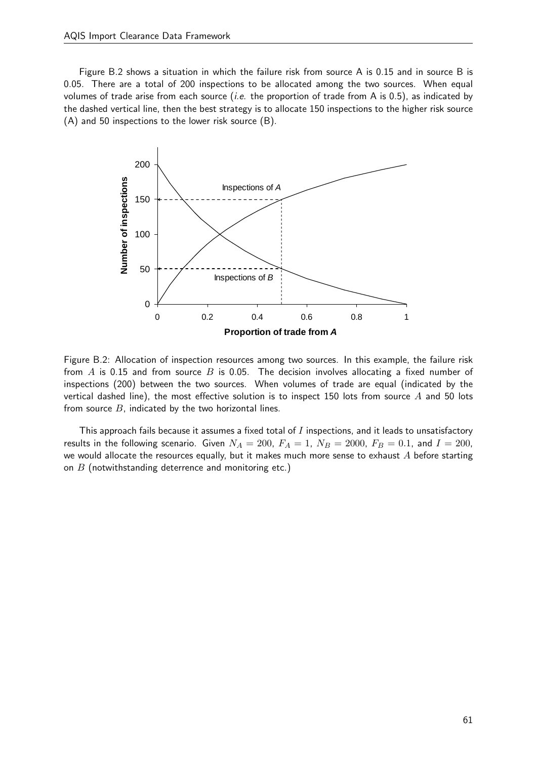Figure B.2 shows a situation in which the failure risk from source A is 0.15 and in source B is 0.05. There are a total of 200 inspections to be allocated among the two sources. When equal volumes of trade arise from each source *(i.e.* the proportion of trade from A is 0.5), as indicated by the dashed vertical line, then the best strategy is to allocate 150 inspections to the higher risk source<br>the dashed vertical line, then the best strategy is to allocate 150 inspections to the higher risk source (A) and 50 inspections to the lower risk source (B). vertical line, then the best strategy is to allocate 150 inspections to the higher



Figure B.2: Allocation of inspection resources among two sources. In this example, the failure risk from  $A$  is 0.15 and from source  $B$  is 0.05. The decision involves allocating a fixed number of The decision involves allocating a fixed number of inspections (200) between the two inspections  $(200)$  between the two sources. When volumes of trade are equal  $($ indicated by the vertical dashed line), the most effective solution is to inspect 150 lots from source  $A$  and 50 lots from source  $B$ , indicated by the two horizontal lines.

This approach fails because it assumes a fixed total of  $I$  inspections, and it leads to unsatisfactory results in the following scenario. Given  $N_A = 200$ ,  $F_A = 1$ ,  $N_B = 2000$ ,  $F_B = 0.1$ , and  $I = 200$ , we would allocate the resources equally, but it makes much more sense to exhaust  $A$  before starting on  $B$  (notwithstanding deterrence and monitoring etc.)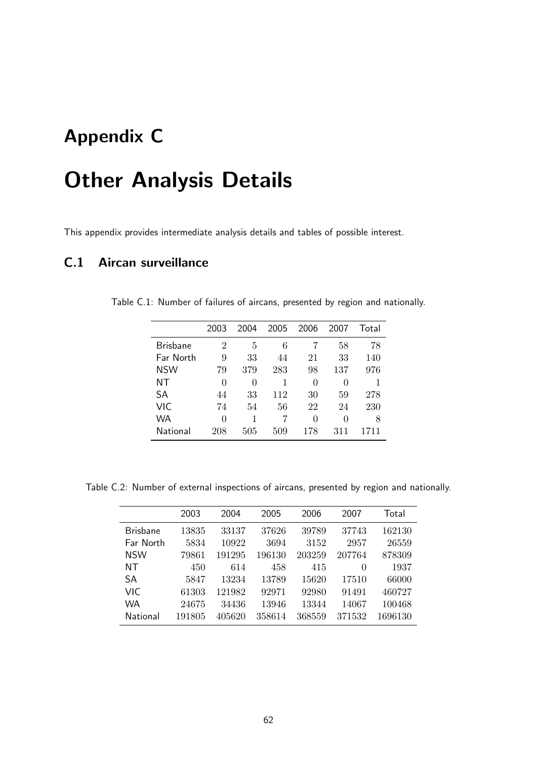## Appendix C

# Other Analysis Details

This appendix provides intermediate analysis details and tables of possible interest.

## C.1 Aircan surveillance

|                 | 2003 | 2004 | 2005 | 2006     | 2007 | Total |
|-----------------|------|------|------|----------|------|-------|
| <b>Brisbane</b> | 2    | 5    | 6    |          | 58   | 78    |
| Far North       | 9    | 33   | 44   | 21       | 33   | 140   |
| <b>NSW</b>      | 79   | 379  | 283  | 98       | 137  | 976   |
| NΤ              | 0    | 0    | 1    | $\theta$ | 0    |       |
| SА              | 44   | 33   | 112  | 30       | 59   | 278   |
| VIC             | 74   | 54   | 56   | 22       | 24   | 230   |
| WA              | 0    | 1    |      | 0        | 0    | 8     |
| National        | 208  | 505  | 509  | 178      | 311  | 1711  |

Table C.1: Number of failures of aircans, presented by region and nationally.

Table C.2: Number of external inspections of aircans, presented by region and nationally.

|                 | 2003   | 2004   | 2005   | 2006   | 2007     | Total   |
|-----------------|--------|--------|--------|--------|----------|---------|
| <b>Brisbane</b> | 13835  | 33137  | 37626  | 39789  | 37743    | 162130  |
| Far North       | 5834   | 10922  | 3694   | 3152   | 2957     | 26559   |
| <b>NSW</b>      | 79861  | 191295 | 196130 | 203259 | 207764   | 878309  |
| NΤ              | 450    | 614    | 458    | 415    | $\theta$ | 1937    |
| <b>SA</b>       | 5847   | 13234  | 13789  | 15620  | 17510    | 66000   |
| VIC.            | 61303  | 121982 | 92971  | 92980  | 91491    | 460727  |
| <b>WA</b>       | 24675  | 34436  | 13946  | 13344  | 14067    | 100468  |
| National        | 191805 | 405620 | 358614 | 368559 | 371532   | 1696130 |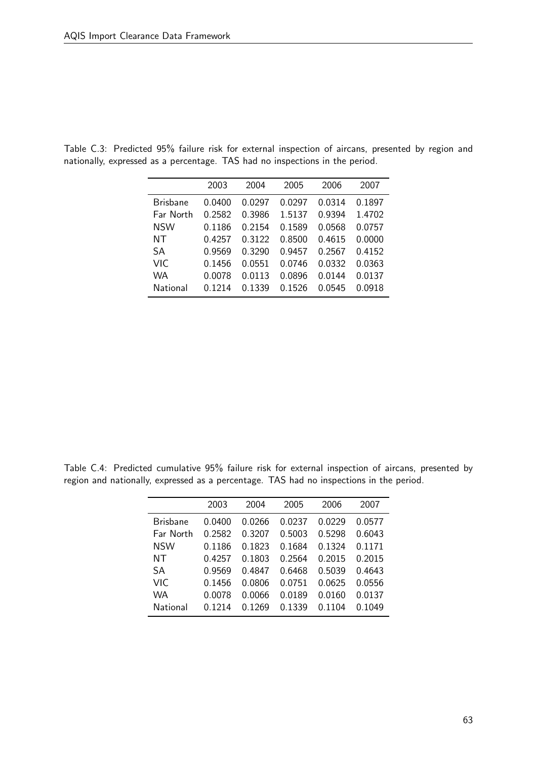|                 | 2003   | 2004   | 2005   | 2006   | 2007   |
|-----------------|--------|--------|--------|--------|--------|
| <b>Brisbane</b> | 0.0400 | 0.0297 | 0.0297 | 0.0314 | 0.1897 |
| Far North       | 0.2582 | 0.3986 | 1.5137 | 0.9394 | 1.4702 |
| <b>NSW</b>      | 0.1186 | 0.2154 | 0.1589 | 0.0568 | 0.0757 |
| NT              | 0.4257 | 0.3122 | 0.8500 | 0.4615 | 0.0000 |
| SА              | 0.9569 | 0.3290 | 0.9457 | 0.2567 | 0.4152 |
| VIC             | 0.1456 | 0.0551 | 0.0746 | 0.0332 | 0.0363 |
| WA              | 0.0078 | 0.0113 | 0.0896 | 0.0144 | 0.0137 |
| National        | በ 1214 | 0 1339 | 0.1526 | 0.0545 | 0.0918 |
|                 |        |        |        |        |        |

Table C.3: Predicted 95% failure risk for external inspection of aircans, presented by region and nationally, expressed as a percentage. TAS had no inspections in the period.

Table C.4: Predicted cumulative 95% failure risk for external inspection of aircans, presented by region and nationally, expressed as a percentage. TAS had no inspections in the period.

|                 | 2003      | 2004   | 2005   | 2006   | 2007   |
|-----------------|-----------|--------|--------|--------|--------|
| <b>Brisbane</b> | 0.0400    | 0.0266 | 0.0237 | 0.0229 | 0.0577 |
| Far North       | 0.2582    | 0.3207 | 0.5003 | 0.5298 | 0.6043 |
| <b>NSW</b>      | 0.1186    | 0.1823 | 0.1684 | 0.1324 | 0.1171 |
| NT              | 0.4257    | 0.1803 | 0.2564 | 0.2015 | 0.2015 |
| SА              | 0.9569    | 0.4847 | 0.6468 | 0.5039 | 0.4643 |
| VIC             | 0.1456    | 0.0806 | 0.0751 | 0.0625 | 0.0556 |
| <b>WA</b>       | 0.0078    | 0.0066 | 0.0189 | 0.0160 | 0.0137 |
| National        | 0 1 2 1 4 | 0.1269 | 0.1339 | በ 1104 | 0.1049 |
|                 |           |        |        |        |        |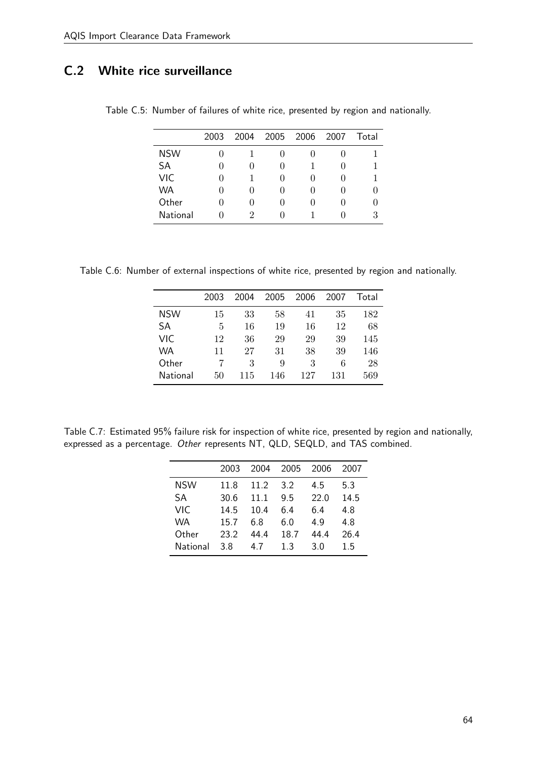## C.2 White rice surveillance

|            | 2003         | 2004             | 2005         | 2006 | 2007 | Total |
|------------|--------------|------------------|--------------|------|------|-------|
| <b>NSW</b> |              |                  |              |      |      |       |
| <b>SA</b>  | $\mathbf{0}$ | $\left( \right)$ | $\mathbf{0}$ |      |      |       |
| VIC        | 0            |                  |              |      | 0    |       |
| WA         | $\mathbf{0}$ | $\left( \right)$ | $\mathbf{0}$ |      |      |       |
| Other      | $\mathbf{0}$ | $\left( \right)$ | 0            |      |      |       |
| National   |              | 2                |              |      |      | З     |

Table C.5: Number of failures of white rice, presented by region and nationally.

Table C.6: Number of external inspections of white rice, presented by region and nationally.

|            | 2003 | 2004 | 2005 | 2006 | 2007 | Total |
|------------|------|------|------|------|------|-------|
| <b>NSW</b> | 15   | 33   | 58   | 41   | 35   | 182   |
| SA         | 5    | 16   | 19   | 16   | 12   | 68    |
| VIC        | 12   | 36   | 29   | 29   | 39   | 145   |
| <b>WA</b>  | 11   | 27   | 31   | 38   | 39   | 146   |
| Other      |      | 3    | 9    | 3    | 6    | 28    |
| National   | 50   | 115  | 146  | 127  | 131  | 569   |

Table C.7: Estimated 95% failure risk for inspection of white rice, presented by region and nationally, expressed as a percentage. Other represents NT, QLD, SEQLD, and TAS combined.

|            | 2003 | 2004 | 2005 | 2006 | 2007 |
|------------|------|------|------|------|------|
| <b>NSW</b> | 11.8 | 11.2 | 3.2  | 4.5  | 5.3  |
| <b>SA</b>  | 30.6 | 11.1 | 9.5  | 22.0 | 14.5 |
| <b>VIC</b> | 14.5 | 10.4 | 6.4  | 6.4  | 4.8  |
| WA         | 15.7 | 6 ጸ  | 6.0  | 4.9  | 4.8  |
| Other      | 23.2 | 44 4 | 18.7 | 44.4 | 26.4 |
| National   | 3.8  | 47   | 13   | 3.0  | 15   |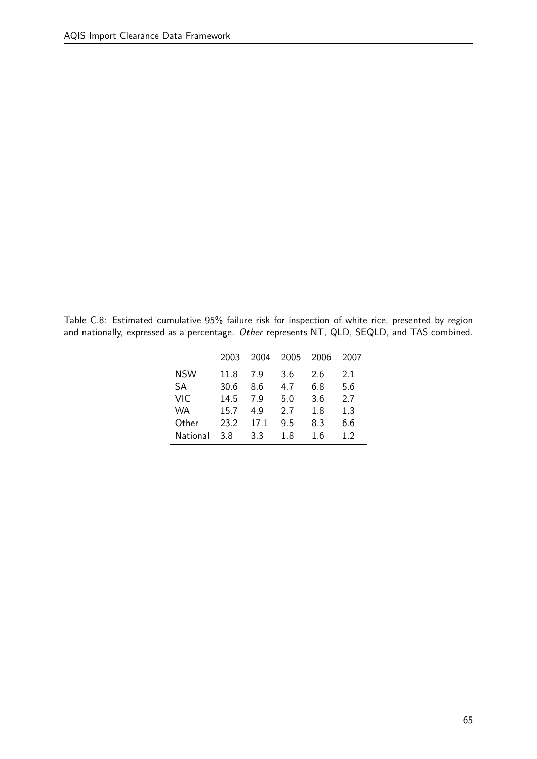Table C.8: Estimated cumulative 95% failure risk for inspection of white rice, presented by region and nationally, expressed as a percentage. Other represents NT, QLD, SEQLD, and TAS combined.

|            | 2003 | 2004 | 2005 | 2006 | 2007 |
|------------|------|------|------|------|------|
| <b>NSW</b> | 11.8 | 7 Q  | 3.6  | 2.6  | 21   |
| SA         | 30.6 | 8.6  | 4.7  | ნ.8  | 5.6  |
| VIC        | 14.5 | 7 Q  | 5.0  | 3.6  | 2.7  |
| WA         | 15.7 | 4.9  | 2.7  | 1.8  | 1.3  |
| Other      | 23.2 | 17.1 | 9.5  | 8.3  | 6.6  |
| National   | 3.8  | 3.3  | 1.8  | 16   | 12   |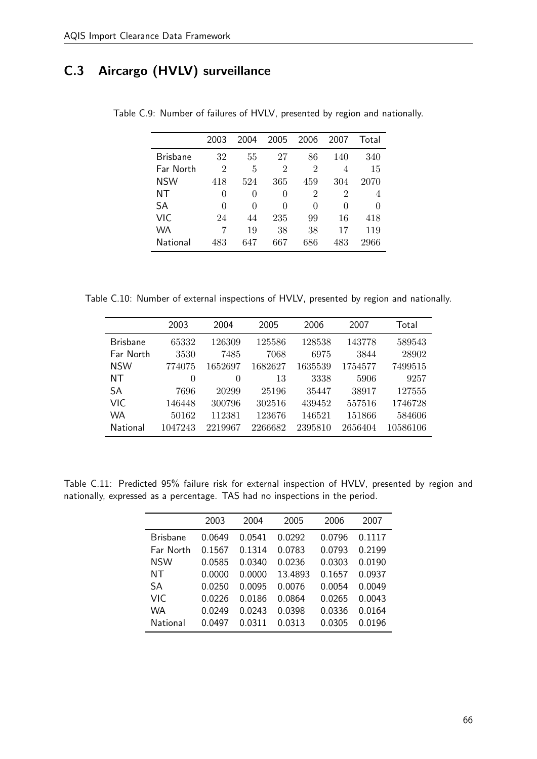## C.3 Aircargo (HVLV) surveillance

|                 | 2003           | 2004     | 2005           | 2006 | 2007 | Total |
|-----------------|----------------|----------|----------------|------|------|-------|
| <b>Brisbane</b> | 32             | 55       | 27             | 86   | 140  | 340   |
| Far North       | $\overline{2}$ | 5        | $\overline{2}$ | 2    | 4    | 15    |
| <b>NSW</b>      | 418            | 524      | 365            | 459  | 304  | 2070  |
| NΤ              | 0              | 0        | 0              | 2    | 2    | 4     |
| SA              | 0              | $\theta$ | 0              | 0    | 0    | 0     |
| VIC             | 24             | 44       | 235            | 99   | 16   | 418   |
| WA              | 7              | 19       | 38             | 38   | 17   | 119   |
| National        | 483            | 647      | 667            | 686  | 483  | 2966  |

Table C.9: Number of failures of HVLV, presented by region and nationally.

Table C.10: Number of external inspections of HVLV, presented by region and nationally.

|                 | 2003     | 2004    | 2005    | 2006    | 2007    | Total    |
|-----------------|----------|---------|---------|---------|---------|----------|
| <b>Brisbane</b> | 65332    | 126309  | 125586  | 128538  | 143778  | 589543   |
| Far North       | 3530     | 7485    | 7068    | 6975    | 3844    | 28902    |
| <b>NSW</b>      | 774075   | 1652697 | 1682627 | 1635539 | 1754577 | 7499515  |
| NT              | $\theta$ | 0       | 13      | 3338    | 5906    | 9257     |
| SA              | 7696     | 20299   | 25196   | 35447   | 38917   | 127555   |
| <b>VIC</b>      | 146448   | 300796  | 302516  | 439452  | 557516  | 1746728  |
| <b>WA</b>       | 50162    | 112381  | 123676  | 146521  | 151866  | 584606   |
| National        | 1047243  | 2219967 | 2266682 | 2395810 | 2656404 | 10586106 |

Table C.11: Predicted 95% failure risk for external inspection of HVLV, presented by region and nationally, expressed as a percentage. TAS had no inspections in the period.

|                 | 2003   | 2004   | 2005    | 2006   | 2007   |
|-----------------|--------|--------|---------|--------|--------|
| <b>Brishane</b> | 0.0649 | 0.0541 | 0.0292  | 0.0796 | 0.1117 |
| Far North       | 0.1567 | 0.1314 | 0.0783  | 0.0793 | 0.2199 |
| <b>NSW</b>      | 0.0585 | 0.0340 | 0.0236  | 0.0303 | 0.0190 |
| NT              | 0.0000 | 0.0000 | 13.4893 | 0.1657 | 0.0937 |
| SА              | 0.0250 | 0.0095 | 0.0076  | 0.0054 | 0.0049 |
| VIC             | 0.0226 | 0.0186 | 0.0864  | 0.0265 | 0.0043 |
| WA              | 0.0249 | 0.0243 | 0.0398  | 0.0336 | 0.0164 |
| National        | 0.0497 | 0 0311 | 0.0313  | 0.0305 | 0.0196 |
|                 |        |        |         |        |        |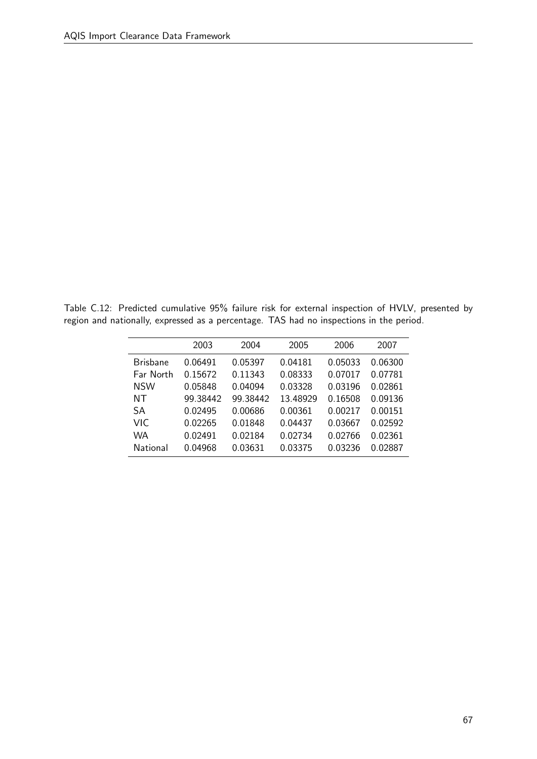Table C.12: Predicted cumulative 95% failure risk for external inspection of HVLV, presented by region and nationally, expressed as a percentage. TAS had no inspections in the period.

|                 | 2003     | 2004     | 2005     | 2006    | 2007    |
|-----------------|----------|----------|----------|---------|---------|
| <b>Brisbane</b> | 0.06491  | 0.05397  | 0.04181  | 0.05033 | 0.06300 |
| Far North       | 0.15672  | 0.11343  | 0.08333  | 0.07017 | 0.07781 |
| <b>NSW</b>      | 0.05848  | 0.04094  | 0.03328  | 0.03196 | 0.02861 |
| NΤ              | 99.38442 | 99.38442 | 13.48929 | 0.16508 | 0.09136 |
| <b>SA</b>       | 0.02495  | 0.00686  | 0.00361  | 0.00217 | 0.00151 |
| VIC.            | 0.02265  | 0.01848  | 0.04437  | 0.03667 | 0.02592 |
| WA              | 0.02491  | 0.02184  | 0.02734  | 0.02766 | 0.02361 |
| National        | 0.04968  | 0.03631  | 0.03375  | 0.03236 | 0.02887 |
|                 |          |          |          |         |         |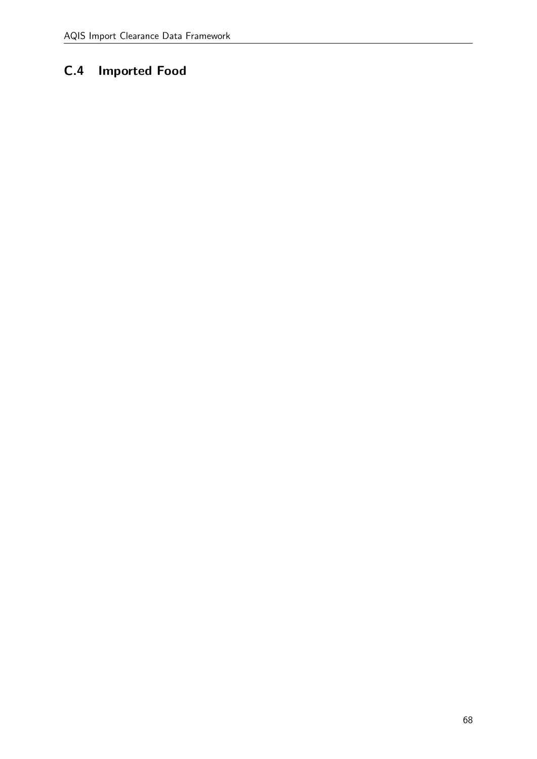## C.4 Imported Food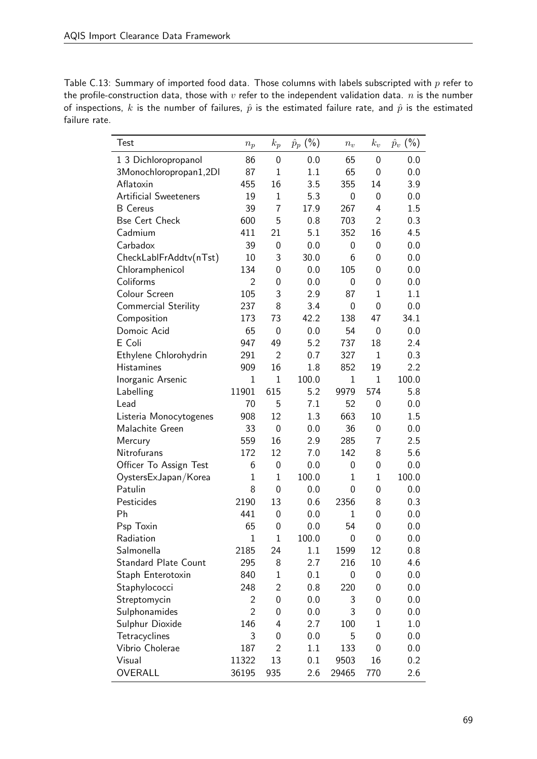| Table C.13: Summary of imported food data. Those columns with labels subscripted with $p$ refer to                   |
|----------------------------------------------------------------------------------------------------------------------|
| the profile-construction data, those with $v$ refer to the independent validation data. $n$ is the number            |
| of inspections, k is the number of failures, $\hat{p}$ is the estimated failure rate, and $\hat{p}$ is the estimated |
| failure rate.                                                                                                        |

| Test                         | $n_p$          | $k_p$          | $\hat{p}_p$ (%) | $n_v$        | $k_v$          | $(\% )$<br>$\hat{p}_v$ |
|------------------------------|----------------|----------------|-----------------|--------------|----------------|------------------------|
| 1 3 Dichloropropanol         | 86             | 0              | 0.0             | 65           | $\Omega$       | 0.0                    |
| 3Monochloropropan1,2DI       | 87             | $\mathbf{1}$   | 1.1             | 65           | 0              | 0.0                    |
| Aflatoxin                    | 455            | 16             | 3.5             | 355          | 14             | 3.9                    |
| <b>Artificial Sweeteners</b> | 19             | $\mathbf{1}$   | 5.3             | 0            | 0              | 0.0                    |
| <b>B</b> Cereus              | 39             | $\overline{7}$ | 17.9            | 267          | 4              | 1.5                    |
| <b>Bse Cert Check</b>        | 600            | 5              | 0.8             | 703          | $\overline{2}$ | 0.3                    |
| Cadmium                      | 411            | 21             | 5.1             | 352          | 16             | 4.5                    |
| Carbadox                     | 39             | 0              | 0.0             | 0            | 0              | 0.0                    |
| CheckLablFrAddtv(nTst)       | 10             | 3              | 30.0            | 6            | 0              | 0.0                    |
| Chloramphenicol              | 134            | 0              | 0.0             | 105          | 0              | 0.0                    |
| Coliforms                    | $\overline{2}$ | 0              | 0.0             | 0            | 0              | 0.0                    |
| Colour Screen                | 105            | 3              | 2.9             | 87           | $\mathbf{1}$   | 1.1                    |
| <b>Commercial Sterility</b>  | 237            | 8              | 3.4             | 0            | 0              | 0.0                    |
| Composition                  | 173            | 73             | 42.2            | 138          | 47             | 34.1                   |
| Domoic Acid                  | 65             | 0              | 0.0             | 54           | $\Omega$       | 0.0                    |
| E Coli                       | 947            | 49             | 5.2             | 737          | 18             | 2.4                    |
| Ethylene Chlorohydrin        | 291            | $\overline{2}$ | 0.7             | 327          | $\mathbf{1}$   | 0.3                    |
| <b>Histamines</b>            | 909            | 16             | 1.8             | 852          | 19             | 2.2                    |
| Inorganic Arsenic            | $\overline{1}$ | $\mathbf{1}$   | 100.0           | $\mathbf 1$  | $\mathbf{1}$   | 100.0                  |
| Labelling                    | 11901          | 615            | 5.2             | 9979         | 574            | 5.8                    |
| Lead                         | 70             | 5              | 7.1             | 52           | 0              | 0.0                    |
| Listeria Monocytogenes       | 908            | 12             | 1.3             | 663          | 10             | 1.5                    |
| Malachite Green              | 33             | $\overline{0}$ | 0.0             | 36           | 0              | 0.0                    |
| Mercury                      | 559            | 16             | 2.9             | 285          | 7              | 2.5                    |
| Nitrofurans                  | 172            | 12             | 7.0             | 142          | 8              | 5.6                    |
| Officer To Assign Test       | 6              | $\mathbf 0$    | 0.0             | 0            | 0              | 0.0                    |
| OystersExJapan/Korea         | $\mathbf{1}$   | $\mathbf{1}$   | 100.0           | $\mathbf{1}$ | $\mathbf{1}$   | 100.0                  |
| Patulin                      | 8              | 0              | 0.0             | 0            | 0              | 0.0                    |
| Pesticides                   | 2190           | 13             | 0.6             | 2356         | 8              | 0.3                    |
| Ph                           | 441            | 0              | 0.0             | 1            | 0              | 0.0                    |
| Psp Toxin                    | 65             | 0              | 0.0             | 54           | 0              | 0.0                    |
| Radiation                    | $\mathbf 1$    | $\mathbf{1}$   | 100.0           | 0            | 0              | 0.0                    |
| Salmonella                   | 2185           | 24             | 1.1             | 1599         | 12             | 0.8                    |
| <b>Standard Plate Count</b>  | 295            | 8              | 2.7             | 216          | 10             | 4.6                    |
| Staph Enterotoxin            | 840            | $\mathbf{1}$   | 0.1             | 0            | 0              | 0.0                    |
| Staphylococci                | 248            | $\overline{2}$ | 0.8             | 220          | 0              | 0.0                    |
| Streptomycin                 | 2              | 0              | 0.0             | 3            | 0              | 0.0                    |
| Sulphonamides                | $\overline{2}$ | 0              | 0.0             | 3            | 0              | 0.0                    |
| Sulphur Dioxide              | 146            | 4              | 2.7             | 100          | $\mathbf 1$    | 1.0                    |
| Tetracyclines                | 3              | 0              | 0.0             | 5            | 0              | 0.0                    |
| Vibrio Cholerae              | 187            | $\overline{2}$ | 1.1             | 133          | 0              | 0.0                    |
| Visual                       | 11322          | 13             | 0.1             | 9503         | 16             | 0.2                    |
| OVERALL                      | 36195          | 935            | 2.6             | 29465        | 770            | 2.6                    |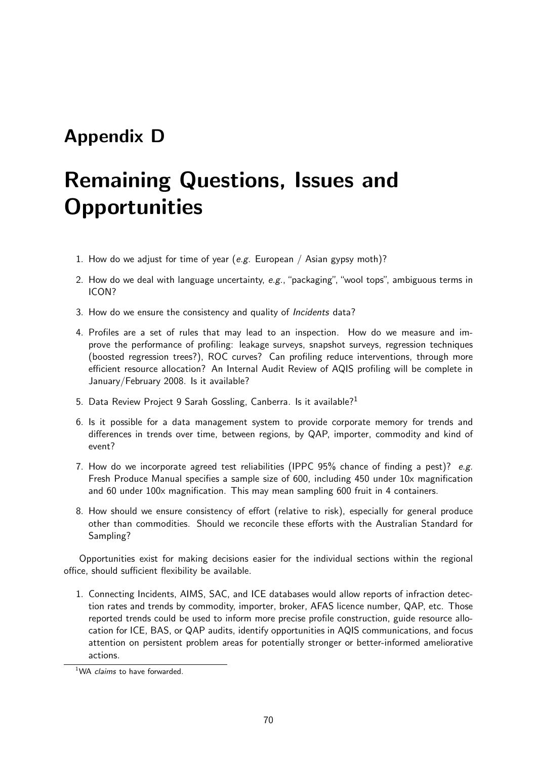## Appendix D

# Remaining Questions, Issues and **Opportunities**

- 1. How do we adjust for time of year (e.g. European / Asian gypsy moth)?
- 2. How do we deal with language uncertainty,  $e.g.,$  "packaging", "wool tops", ambiguous terms in ICON?
- 3. How do we ensure the consistency and quality of Incidents data?
- 4. Profiles are a set of rules that may lead to an inspection. How do we measure and improve the performance of profiling: leakage surveys, snapshot surveys, regression techniques (boosted regression trees?), ROC curves? Can profiling reduce interventions, through more efficient resource allocation? An Internal Audit Review of AQIS profiling will be complete in January/February 2008. Is it available?
- 5. Data Review Project 9 Sarah Gossling, Canberra. Is it available?<sup>1</sup>
- 6. Is it possible for a data management system to provide corporate memory for trends and differences in trends over time, between regions, by QAP, importer, commodity and kind of event?
- 7. How do we incorporate agreed test reliabilities (IPPC 95% chance of finding a pest)? e.g. Fresh Produce Manual specifies a sample size of 600, including 450 under 10x magnification and 60 under 100x magnification. This may mean sampling 600 fruit in 4 containers.
- 8. How should we ensure consistency of effort (relative to risk), especially for general produce other than commodities. Should we reconcile these efforts with the Australian Standard for Sampling?

Opportunities exist for making decisions easier for the individual sections within the regional office, should sufficient flexibility be available.

1. Connecting Incidents, AIMS, SAC, and ICE databases would allow reports of infraction detection rates and trends by commodity, importer, broker, AFAS licence number, QAP, etc. Those reported trends could be used to inform more precise profile construction, guide resource allocation for ICE, BAS, or QAP audits, identify opportunities in AQIS communications, and focus attention on persistent problem areas for potentially stronger or better-informed ameliorative actions.

<sup>&</sup>lt;sup>1</sup>WA claims to have forwarded.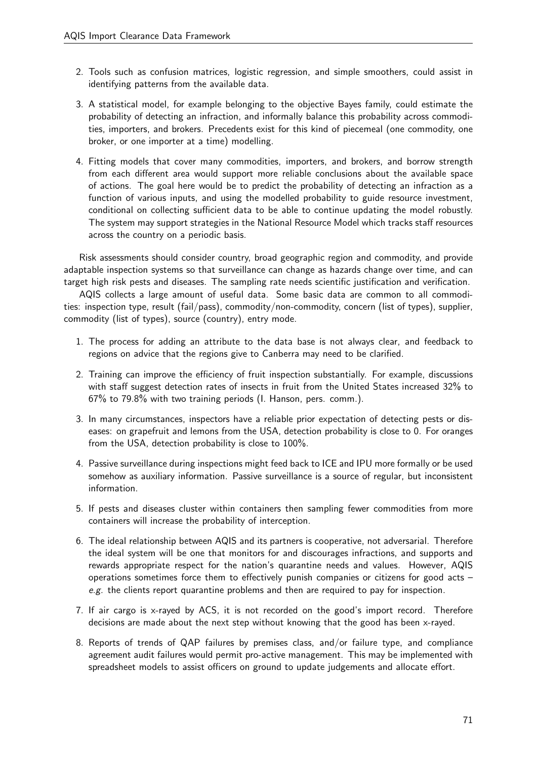- 2. Tools such as confusion matrices, logistic regression, and simple smoothers, could assist in identifying patterns from the available data.
- 3. A statistical model, for example belonging to the objective Bayes family, could estimate the probability of detecting an infraction, and informally balance this probability across commodities, importers, and brokers. Precedents exist for this kind of piecemeal (one commodity, one broker, or one importer at a time) modelling.
- 4. Fitting models that cover many commodities, importers, and brokers, and borrow strength from each different area would support more reliable conclusions about the available space of actions. The goal here would be to predict the probability of detecting an infraction as a function of various inputs, and using the modelled probability to guide resource investment, conditional on collecting sufficient data to be able to continue updating the model robustly. The system may support strategies in the National Resource Model which tracks staff resources across the country on a periodic basis.

Risk assessments should consider country, broad geographic region and commodity, and provide adaptable inspection systems so that surveillance can change as hazards change over time, and can target high risk pests and diseases. The sampling rate needs scientific justification and verification.

AQIS collects a large amount of useful data. Some basic data are common to all commodities: inspection type, result (fail/pass), commodity/non-commodity, concern (list of types), supplier, commodity (list of types), source (country), entry mode.

- 1. The process for adding an attribute to the data base is not always clear, and feedback to regions on advice that the regions give to Canberra may need to be clarified.
- 2. Training can improve the efficiency of fruit inspection substantially. For example, discussions with staff suggest detection rates of insects in fruit from the United States increased 32% to 67% to 79.8% with two training periods (I. Hanson, pers. comm.).
- 3. In many circumstances, inspectors have a reliable prior expectation of detecting pests or diseases: on grapefruit and lemons from the USA, detection probability is close to 0. For oranges from the USA, detection probability is close to 100%.
- 4. Passive surveillance during inspections might feed back to ICE and IPU more formally or be used somehow as auxiliary information. Passive surveillance is a source of regular, but inconsistent information.
- 5. If pests and diseases cluster within containers then sampling fewer commodities from more containers will increase the probability of interception.
- 6. The ideal relationship between AQIS and its partners is cooperative, not adversarial. Therefore the ideal system will be one that monitors for and discourages infractions, and supports and rewards appropriate respect for the nation's quarantine needs and values. However, AQIS operations sometimes force them to effectively punish companies or citizens for good acts – e.g. the clients report quarantine problems and then are required to pay for inspection.
- 7. If air cargo is x-rayed by ACS, it is not recorded on the good's import record. Therefore decisions are made about the next step without knowing that the good has been x-rayed.
- 8. Reports of trends of QAP failures by premises class, and/or failure type, and compliance agreement audit failures would permit pro-active management. This may be implemented with spreadsheet models to assist officers on ground to update judgements and allocate effort.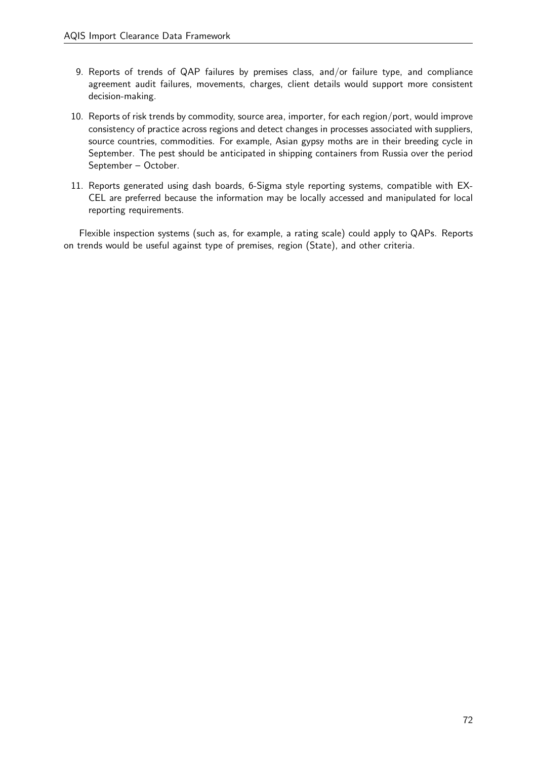- 9. Reports of trends of QAP failures by premises class, and/or failure type, and compliance agreement audit failures, movements, charges, client details would support more consistent decision-making.
- 10. Reports of risk trends by commodity, source area, importer, for each region/port, would improve consistency of practice across regions and detect changes in processes associated with suppliers, source countries, commodities. For example, Asian gypsy moths are in their breeding cycle in September. The pest should be anticipated in shipping containers from Russia over the period September – October.
- 11. Reports generated using dash boards, 6-Sigma style reporting systems, compatible with EX-CEL are preferred because the information may be locally accessed and manipulated for local reporting requirements.

Flexible inspection systems (such as, for example, a rating scale) could apply to QAPs. Reports on trends would be useful against type of premises, region (State), and other criteria.